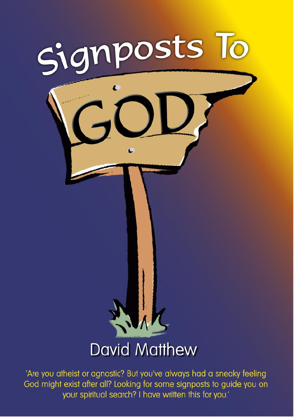## **David Matthew**

Signposts To

'Are you atheist or agnostic? But you've always had a sneaky feeling God might exist after all? Looking for some signposts to guide you on your spiritual search? I have written this for you.'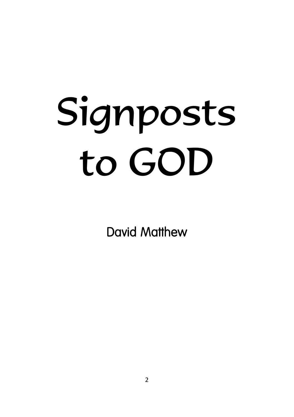# Signposts to GOD

David Matthew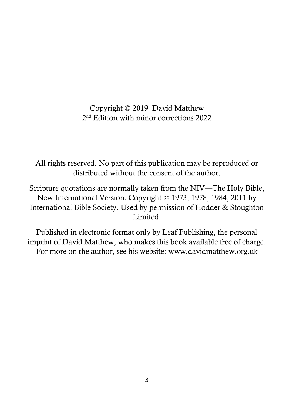Copyright © 2019 David Matthew 2 nd Edition with minor corrections 2022

All rights reserved. No part of this publication may be reproduced or distributed without the consent of the author.

Scripture quotations are normally taken from the NIV—The Holy Bible, New International Version. Copyright © 1973, 1978, 1984, 2011 by International Bible Society. Used by permission of Hodder & Stoughton Limited.

Published in electronic format only by Leaf Publishing, the personal imprint of David Matthew, who makes this book available free of charge. For more on the author, see his website: www.davidmatthew.org.uk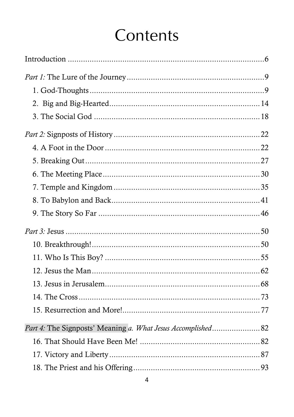## Contents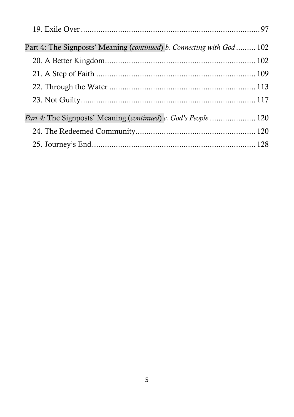| Part 4: The Signposts' Meaning (continued) b. Connecting with God  102 |  |
|------------------------------------------------------------------------|--|
|                                                                        |  |
|                                                                        |  |
|                                                                        |  |
|                                                                        |  |
| Part 4: The Signposts' Meaning (continued) c. God's People  120        |  |
|                                                                        |  |
|                                                                        |  |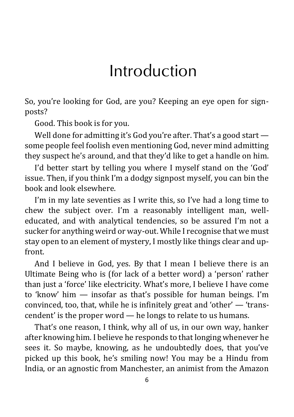#### Introduction

<span id="page-5-0"></span>So, you're looking for God, are you? Keeping an eye open for signposts?

Good. This book is for you.

Well done for admitting it's God you're after. That's a good start some people feel foolish even mentioning God, never mind admitting they suspect he's around, and that they'd like to get a handle on him.

I'd better start by telling you where I myself stand on the 'God' issue. Then, if you think I'm a dodgy signpost myself, you can bin the book and look elsewhere.

I'm in my late seventies as I write this, so I've had a long time to chew the subject over. I'm a reasonably intelligent man, welleducated, and with analytical tendencies, so be assured I'm not a sucker for anything weird or way-out. While I recognise that we must stay open to an element of mystery, I mostly like things clear and upfront.

And I believe in God, yes. By that I mean I believe there is an Ultimate Being who is (for lack of a better word) a 'person' rather than just a 'force' like electricity. What's more, I believe I have come to 'know' him — insofar as that's possible for human beings. I'm convinced, too, that, while he is infinitely great and 'other' — 'transcendent' is the proper word — he longs to relate to us humans.

That's one reason, I think, why all of us, in our own way, hanker after knowing him. I believe he responds to that longing whenever he sees it. So maybe, knowing, as he undoubtedly does, that you've picked up this book, he's smiling now! You may be a Hindu from India, or an agnostic from Manchester, an animist from the Amazon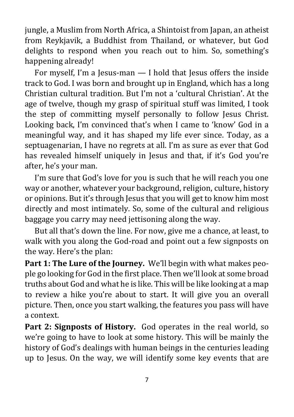jungle, a Muslim from North Africa, a Shintoist from Japan, an atheist from Reykjavik, a Buddhist from Thailand, or whatever, but God delights to respond when you reach out to him. So, something's happening already!

For myself, I'm a Jesus-man — I hold that Jesus offers the inside track to God. I was born and brought up in England, which has a long Christian cultural tradition. But I'm not a 'cultural Christian'. At the age of twelve, though my grasp of spiritual stuff was limited, I took the step of committing myself personally to follow Jesus Christ. Looking back, I'm convinced that's when I came to 'know' God in a meaningful way, and it has shaped my life ever since. Today, as a septuagenarian, I have no regrets at all. I'm as sure as ever that God has revealed himself uniquely in Jesus and that, if it's God you're after, he's your man.

I'm sure that God's love for you is such that he will reach you one way or another, whatever your background, religion, culture, history or opinions. But it's through Jesus that you will get to know him most directly and most intimately. So, some of the cultural and religious baggage you carry may need jettisoning along the way.

But all that's down the line. For now, give me a chance, at least, to walk with you along the God-road and point out a few signposts on the way. Here's the plan:

**Part 1: The Lure of the Journey.** We'll begin with what makes people go looking for God in the first place. Then we'll look at some broad truths about God and what he is like. This will be like looking at a map to review a hike you're about to start. It will give you an overall picture. Then, once you start walking, the features you pass will have a context.

Part 2: Signposts of History. God operates in the real world, so we're going to have to look at some history. This will be mainly the history of God's dealings with human beings in the centuries leading up to Jesus. On the way, we will identify some key events that are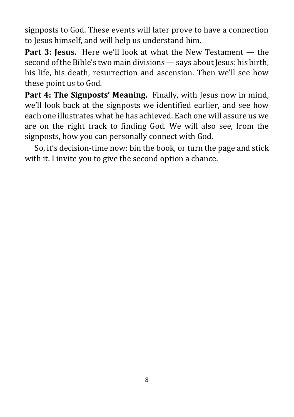signposts to God. These events will later prove to have a connection to Jesus himself, and will help us understand him.

**Part 3: Jesus.** Here we'll look at what the New Testament — the second of the Bible's two main divisions — says about Jesus: his birth, his life, his death, resurrection and ascension. Then we'll see how these point us to God.

**Part 4: The Signposts' Meaning.** Finally, with Jesus now in mind, we'll look back at the signposts we identified earlier, and see how each one illustrates what he has achieved. Each one will assure us we are on the right track to finding God. We will also see, from the signposts, how you can personally connect with God.

So, it's decision-time now: bin the book, or turn the page and stick with it. I invite you to give the second option a chance.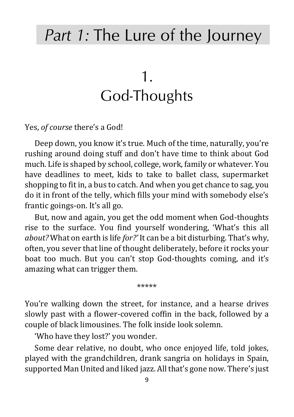## <span id="page-8-1"></span><span id="page-8-0"></span>*Part 1:* The Lure of the Journey

1. God-Thoughts

Yes, *of course* there's a God!

Deep down, you know it's true. Much of the time, naturally, you're rushing around doing stuff and don't have time to think about God much. Life is shaped by school, college, work, family or whatever. You have deadlines to meet, kids to take to ballet class, supermarket shopping to fit in, a bus to catch. And when you get chance to sag, you do it in front of the telly, which fills your mind with somebody else's frantic goings-on. It's all go.

But, now and again, you get the odd moment when God-thoughts rise to the surface. You find yourself wondering, 'What's this all *about?* What on earth is life *for?'* It can be a bit disturbing. That's why, often, you sever that line of thought deliberately, before it rocks your boat too much. But you can't stop God-thoughts coming, and it's amazing what can trigger them.

\*\*\*\*\*

You're walking down the street, for instance, and a hearse drives slowly past with a flower-covered coffin in the back, followed by a couple of black limousines. The folk inside look solemn.

'Who have they lost?' you wonder.

Some dear relative, no doubt, who once enjoyed life, told jokes, played with the grandchildren, drank sangria on holidays in Spain, supported Man United and liked jazz. All that's gone now. There's just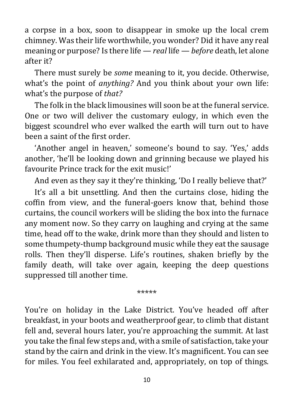a corpse in a box, soon to disappear in smoke up the local crem chimney. Was their life worthwhile, you wonder? Did it have any real meaning or purpose? Is there life — *real* life — *before* death, let alone after it?

There must surely be *some* meaning to it, you decide. Otherwise, what's the point of *anything?* And you think about your own life: what's the purpose of *that?* 

The folk in the black limousines will soon be at the funeral service. One or two will deliver the customary eulogy, in which even the biggest scoundrel who ever walked the earth will turn out to have been a saint of the first order.

'Another angel in heaven,' someone's bound to say. 'Yes,' adds another, 'he'll be looking down and grinning because we played his favourite Prince track for the exit music!'

And even as they say it they're thinking, 'Do I really believe that?'

It's all a bit unsettling. And then the curtains close, hiding the coffin from view, and the funeral-goers know that, behind those curtains, the council workers will be sliding the box into the furnace any moment now. So they carry on laughing and crying at the same time, head off to the wake, drink more than they should and listen to some thumpety-thump background music while they eat the sausage rolls. Then they'll disperse. Life's routines, shaken briefly by the family death, will take over again, keeping the deep questions suppressed till another time.

\*\*\*\*\*

You're on holiday in the Lake District. You've headed off after breakfast, in your boots and weatherproof gear, to climb that distant fell and, several hours later, you're approaching the summit. At last you take the final few steps and, with a smile of satisfaction, take your stand by the cairn and drink in the view. It's magnificent. You can see for miles. You feel exhilarated and, appropriately, on top of things.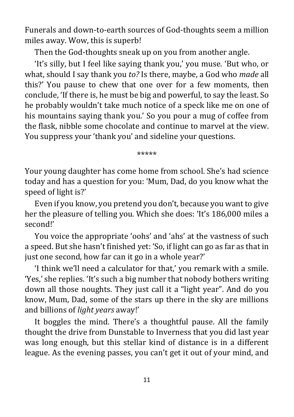Funerals and down-to-earth sources of God-thoughts seem a million miles away. Wow, this is superb!

Then the God-thoughts sneak up on you from another angle.

'It's silly, but I feel like saying thank you,' you muse. 'But who, or what, should I say thank you *to?* Is there, maybe, a God who *made* all this?' You pause to chew that one over for a few moments, then conclude, 'If there is, he must be big and powerful, to say the least. So he probably wouldn't take much notice of a speck like me on one of his mountains saying thank you.' So you pour a mug of coffee from the flask, nibble some chocolate and continue to marvel at the view. You suppress your 'thank you' and sideline your questions.

\*\*\*\*\*

Your young daughter has come home from school. She's had science today and has a question for you: 'Mum, Dad, do you know what the speed of light is?'

Even if you know, you pretend you don't, because you want to give her the pleasure of telling you. Which she does: 'It's 186,000 miles a second!'

You voice the appropriate 'oohs' and 'ahs' at the vastness of such a speed. But she hasn't finished yet: 'So, if light can go as far as that in just one second, how far can it go in a whole year?'

'I think we'll need a calculator for that,' you remark with a smile. 'Yes,' she replies. 'It's such a big number that nobody bothers writing down all those noughts. They just call it a "light year". And do you know, Mum, Dad, some of the stars up there in the sky are millions and billions of *light years* away!'

It boggles the mind. There's a thoughtful pause. All the family thought the drive from Dunstable to Inverness that you did last year was long enough, but this stellar kind of distance is in a different league. As the evening passes, you can't get it out of your mind, and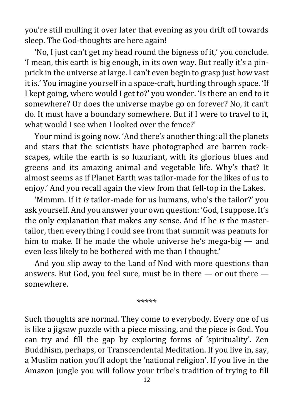you're still mulling it over later that evening as you drift off towards sleep. The God-thoughts are here again!

'No, I just can't get my head round the bigness of it,' you conclude. 'I mean, this earth is big enough, in its own way. But really it's a pinprick in the universe at large. I can't even begin to grasp just how vast it is.' You imagine yourself in a space-craft, hurtling through space. 'If I kept going, where would I get to?' you wonder. 'Is there an end to it somewhere? Or does the universe maybe go on forever? No, it can't do. It must have a boundary somewhere. But if I were to travel to it, what would I see when I looked over the fence?'

Your mind is going now. 'And there's another thing: all the planets and stars that the scientists have photographed are barren rockscapes, while the earth is so luxuriant, with its glorious blues and greens and its amazing animal and vegetable life. Why's that? It almost seems as if Planet Earth was tailor-made for the likes of us to enjoy.' And you recall again the view from that fell-top in the Lakes.

'Mmmm. If it *is* tailor-made for us humans, who's the tailor?' you ask yourself. And you answer your own question: 'God, I suppose. It's the only explanation that makes any sense. And if he *is* the mastertailor, then everything I could see from that summit was peanuts for him to make. If he made the whole universe he's mega-big — and even less likely to be bothered with me than I thought.'

And you slip away to the Land of Nod with more questions than answers. But God, you feel sure, must be in there — or out there somewhere.

\*\*\*\*\*

Such thoughts are normal. They come to everybody. Every one of us is like a jigsaw puzzle with a piece missing, and the piece is God. You can try and fill the gap by exploring forms of 'spirituality'. Zen Buddhism, perhaps, or Transcendental Meditation. If you live in, say, a Muslim nation you'll adopt the 'national religion'. If you live in the Amazon jungle you will follow your tribe's tradition of trying to fill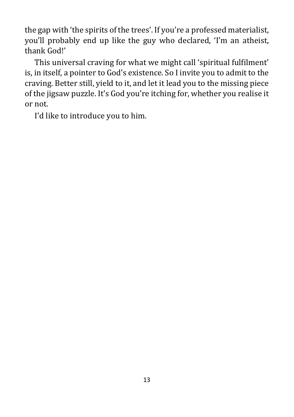the gap with 'the spirits of the trees'. If you're a professed materialist, you'll probably end up like the guy who declared, 'I'm an atheist, thank God!'

This universal craving for what we might call 'spiritual fulfilment' is, in itself, a pointer to God's existence. So I invite you to admit to the craving. Better still, yield to it, and let it lead you to the missing piece of the jigsaw puzzle. It's God you're itching for, whether you realise it or not.

I'd like to introduce you to him.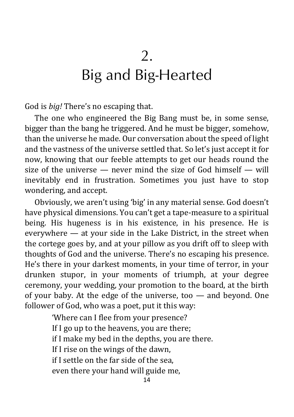#### Big and Big-Hearted

<span id="page-13-0"></span>God is *big!* There's no escaping that.

The one who engineered the Big Bang must be, in some sense, bigger than the bang he triggered. And he must be bigger, somehow, than the universe he made. Our conversation about the speed of light and the vastness of the universe settled that. So let's just accept it for now, knowing that our feeble attempts to get our heads round the size of the universe  $-$  never mind the size of God himself  $-$  will inevitably end in frustration. Sometimes you just have to stop wondering, and accept.

Obviously, we aren't using 'big' in any material sense. God doesn't have physical dimensions. You can't get a tape-measure to a spiritual being. His hugeness is in his existence, in his presence. He is everywhere — at your side in the Lake District, in the street when the cortege goes by, and at your pillow as you drift off to sleep with thoughts of God and the universe. There's no escaping his presence. He's there in your darkest moments, in your time of terror, in your drunken stupor, in your moments of triumph, at your degree ceremony, your wedding, your promotion to the board, at the birth of your baby. At the edge of the universe, too — and beyond. One follower of God, who was a poet, put it this way:

> 'Where can I flee from your presence? If I go up to the heavens, you are there; if I make my bed in the depths, you are there. If I rise on the wings of the dawn, if I settle on the far side of the sea, even there your hand will guide me,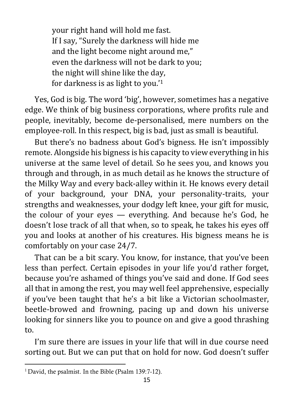your right hand will hold me fast. If I say, "Surely the darkness will hide me and the light become night around me," even the darkness will not be dark to you; the night will shine like the day, for darkness is as light to you.'<sup>1</sup>

Yes, God is big. The word 'big', however, sometimes has a negative edge. We think of big business corporations, where profits rule and people, inevitably, become de-personalised, mere numbers on the employee-roll. In this respect, big is bad, just as small is beautiful.

But there's no badness about God's bigness. He isn't impossibly remote. Alongside his bigness is his capacity to view everything in his universe at the same level of detail. So he sees you, and knows you through and through, in as much detail as he knows the structure of the Milky Way and every back-alley within it. He knows every detail of your background, your DNA, your personality-traits, your strengths and weaknesses, your dodgy left knee, your gift for music, the colour of your eyes — everything. And because he's God, he doesn't lose track of all that when, so to speak, he takes his eyes off you and looks at another of his creatures. His bigness means he is comfortably on your case 24/7.

That can be a bit scary. You know, for instance, that you've been less than perfect. Certain episodes in your life you'd rather forget, because you're ashamed of things you've said and done. If God sees all that in among the rest, you may well feel apprehensive, especially if you've been taught that he's a bit like a Victorian schoolmaster, beetle-browed and frowning, pacing up and down his universe looking for sinners like you to pounce on and give a good thrashing to.

I'm sure there are issues in your life that will in due course need sorting out. But we can put that on hold for now. God doesn't suffer

 $1$  David, the psalmist. In the Bible (Psalm 139:7-12).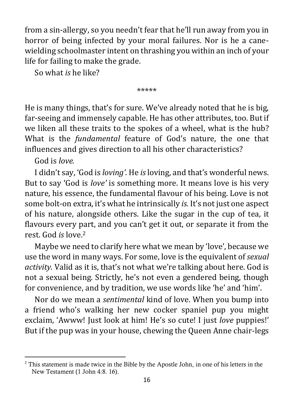from a sin-allergy, so you needn't fear that he'll run away from you in horror of being infected by your moral failures. Nor is he a canewielding schoolmaster intent on thrashing you within an inch of your life for failing to make the grade.

So what *is* he like?

\*\*\*\*\*

He is many things, that's for sure. We've already noted that he is big, far-seeing and immensely capable. He has other attributes, too. But if we liken all these traits to the spokes of a wheel, what is the hub? What is the *fundamental* feature of God's nature, the one that influences and gives direction to all his other characteristics?

God is *love.* 

I didn't say, 'God is *loving'.* He *is* loving, and that's wonderful news. But to say 'God is *love'* is something more. It means love is his very nature, his essence, the fundamental flavour of his being. Love is not some bolt-on extra, it's what he intrinsically *is.* It's not just one aspect of his nature, alongside others. Like the sugar in the cup of tea, it flavours every part, and you can't get it out, or separate it from the rest. God *is* love.<sup>2</sup>

Maybe we need to clarify here what we mean by 'love', because we use the word in many ways. For some, love is the equivalent of *sexual activity.* Valid as it is, that's not what we're talking about here. God is not a sexual being. Strictly, he's not even a gendered being, though for convenience, and by tradition, we use words like 'he' and 'him'.

Nor do we mean a *sentimental* kind of love. When you bump into a friend who's walking her new cocker spaniel pup you might exclaim, 'Awww! Just look at him! He's so cute! I just *love* puppies!' But if the pup was in your house, chewing the Queen Anne chair-legs

<sup>&</sup>lt;sup>2</sup> This statement is made twice in the Bible by the Apostle John, in one of his letters in the New Testament (1 John 4:8. 16).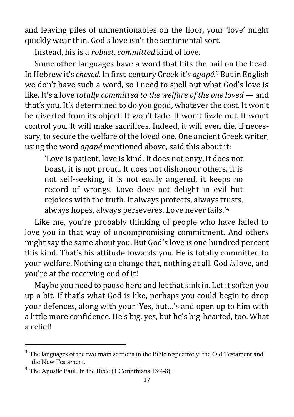and leaving piles of unmentionables on the floor, your 'love' might quickly wear thin. God's love isn't the sentimental sort.

Instead, his is a *robust, committed* kind of love.

Some other languages have a word that hits the nail on the head. In Hebrew it's *chesed.* In first-century Greek it's *agapé.<sup>3</sup>* But in English we don't have such a word, so I need to spell out what God's love is like. It's a love *totally committed to the welfare of the one loved* — and that's you. It's determined to do you good, whatever the cost. It won't be diverted from its object. It won't fade. It won't fizzle out. It won't control you. It will make sacrifices. Indeed, it will even die, if necessary, to secure the welfare of the loved one. One ancient Greek writer, using the word *agapé* mentioned above, said this about it:

'Love is patient, love is kind. It does not envy, it does not boast, it is not proud. It does not dishonour others, it is not self-seeking, it is not easily angered, it keeps no record of wrongs. Love does not delight in evil but rejoices with the truth. It always protects, always trusts, always hopes, always perseveres. Love never fails.'<sup>4</sup>

Like me, you're probably thinking of people who have failed to love you in that way of uncompromising commitment. And others might say the same about you. But God's love is one hundred percent this kind. That's his attitude towards you. He is totally committed to your welfare. Nothing can change that, nothing at all. God *is* love, and you're at the receiving end of it!

Maybe you need to pause here and let that sink in. Let it soften you up a bit. If that's what God is like, perhaps you could begin to drop your defences, along with your 'Yes, but…'s and open up to him with a little more confidence. He's big, yes, but he's big-hearted, too. What a relief!

 $3$  The languages of the two main sections in the Bible respectively: the Old Testament and the New Testament.

<sup>&</sup>lt;sup>4</sup> The Apostle Paul. In the Bible (1 Corinthians 13:4-8).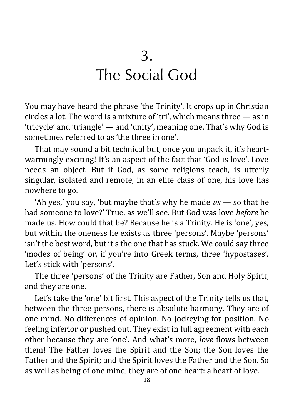#### The Social God

<span id="page-17-0"></span>You may have heard the phrase 'the Trinity'. It crops up in Christian circles a lot. The word is a mixture of 'tri', which means three — as in 'tricycle' and 'triangle' — and 'unity', meaning one. That's why God is sometimes referred to as 'the three in one'.

That may sound a bit technical but, once you unpack it, it's heartwarmingly exciting! It's an aspect of the fact that 'God is love'. Love needs an object. But if God, as some religions teach, is utterly singular, isolated and remote, in an elite class of one, his love has nowhere to go.

'Ah yes,' you say, 'but maybe that's why he made *us* — so that he had someone to love?' True, as we'll see. But God was love *before* he made us. How could that be? Because he is a Trinity. He is 'one', yes, but within the oneness he exists as three 'persons'. Maybe 'persons' isn't the best word, but it's the one that has stuck. We could say three 'modes of being' or, if you're into Greek terms, three 'hypostases'. Let's stick with 'persons'.

The three 'persons' of the Trinity are Father, Son and Holy Spirit, and they are one.

Let's take the 'one' bit first. This aspect of the Trinity tells us that, between the three persons, there is absolute harmony. They are of one mind. No differences of opinion. No jockeying for position. No feeling inferior or pushed out. They exist in full agreement with each other because they are 'one'. And what's more, *love* flows between them! The Father loves the Spirit and the Son; the Son loves the Father and the Spirit; and the Spirit loves the Father and the Son. So as well as being of one mind, they are of one heart: a heart of love.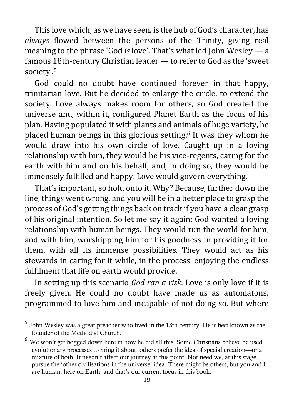This love which, as we have seen, is the hub of God's character, has *always* flowed between the persons of the Trinity, giving real meaning to the phrase 'God *is* love'. That's what led John Wesley — a famous 18th-century Christian leader — to refer to God as the 'sweet society'.<sup>5</sup>

God could no doubt have continued forever in that happy, trinitarian love. But he decided to enlarge the circle, to extend the society. Love always makes room for others, so God created the universe and, within it, configured Planet Earth as the focus of his plan. Having populated it with plants and animals of huge variety, he placed human beings in this glorious setting.<sup>6</sup> It was they whom he would draw into his own circle of love. Caught up in a loving relationship with him, they would be his vice-regents, caring for the earth with him and on his behalf, and, in doing so, they would be immensely fulfilled and happy. Love would govern everything.

That's important, so hold onto it. Why? Because, further down the line, things went wrong, and you will be in a better place to grasp the process of God's getting things back on track if you have a clear grasp of his original intention. So let me say it again: God wanted a loving relationship with human beings. They would run the world for him, and with him, worshipping him for his goodness in providing it for them, with all its immense possibilities. They would act as his stewards in caring for it while, in the process, enjoying the endless fulfilment that life on earth would provide.

In setting up this scenario *God ran a risk.* Love is only love if it is freely given. He could no doubt have made us as automatons, programmed to love him and incapable of not doing so. But where

 $<sup>5</sup>$  John Wesley was a great preacher who lived in the 18th century. He is best known as the</sup> founder of the Methodist Church.

 $6$  We won't get bogged down here in how he did all this. Some Christians believe he used evolutionary processes to bring it about; others prefer the idea of special creation—or a mixture of both. It needn't affect our journey at this point. Nor need we, at this stage, pursue the 'other civilisations in the universe' idea. There might be others, but you and I are human, here on Earth, and that's our current focus in this book.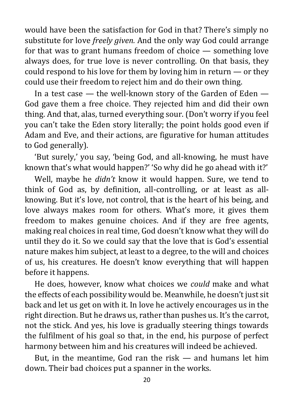would have been the satisfaction for God in that? There's simply no substitute for love *freely given.* And the only way God could arrange for that was to grant humans freedom of choice — something love always does, for true love is never controlling. On that basis, they could respond to his love for them by loving him in return — or they could use their freedom to reject him and do their own thing.

In a test case — the well-known story of the Garden of Eden — God gave them a free choice. They rejected him and did their own thing. And that, alas, turned everything sour. (Don't worry if you feel you can't take the Eden story literally; the point holds good even if Adam and Eve, and their actions, are figurative for human attitudes to God generally).

'But surely,' you say, 'being God, and all-knowing, he must have known that's what would happen?' 'So why did he go ahead with it?'

Well, maybe he *didn't* know it would happen. Sure, we tend to think of God as, by definition, all-controlling, or at least as allknowing. But it's love, not control, that is the heart of his being, and love always makes room for others. What's more, it gives them freedom to makes genuine choices. And if they are free agents, making real choices in real time, God doesn't know what they will do until they do it. So we could say that the love that is God's essential nature makes him subject, at least to a degree, to the will and choices of us, his creatures. He doesn't know everything that will happen before it happens.

He does, however, know what choices we *could* make and what the effects of each possibility would be. Meanwhile, he doesn't just sit back and let us get on with it. In love he actively encourages us in the right direction. But he draws us, rather than pushes us. It's the carrot, not the stick. And yes, his love is gradually steering things towards the fulfilment of his goal so that, in the end, his purpose of perfect harmony between him and his creatures will indeed be achieved.

But, in the meantime, God ran the risk — and humans let him down. Their bad choices put a spanner in the works.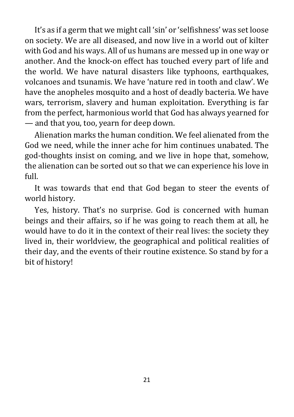It's as if a germ that we might call 'sin' or 'selfishness' was set loose on society. We are all diseased, and now live in a world out of kilter with God and his ways. All of us humans are messed up in one way or another. And the knock-on effect has touched every part of life and the world. We have natural disasters like typhoons, earthquakes, volcanoes and tsunamis. We have 'nature red in tooth and claw'. We have the anopheles mosquito and a host of deadly bacteria. We have wars, terrorism, slavery and human exploitation. Everything is far from the perfect, harmonious world that God has always yearned for — and that you, too, yearn for deep down.

Alienation marks the human condition. We feel alienated from the God we need, while the inner ache for him continues unabated. The god-thoughts insist on coming, and we live in hope that, somehow, the alienation can be sorted out so that we can experience his love in full.

It was towards that end that God began to steer the events of world history.

Yes, history. That's no surprise. God is concerned with human beings and their affairs, so if he was going to reach them at all, he would have to do it in the context of their real lives: the society they lived in, their worldview, the geographical and political realities of their day, and the events of their routine existence. So stand by for a bit of history!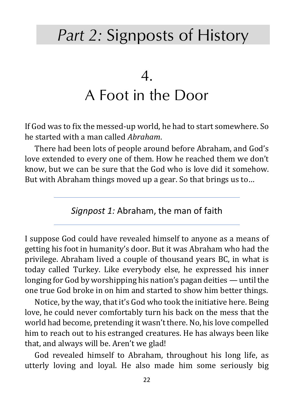## <span id="page-21-1"></span><span id="page-21-0"></span>*Part 2:* Signposts of History

#### 4. A Foot in the Door

If God was to fix the messed-up world, he had to start somewhere. So he started with a man called *Abraham*.

There had been lots of people around before Abraham, and God's love extended to every one of them. How he reached them we don't know, but we can be sure that the God who is love did it somehow. But with Abraham things moved up a gear. So that brings us to…

*Signpost 1:* Abraham, the man of faith

I suppose God could have revealed himself to anyone as a means of getting his foot in humanity's door. But it was Abraham who had the privilege. Abraham lived a couple of thousand years BC, in what is today called Turkey. Like everybody else, he expressed his inner longing for God by worshipping his nation's pagan deities — until the one true God broke in on him and started to show him better things.

Notice, by the way, that it's God who took the initiative here. Being love, he could never comfortably turn his back on the mess that the world had become, pretending it wasn't there. No, his love compelled him to reach out to his estranged creatures. He has always been like that, and always will be. Aren't we glad!

God revealed himself to Abraham, throughout his long life, as utterly loving and loyal. He also made him some seriously big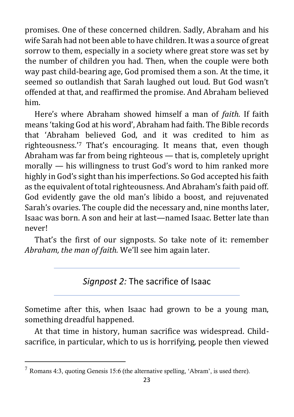promises. One of these concerned children. Sadly, Abraham and his wife Sarah had not been able to have children. It was a source of great sorrow to them, especially in a society where great store was set by the number of children you had. Then, when the couple were both way past child-bearing age, God promised them a son. At the time, it seemed so outlandish that Sarah laughed out loud. But God wasn't offended at that, and reaffirmed the promise. And Abraham believed him.

Here's where Abraham showed himself a man of *faith.* If faith means 'taking God at his word', Abraham had faith. The Bible records that 'Abraham believed God, and it was credited to him as righteousness.'<sup>7</sup> That's encouraging. It means that, even though Abraham was far from being righteous — that is, completely upright morally — his willingness to trust God's word to him ranked more highly in God's sight than his imperfections. So God accepted his faith as the equivalent of total righteousness. And Abraham's faith paid off. God evidently gave the old man's libido a boost, and rejuvenated Sarah's ovaries. The couple did the necessary and, nine months later, Isaac was born. A son and heir at last—named Isaac. Better late than never!

That's the first of our signposts. So take note of it: remember *Abraham, the man of faith.* We'll see him again later.

*Signpost 2:* The sacrifice of Isaac

Sometime after this, when Isaac had grown to be a young man, something dreadful happened.

At that time in history, human sacrifice was widespread. Childsacrifice, in particular, which to us is horrifying, people then viewed

 $^7$  Romans 4:3, quoting Genesis 15:6 (the alternative spelling, 'Abram', is used there).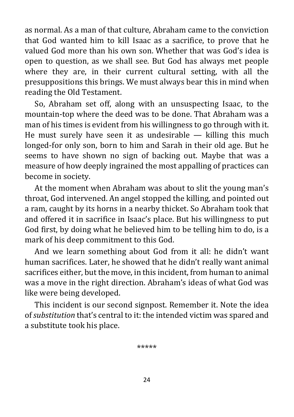as normal. As a man of that culture, Abraham came to the conviction that God wanted him to kill Isaac as a sacrifice, to prove that he valued God more than his own son. Whether that was God's idea is open to question, as we shall see. But God has always met people where they are, in their current cultural setting, with all the presuppositions this brings. We must always bear this in mind when reading the Old Testament.

So, Abraham set off, along with an unsuspecting Isaac, to the mountain-top where the deed was to be done. That Abraham was a man of his times is evident from his willingness to go through with it. He must surely have seen it as undesirable  $-$  killing this much longed-for only son, born to him and Sarah in their old age. But he seems to have shown no sign of backing out. Maybe that was a measure of how deeply ingrained the most appalling of practices can become in society.

At the moment when Abraham was about to slit the young man's throat, God intervened. An angel stopped the killing, and pointed out a ram, caught by its horns in a nearby thicket. So Abraham took that and offered it in sacrifice in Isaac's place. But his willingness to put God first, by doing what he believed him to be telling him to do, is a mark of his deep commitment to this God.

And we learn something about God from it all: he didn't want human sacrifices. Later, he showed that he didn't really want animal sacrifices either, but the move, in this incident, from human to animal was a move in the right direction. Abraham's ideas of what God was like were being developed.

This incident is our second signpost. Remember it. Note the idea of *substitution* that's central to it: the intended victim was spared and a substitute took his place.

\*\*\*\*\*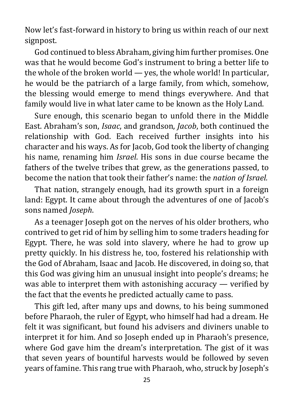Now let's fast-forward in history to bring us within reach of our next signpost.

God continued to bless Abraham, giving him further promises. One was that he would become God's instrument to bring a better life to the whole of the broken world — yes, the whole world! In particular, he would be the patriarch of a large family, from which, somehow, the blessing would emerge to mend things everywhere. And that family would live in what later came to be known as the Holy Land.

Sure enough, this scenario began to unfold there in the Middle East. Abraham's son, *Isaac*, and grandson, *Jacob*, both continued the relationship with God. Each received further insights into his character and his ways. As for Jacob, God took the liberty of changing his name, renaming him *Israel*. His sons in due course became the fathers of the twelve tribes that grew, as the generations passed, to become the nation that took their father's name: the *nation of Israel.*

That nation, strangely enough, had its growth spurt in a foreign land: Egypt. It came about through the adventures of one of Jacob's sons named *Joseph*.

As a teenager Joseph got on the nerves of his older brothers, who contrived to get rid of him by selling him to some traders heading for Egypt. There, he was sold into slavery, where he had to grow up pretty quickly. In his distress he, too, fostered his relationship with the God of Abraham, Isaac and Jacob. He discovered, in doing so, that this God was giving him an unusual insight into people's dreams; he was able to interpret them with astonishing accuracy — verified by the fact that the events he predicted actually came to pass.

This gift led, after many ups and downs, to his being summoned before Pharaoh, the ruler of Egypt, who himself had had a dream. He felt it was significant, but found his advisers and diviners unable to interpret it for him. And so Joseph ended up in Pharaoh's presence, where God gave him the dream's interpretation. The gist of it was that seven years of bountiful harvests would be followed by seven years of famine. This rang true with Pharaoh, who, struck by Joseph's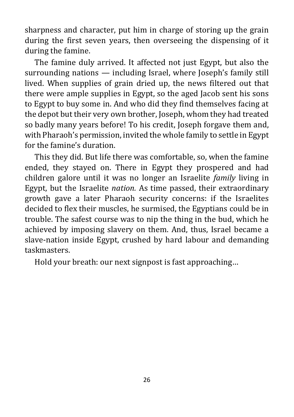sharpness and character, put him in charge of storing up the grain during the first seven years, then overseeing the dispensing of it during the famine.

The famine duly arrived. It affected not just Egypt, but also the surrounding nations — including Israel, where Joseph's family still lived. When supplies of grain dried up, the news filtered out that there were ample supplies in Egypt, so the aged Jacob sent his sons to Egypt to buy some in. And who did they find themselves facing at the depot but their very own brother, Joseph, whom they had treated so badly many years before! To his credit, Joseph forgave them and, with Pharaoh's permission, invited the whole family to settle in Egypt for the famine's duration.

This they did. But life there was comfortable, so, when the famine ended, they stayed on. There in Egypt they prospered and had children galore until it was no longer an Israelite *family* living in Egypt, but the Israelite *nation.* As time passed, their extraordinary growth gave a later Pharaoh security concerns: if the Israelites decided to flex their muscles, he surmised, the Egyptians could be in trouble. The safest course was to nip the thing in the bud, which he achieved by imposing slavery on them. And, thus, Israel became a slave-nation inside Egypt, crushed by hard labour and demanding taskmasters.

Hold your breath: our next signpost is fast approaching…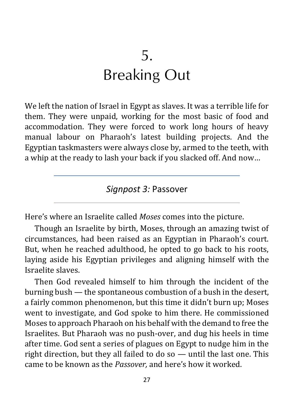#### Breaking Out

<span id="page-26-0"></span>We left the nation of Israel in Egypt as slaves. It was a terrible life for them. They were unpaid, working for the most basic of food and accommodation. They were forced to work long hours of heavy manual labour on Pharaoh's latest building projects. And the Egyptian taskmasters were always close by, armed to the teeth, with a whip at the ready to lash your back if you slacked off. And now…

*Signpost 3:* Passover

Here's where an Israelite called *Moses* comes into the picture.

Though an Israelite by birth, Moses, through an amazing twist of circumstances, had been raised as an Egyptian in Pharaoh's court. But, when he reached adulthood, he opted to go back to his roots, laying aside his Egyptian privileges and aligning himself with the Israelite slaves.

Then God revealed himself to him through the incident of the burning bush — the spontaneous combustion of a bush in the desert, a fairly common phenomenon, but this time it didn't burn up; Moses went to investigate, and God spoke to him there. He commissioned Moses to approach Pharaoh on his behalf with the demand to free the Israelites. But Pharaoh was no push-over, and dug his heels in time after time. God sent a series of plagues on Egypt to nudge him in the right direction, but they all failed to do so — until the last one. This came to be known as the *Passover,* and here's how it worked.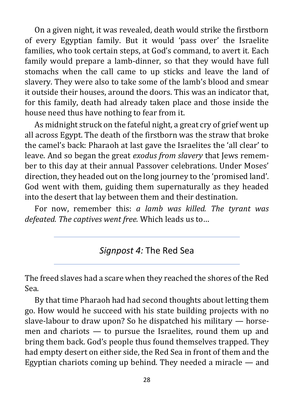On a given night, it was revealed, death would strike the firstborn of every Egyptian family. But it would 'pass over' the Israelite families, who took certain steps, at God's command, to avert it. Each family would prepare a lamb-dinner, so that they would have full stomachs when the call came to up sticks and leave the land of slavery. They were also to take some of the lamb's blood and smear it outside their houses, around the doors. This was an indicator that, for this family, death had already taken place and those inside the house need thus have nothing to fear from it.

As midnight struck on the fateful night, a great cry of grief went up all across Egypt. The death of the firstborn was the straw that broke the camel's back: Pharaoh at last gave the Israelites the 'all clear' to leave. And so began the great *exodus from slavery* that Jews remember to this day at their annual Passover celebrations. Under Moses' direction, they headed out on the long journey to the 'promised land'. God went with them, guiding them supernaturally as they headed into the desert that lay between them and their destination.

For now, remember this: *a lamb was killed. The tyrant was defeated. The captives went free.* Which leads us to…

#### *Signpost 4:* The Red Sea

The freed slaves had a scare when they reached the shores of the Red Sea.

By that time Pharaoh had had second thoughts about letting them go. How would he succeed with his state building projects with no slave-labour to draw upon? So he dispatched his military — horsemen and chariots — to pursue the Israelites, round them up and bring them back. God's people thus found themselves trapped. They had empty desert on either side, the Red Sea in front of them and the Egyptian chariots coming up behind. They needed a miracle — and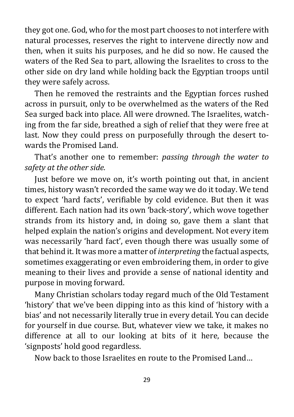they got one. God, who for the most part chooses to not interfere with natural processes, reserves the right to intervene directly now and then, when it suits his purposes, and he did so now. He caused the waters of the Red Sea to part, allowing the Israelites to cross to the other side on dry land while holding back the Egyptian troops until they were safely across.

Then he removed the restraints and the Egyptian forces rushed across in pursuit, only to be overwhelmed as the waters of the Red Sea surged back into place. All were drowned. The Israelites, watching from the far side, breathed a sigh of relief that they were free at last. Now they could press on purposefully through the desert towards the Promised Land.

That's another one to remember: *passing through the water to safety at the other side.*

Just before we move on, it's worth pointing out that, in ancient times, history wasn't recorded the same way we do it today. We tend to expect 'hard facts', verifiable by cold evidence. But then it was different. Each nation had its own 'back-story', which wove together strands from its history and, in doing so, gave them a slant that helped explain the nation's origins and development. Not every item was necessarily 'hard fact', even though there was usually some of that behind it. It was more a matter of *interpreting* the factual aspects, sometimes exaggerating or even embroidering them, in order to give meaning to their lives and provide a sense of national identity and purpose in moving forward.

Many Christian scholars today regard much of the Old Testament 'history' that we've been dipping into as this kind of 'history with a bias' and not necessarily literally true in every detail. You can decide for yourself in due course. But, whatever view we take, it makes no difference at all to our looking at bits of it here, because the 'signposts' hold good regardless.

Now back to those Israelites en route to the Promised Land…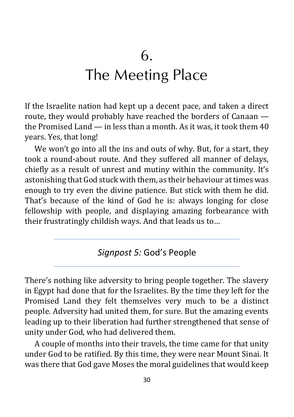#### The Meeting Place

<span id="page-29-0"></span>If the Israelite nation had kept up a decent pace, and taken a direct route, they would probably have reached the borders of Canaan the Promised Land — in less than a month. As it was, it took them 40 years. Yes, that long!

We won't go into all the ins and outs of why. But, for a start, they took a round-about route. And they suffered all manner of delays, chiefly as a result of unrest and mutiny within the community. It's astonishing that God stuck with them, as their behaviour at times was enough to try even the divine patience. But stick with them he did. That's because of the kind of God he is: always longing for close fellowship with people, and displaying amazing forbearance with their frustratingly childish ways. And that leads us to…

*Signpost 5:* God's People

There's nothing like adversity to bring people together. The slavery in Egypt had done that for the Israelites. By the time they left for the Promised Land they felt themselves very much to be a distinct people. Adversity had united them, for sure. But the amazing events leading up to their liberation had further strengthened that sense of unity under God, who had delivered them.

A couple of months into their travels, the time came for that unity under God to be ratified. By this time, they were near Mount Sinai. It was there that God gave Moses the moral guidelines that would keep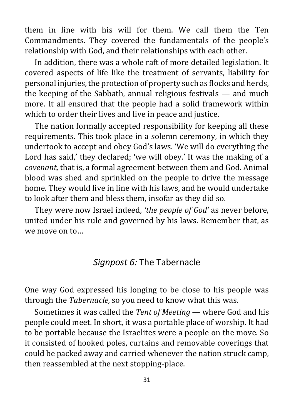them in line with his will for them. We call them the Ten Commandments. They covered the fundamentals of the people's relationship with God, and their relationships with each other.

In addition, there was a whole raft of more detailed legislation. It covered aspects of life like the treatment of servants, liability for personal injuries, the protection of property such as flocks and herds, the keeping of the Sabbath, annual religious festivals — and much more. It all ensured that the people had a solid framework within which to order their lives and live in peace and justice.

The nation formally accepted responsibility for keeping all these requirements. This took place in a solemn ceremony, in which they undertook to accept and obey God's laws. 'We will do everything the Lord has said,' they declared; 'we will obey.' It was the making of a *covenant,* that is, a formal agreement between them and God. Animal blood was shed and sprinkled on the people to drive the message home. They would live in line with his laws, and he would undertake to look after them and bless them, insofar as they did so.

They were now Israel indeed, *'the people of God'* as never before, united under his rule and governed by his laws. Remember that, as we move on to…

#### *Signpost 6:* The Tabernacle

One way God expressed his longing to be close to his people was through the *Tabernacle,* so you need to know what this was.

Sometimes it was called the *Tent of Meeting* — where God and his people could meet. In short, it was a portable place of worship. It had to be portable because the Israelites were a people on the move. So it consisted of hooked poles, curtains and removable coverings that could be packed away and carried whenever the nation struck camp, then reassembled at the next stopping-place.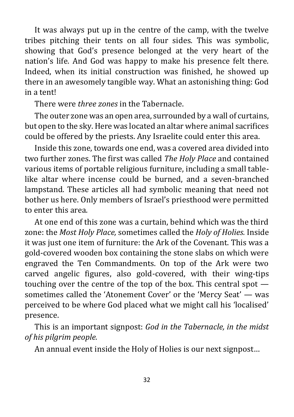It was always put up in the centre of the camp, with the twelve tribes pitching their tents on all four sides. This was symbolic, showing that God's presence belonged at the very heart of the nation's life. And God was happy to make his presence felt there. Indeed, when its initial construction was finished, he showed up there in an awesomely tangible way. What an astonishing thing: God in a tent!

There were *three zones* in the Tabernacle.

The outer zone was an open area, surrounded by a wall of curtains, but open to the sky. Here was located an altar where animal sacrifices could be offered by the priests. Any Israelite could enter this area.

Inside this zone, towards one end, was a covered area divided into two further zones. The first was called *The Holy Place* and contained various items of portable religious furniture, including a small tablelike altar where incense could be burned, and a seven-branched lampstand. These articles all had symbolic meaning that need not bother us here. Only members of Israel's priesthood were permitted to enter this area.

At one end of this zone was a curtain, behind which was the third zone: the *Most Holy Place,* sometimes called the *Holy of Holies.* Inside it was just one item of furniture: the Ark of the Covenant. This was a gold-covered wooden box containing the stone slabs on which were engraved the Ten Commandments. On top of the Ark were two carved angelic figures, also gold-covered, with their wing-tips touching over the centre of the top of the box. This central spot sometimes called the 'Atonement Cover' or the 'Mercy Seat' — was perceived to be where God placed what we might call his 'localised' presence.

This is an important signpost: *God in the Tabernacle, in the midst of his pilgrim people.*

An annual event inside the Holy of Holies is our next signpost…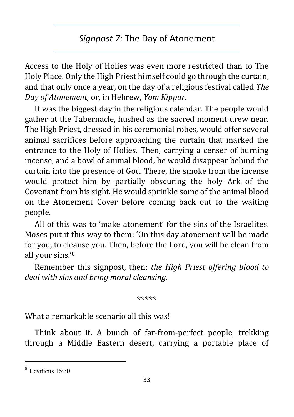#### *Signpost 7:* The Day of Atonement

Access to the Holy of Holies was even more restricted than to The Holy Place. Only the High Priest himself could go through the curtain, and that only once a year, on the day of a religious festival called *The Day of Atonement,* or, in Hebrew, *Yom Kippur.*

It was the biggest day in the religious calendar. The people would gather at the Tabernacle, hushed as the sacred moment drew near. The High Priest, dressed in his ceremonial robes, would offer several animal sacrifices before approaching the curtain that marked the entrance to the Holy of Holies. Then, carrying a censer of burning incense, and a bowl of animal blood, he would disappear behind the curtain into the presence of God. There, the smoke from the incense would protect him by partially obscuring the holy Ark of the Covenant from his sight. He would sprinkle some of the animal blood on the Atonement Cover before coming back out to the waiting people.

All of this was to 'make atonement' for the sins of the Israelites. Moses put it this way to them: 'On this day atonement will be made for you, to cleanse you. Then, before the Lord, you will be clean from all your sins.'<sup>8</sup>

Remember this signpost, then: *the High Priest offering blood to deal with sins and bring moral cleansing.*

\*\*\*\*\*

What a remarkable scenario all this was!

Think about it. A bunch of far-from-perfect people, trekking through a Middle Eastern desert, carrying a portable place of

<sup>8</sup> Leviticus 16:30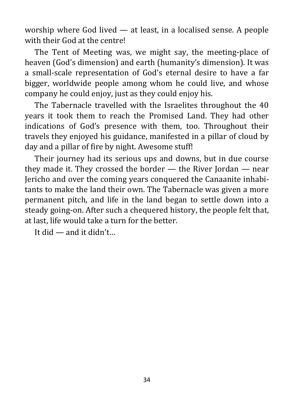worship where God lived — at least, in a localised sense. A people with their God at the centre!

The Tent of Meeting was, we might say, the meeting-place of heaven (God's dimension) and earth (humanity's dimension). It was a small-scale representation of God's eternal desire to have a far bigger, worldwide people among whom he could live, and whose company he could enjoy, just as they could enjoy his.

The Tabernacle travelled with the Israelites throughout the 40 years it took them to reach the Promised Land. They had other indications of God's presence with them, too. Throughout their travels they enjoyed his guidance, manifested in a pillar of cloud by day and a pillar of fire by night. Awesome stuff!

Their journey had its serious ups and downs, but in due course they made it. They crossed the border — the River Jordan — near Jericho and over the coming years conquered the Canaanite inhabitants to make the land their own. The Tabernacle was given a more permanent pitch, and life in the land began to settle down into a steady going-on. After such a chequered history, the people felt that, at last, life would take a turn for the better.

It did — and it didn't…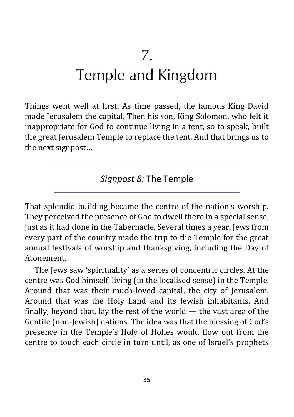#### <span id="page-34-0"></span>7. Temple and Kingdom

Things went well at first. As time passed, the famous King David made Jerusalem the capital. Then his son, King Solomon, who felt it inappropriate for God to continue living in a tent, so to speak, built the great Jerusalem Temple to replace the tent. And that brings us to the next signpost…

*Signpost 8:* The Temple

That splendid building became the centre of the nation's worship. They perceived the presence of God to dwell there in a special sense, just as it had done in the Tabernacle. Several times a year, Jews from every part of the country made the trip to the Temple for the great annual festivals of worship and thanksgiving, including the Day of Atonement.

The Jews saw 'spirituality' as a series of concentric circles. At the centre was God himself, living (in the localised sense) in the Temple. Around that was their much-loved capital, the city of Jerusalem. Around that was the Holy Land and its Jewish inhabitants. And finally, beyond that, lay the rest of the world — the vast area of the Gentile (non-Jewish) nations. The idea was that the blessing of God's presence in the Temple's Holy of Holies would flow out from the centre to touch each circle in turn until, as one of Israel's prophets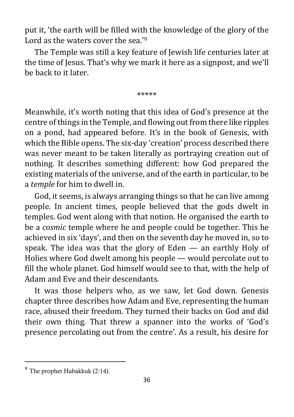put it, 'the earth will be filled with the knowledge of the glory of the Lord as the waters cover the sea.'<sup>9</sup>

The Temple was still a key feature of Jewish life centuries later at the time of Jesus. That's why we mark it here as a signpost, and we'll be back to it later.

\*\*\*\*\*

Meanwhile, it's worth noting that this idea of God's presence at the centre of things in the Temple, and flowing out from there like ripples on a pond, had appeared before. It's in the book of Genesis, with which the Bible opens. The six-day 'creation' process described there was never meant to be taken literally as portraying creation out of nothing. It describes something different: how God prepared the existing materials of the universe, and of the earth in particular, to be a *temple* for him to dwell in.

God, it seems, is always arranging things so that he can live among people. In ancient times, people believed that the gods dwelt in temples. God went along with that notion. He organised the earth to be a *cosmic* temple where he and people could be together. This he achieved in six 'days', and then on the seventh day he moved in, so to speak. The idea was that the glory of Eden — an earthly Holy of Holies where God dwelt among his people — would percolate out to fill the whole planet. God himself would see to that, with the help of Adam and Eve and their descendants.

It was those helpers who, as we saw, let God down. Genesis chapter three describes how Adam and Eve, representing the human race, abused their freedom. They turned their backs on God and did their own thing. That threw a spanner into the works of 'God's presence percolating out from the centre'. As a result, his desire for

<sup>9</sup> The prophet Habakkuk (2:14).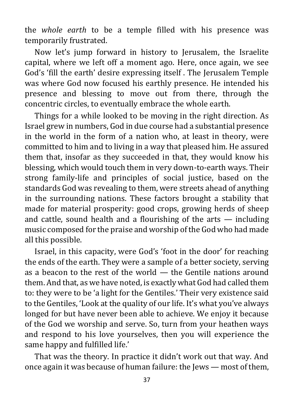the *whole earth* to be a temple filled with his presence was temporarily frustrated.

Now let's jump forward in history to Jerusalem, the Israelite capital, where we left off a moment ago. Here, once again, we see God's 'fill the earth' desire expressing itself . The Jerusalem Temple was where God now focused his earthly presence. He intended his presence and blessing to move out from there, through the concentric circles, to eventually embrace the whole earth.

Things for a while looked to be moving in the right direction. As Israel grew in numbers, God in due course had a substantial presence in the world in the form of a nation who, at least in theory, were committed to him and to living in a way that pleased him. He assured them that, insofar as they succeeded in that, they would know his blessing, which would touch them in very down-to-earth ways. Their strong family-life and principles of social justice, based on the standards God was revealing to them, were streets ahead of anything in the surrounding nations. These factors brought a stability that made for material prosperity: good crops, growing herds of sheep and cattle, sound health and a flourishing of the arts — including music composed for the praise and worship of the God who had made all this possible.

Israel, in this capacity, were God's 'foot in the door' for reaching the ends of the earth. They were a sample of a better society, serving as a beacon to the rest of the world — the Gentile nations around them. And that, as we have noted, is exactly what God had called them to: they were to be 'a light for the Gentiles.' Their very existence said to the Gentiles, 'Look at the quality of our life. It's what you've always longed for but have never been able to achieve. We enjoy it because of the God we worship and serve. So, turn from your heathen ways and respond to his love yourselves, then you will experience the same happy and fulfilled life.'

That was the theory. In practice it didn't work out that way. And once again it was because of human failure: the Jews — most of them,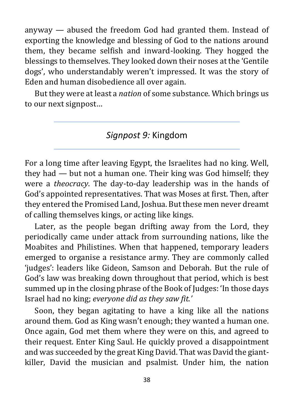anyway — abused the freedom God had granted them. Instead of exporting the knowledge and blessing of God to the nations around them, they became selfish and inward-looking. They hogged the blessings to themselves. They looked down their noses at the 'Gentile dogs', who understandably weren't impressed. It was the story of Eden and human disobedience all over again.

But they were at least a *nation* of some substance. Which brings us to our next signpost…

#### *Signpost 9:* Kingdom

For a long time after leaving Egypt, the Israelites had no king. Well, they had — but not a human one. Their king was God himself; they were a *theocracy*. The day-to-day leadership was in the hands of God's appointed representatives. That was Moses at first. Then, after they entered the Promised Land, Joshua. But these men never dreamt of calling themselves kings, or acting like kings.

Later, as the people began drifting away from the Lord, they periodically came under attack from surrounding nations, like the Moabites and Philistines. When that happened, temporary leaders emerged to organise a resistance army. They are commonly called 'judges': leaders like Gideon, Samson and Deborah. But the rule of God's law was breaking down throughout that period, which is best summed up in the closing phrase of the Book of Judges: 'In those days Israel had no king; *everyone did as they saw fit.'*

Soon, they began agitating to have a king like all the nations around them. God as King wasn't enough; they wanted a human one. Once again, God met them where they were on this, and agreed to their request. Enter King Saul. He quickly proved a disappointment and was succeeded by the great King David. That was David the giantkiller, David the musician and psalmist. Under him, the nation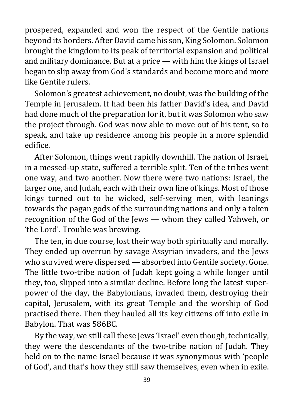prospered, expanded and won the respect of the Gentile nations beyond its borders. After David came his son, King Solomon. Solomon brought the kingdom to its peak of territorial expansion and political and military dominance. But at a price — with him the kings of Israel began to slip away from God's standards and become more and more like Gentile rulers.

Solomon's greatest achievement, no doubt, was the building of the Temple in Jerusalem. It had been his father David's idea, and David had done much of the preparation for it, but it was Solomon who saw the project through. God was now able to move out of his tent, so to speak, and take up residence among his people in a more splendid edifice.

After Solomon, things went rapidly downhill. The nation of Israel, in a messed-up state, suffered a terrible split. Ten of the tribes went one way, and two another. Now there were two nations: Israel, the larger one, and Judah, each with their own line of kings. Most of those kings turned out to be wicked, self-serving men, with leanings towards the pagan gods of the surrounding nations and only a token recognition of the God of the Jews — whom they called Yahweh, or 'the Lord'. Trouble was brewing.

The ten, in due course, lost their way both spiritually and morally. They ended up overrun by savage Assyrian invaders, and the Jews who survived were dispersed — absorbed into Gentile society. Gone. The little two-tribe nation of Judah kept going a while longer until they, too, slipped into a similar decline. Before long the latest superpower of the day, the Babylonians, invaded them, destroying their capital, Jerusalem, with its great Temple and the worship of God practised there. Then they hauled all its key citizens off into exile in Babylon. That was 586BC.

By the way, we still call these Jews 'Israel' even though, technically, they were the descendants of the two-tribe nation of Judah. They held on to the name Israel because it was synonymous with 'people of God', and that's how they still saw themselves, even when in exile.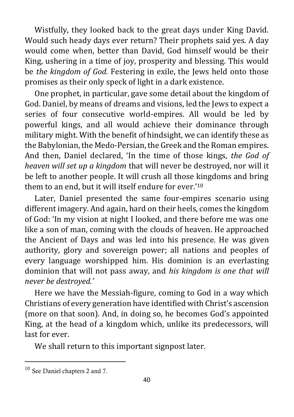Wistfully, they looked back to the great days under King David. Would such heady days ever return? Their prophets said yes. A day would come when, better than David, God himself would be their King, ushering in a time of joy, prosperity and blessing. This would be *the kingdom of God.* Festering in exile, the Jews held onto those promises as their only speck of light in a dark existence.

One prophet, in particular, gave some detail about the kingdom of God. Daniel, by means of dreams and visions, led the Jews to expect a series of four consecutive world-empires. All would be led by powerful kings, and all would achieve their dominance through military might. With the benefit of hindsight, we can identify these as the Babylonian, the Medo-Persian, the Greek and the Roman empires. And then, Daniel declared, 'In the time of those kings, *the God of heaven will set up a kingdom* that will never be destroyed, nor will it be left to another people. It will crush all those kingdoms and bring them to an end, but it will itself endure for ever.'<sup>10</sup>

Later, Daniel presented the same four-empires scenario using different imagery. And again, hard on their heels, comes the kingdom of God: 'In my vision at night I looked, and there before me was one like a son of man, coming with the clouds of heaven. He approached the Ancient of Days and was led into his presence. He was given authority, glory and sovereign power; all nations and peoples of every language worshipped him. His dominion is an everlasting dominion that will not pass away, and *his kingdom is one that will never be destroyed.'* 

Here we have the Messiah-figure, coming to God in a way which Christians of every generation have identified with Christ's ascension (more on that soon). And, in doing so, he becomes God's appointed King, at the head of a kingdom which, unlike its predecessors, will last for ever.

We shall return to this important signpost later.

<sup>10</sup> See Daniel chapters 2 and 7.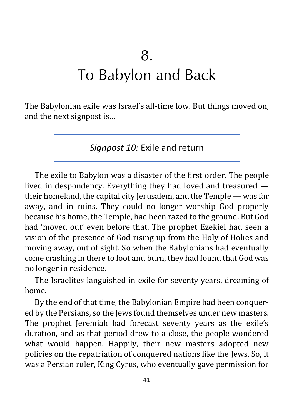# 8. To Babylon and Back

The Babylonian exile was Israel's all-time low. But things moved on, and the next signpost is…

*Signpost 10:* Exile and return

The exile to Babylon was a disaster of the first order. The people lived in despondency. Everything they had loved and treasured their homeland, the capital city Jerusalem, and the Temple — was far away, and in ruins. They could no longer worship God properly because his home, the Temple, had been razed to the ground. But God had 'moved out' even before that. The prophet Ezekiel had seen a vision of the presence of God rising up from the Holy of Holies and moving away, out of sight. So when the Babylonians had eventually come crashing in there to loot and burn, they had found that God was no longer in residence.

The Israelites languished in exile for seventy years, dreaming of home.

By the end of that time, the Babylonian Empire had been conquered by the Persians, so the Jews found themselves under new masters. The prophet Jeremiah had forecast seventy years as the exile's duration, and as that period drew to a close, the people wondered what would happen. Happily, their new masters adopted new policies on the repatriation of conquered nations like the Jews. So, it was a Persian ruler, King Cyrus, who eventually gave permission for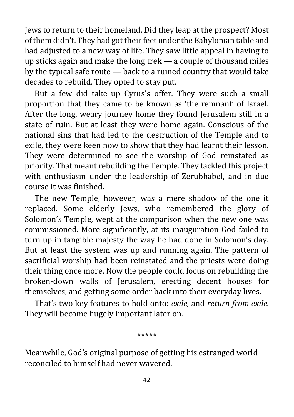Jews to return to their homeland. Did they leap at the prospect? Most of them didn't. They had got their feet under the Babylonian table and had adjusted to a new way of life. They saw little appeal in having to up sticks again and make the long trek — a couple of thousand miles by the typical safe route — back to a ruined country that would take decades to rebuild. They opted to stay put.

But a few did take up Cyrus's offer. They were such a small proportion that they came to be known as 'the remnant' of Israel. After the long, weary journey home they found Jerusalem still in a state of ruin. But at least they were home again. Conscious of the national sins that had led to the destruction of the Temple and to exile, they were keen now to show that they had learnt their lesson. They were determined to see the worship of God reinstated as priority. That meant rebuilding the Temple. They tackled this project with enthusiasm under the leadership of Zerubbabel, and in due course it was finished.

The new Temple, however, was a mere shadow of the one it replaced. Some elderly Jews, who remembered the glory of Solomon's Temple, wept at the comparison when the new one was commissioned. More significantly, at its inauguration God failed to turn up in tangible majesty the way he had done in Solomon's day. But at least the system was up and running again. The pattern of sacrificial worship had been reinstated and the priests were doing their thing once more. Now the people could focus on rebuilding the broken-down walls of Jerusalem, erecting decent houses for themselves, and getting some order back into their everyday lives.

That's two key features to hold onto: *exile,* and *return from exile.* They will become hugely important later on.

\*\*\*\*\*

Meanwhile, God's original purpose of getting his estranged world reconciled to himself had never wavered.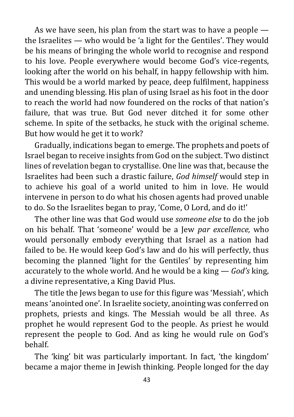As we have seen, his plan from the start was to have a people the Israelites — who would be 'a light for the Gentiles'. They would be his means of bringing the whole world to recognise and respond to his love. People everywhere would become God's vice-regents, looking after the world on his behalf, in happy fellowship with him. This would be a world marked by peace, deep fulfilment, happiness and unending blessing. His plan of using Israel as his foot in the door to reach the world had now foundered on the rocks of that nation's failure, that was true. But God never ditched it for some other scheme. In spite of the setbacks, he stuck with the original scheme. But how would he get it to work?

Gradually, indications began to emerge. The prophets and poets of Israel began to receive insights from God on the subject. Two distinct lines of revelation began to crystallise. One line was that, because the Israelites had been such a drastic failure, *God himself* would step in to achieve his goal of a world united to him in love. He would intervene in person to do what his chosen agents had proved unable to do. So the Israelites began to pray, 'Come, O Lord, and do it!'

The other line was that God would use *someone else* to do the job on his behalf. That 'someone' would be a Jew *par excellence,* who would personally embody everything that Israel as a nation had failed to be. He would keep God's law and do his will perfectly, thus becoming the planned 'light for the Gentiles' by representing him accurately to the whole world. And he would be a king — *God's* king, a divine representative, a King David Plus.

The title the Jews began to use for this figure was 'Messiah', which means 'anointed one'. In Israelite society, anointing was conferred on prophets, priests and kings. The Messiah would be all three. As prophet he would represent God to the people. As priest he would represent the people to God. And as king he would rule on God's behalf.

The 'king' bit was particularly important. In fact, 'the kingdom' became a major theme in Jewish thinking. People longed for the day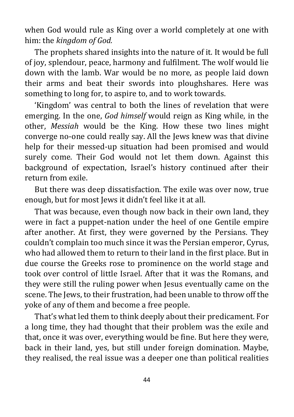when God would rule as King over a world completely at one with him: the *kingdom of God.*

The prophets shared insights into the nature of it. It would be full of joy, splendour, peace, harmony and fulfilment. The wolf would lie down with the lamb. War would be no more, as people laid down their arms and beat their swords into ploughshares. Here was something to long for, to aspire to, and to work towards.

'Kingdom' was central to both the lines of revelation that were emerging. In the one, *God himself* would reign as King while, in the other, *Messiah* would be the King. How these two lines might converge no-one could really say. All the Jews knew was that divine help for their messed-up situation had been promised and would surely come. Their God would not let them down. Against this background of expectation, Israel's history continued after their return from exile.

But there was deep dissatisfaction. The exile was over now, true enough, but for most Jews it didn't feel like it at all.

That was because, even though now back in their own land, they were in fact a puppet-nation under the heel of one Gentile empire after another. At first, they were governed by the Persians. They couldn't complain too much since it was the Persian emperor, Cyrus, who had allowed them to return to their land in the first place. But in due course the Greeks rose to prominence on the world stage and took over control of little Israel. After that it was the Romans, and they were still the ruling power when Jesus eventually came on the scene. The Jews, to their frustration, had been unable to throw off the yoke of any of them and become a free people.

That's what led them to think deeply about their predicament. For a long time, they had thought that their problem was the exile and that, once it was over, everything would be fine. But here they were, back in their land, yes, but still under foreign domination. Maybe, they realised, the real issue was a deeper one than political realities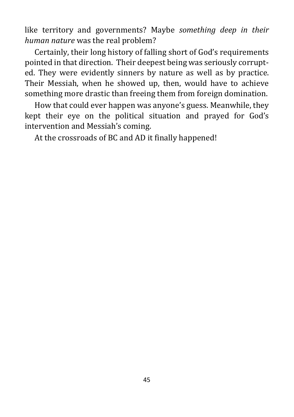like territory and governments? Maybe *something deep in their human nature* was the real problem?

Certainly, their long history of falling short of God's requirements pointed in that direction. Their deepest being was seriously corrupted. They were evidently sinners by nature as well as by practice. Their Messiah, when he showed up, then, would have to achieve something more drastic than freeing them from foreign domination.

How that could ever happen was anyone's guess. Meanwhile, they kept their eye on the political situation and prayed for God's intervention and Messiah's coming.

At the crossroads of BC and AD it finally happened!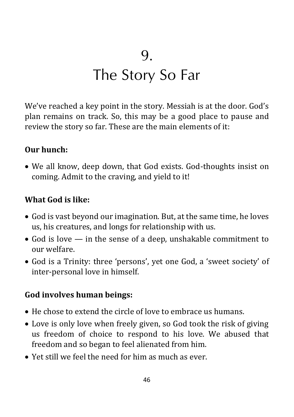# The Story So Far

We've reached a key point in the story. Messiah is at the door. God's plan remains on track. So, this may be a good place to pause and review the story so far. These are the main elements of it:

#### **Our hunch:**

• We all know, deep down, that God exists. God-thoughts insist on coming. Admit to the craving, and yield to it!

#### **What God is like:**

- God is vast beyond our imagination. But, at the same time, he loves us, his creatures, and longs for relationship with us.
- God is love in the sense of a deep, unshakable commitment to our welfare.
- God is a Trinity: three 'persons', yet one God, a 'sweet society' of inter-personal love in himself.

#### **God involves human beings:**

- He chose to extend the circle of love to embrace us humans.
- Love is only love when freely given, so God took the risk of giving us freedom of choice to respond to his love. We abused that freedom and so began to feel alienated from him.
- Yet still we feel the need for him as much as ever.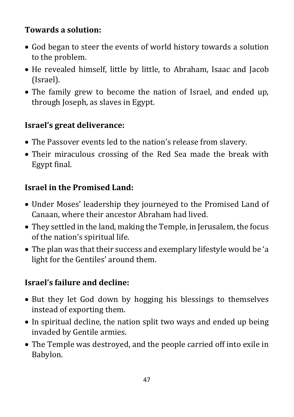### **Towards a solution:**

- God began to steer the events of world history towards a solution to the problem.
- He revealed himself, little by little, to Abraham, Isaac and Jacob (Israel).
- The family grew to become the nation of Israel, and ended up, through Joseph, as slaves in Egypt.

### **Israel's great deliverance:**

- The Passover events led to the nation's release from slavery.
- Their miraculous crossing of the Red Sea made the break with Egypt final.

### **Israel in the Promised Land:**

- Under Moses' leadership they journeyed to the Promised Land of Canaan, where their ancestor Abraham had lived.
- They settled in the land, making the Temple, in Jerusalem, the focus of the nation's spiritual life.
- The plan was that their success and exemplary lifestyle would be 'a light for the Gentiles' around them.

### **Israel's failure and decline:**

- But they let God down by hogging his blessings to themselves instead of exporting them.
- In spiritual decline, the nation split two ways and ended up being invaded by Gentile armies.
- The Temple was destroyed, and the people carried off into exile in Babylon.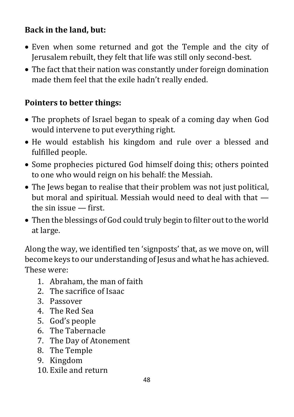### **Back in the land, but:**

- Even when some returned and got the Temple and the city of Jerusalem rebuilt, they felt that life was still only second-best.
- The fact that their nation was constantly under foreign domination made them feel that the exile hadn't really ended.

### **Pointers to better things:**

- The prophets of Israel began to speak of a coming day when God would intervene to put everything right.
- He would establish his kingdom and rule over a blessed and fulfilled people.
- Some prophecies pictured God himself doing this; others pointed to one who would reign on his behalf: the Messiah.
- The Jews began to realise that their problem was not just political, but moral and spiritual. Messiah would need to deal with that the sin issue — first.
- Then the blessings of God could truly begin to filter out to the world at large.

Along the way, we identified ten 'signposts' that, as we move on, will become keys to our understanding of Jesus and what he has achieved. These were:

- 1. Abraham, the man of faith
- 2. The sacrifice of Isaac
- 3. Passover
- 4. The Red Sea
- 5. God's people
- 6. The Tabernacle
- 7. The Day of Atonement
- 8. The Temple
- 9. Kingdom
- 10. Exile and return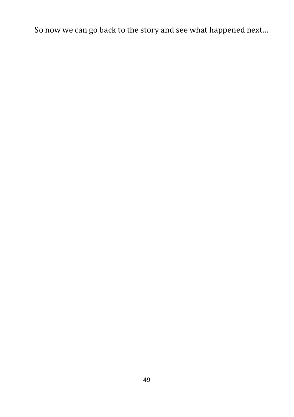So now we can go back to the story and see what happened next…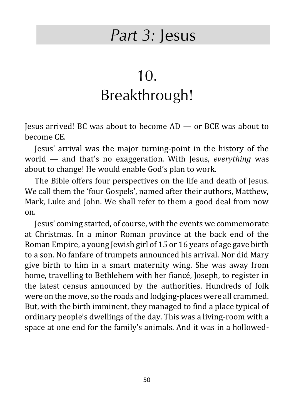## *Part 3:* Jesus

# 10. Breakthrough!

Jesus arrived! BC was about to become AD — or BCE was about to become CE.

Jesus' arrival was the major turning-point in the history of the world — and that's no exaggeration. With Jesus, *everything* was about to change! He would enable God's plan to work.

The Bible offers four perspectives on the life and death of Jesus. We call them the 'four Gospels', named after their authors, Matthew, Mark, Luke and John. We shall refer to them a good deal from now on.

Jesus' coming started, of course, with the events we commemorate at Christmas. In a minor Roman province at the back end of the Roman Empire, a young Jewish girl of 15 or 16 years of age gave birth to a son. No fanfare of trumpets announced his arrival. Nor did Mary give birth to him in a smart maternity wing. She was away from home, travelling to Bethlehem with her fiancé, Joseph, to register in the latest census announced by the authorities. Hundreds of folk were on the move, so the roads and lodging-places were all crammed. But, with the birth imminent, they managed to find a place typical of ordinary people's dwellings of the day. This was a living-room with a space at one end for the family's animals. And it was in a hollowed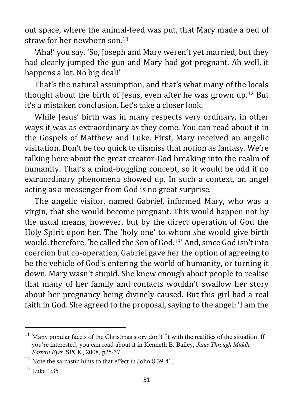out space, where the animal-feed was put, that Mary made a bed of straw for her newborn son.<sup>11</sup>

'Aha!' you say. 'So, Joseph and Mary weren't yet married, but they had clearly jumped the gun and Mary had got pregnant. Ah well, it happens a lot. No big deal!'

That's the natural assumption, and that's what many of the locals thought about the birth of Jesus, even after he was grown up.<sup>12</sup> But it's a mistaken conclusion. Let's take a closer look.

While Jesus' birth was in many respects very ordinary, in other ways it was as extraordinary as they come. You can read about it in the Gospels of Matthew and Luke. First, Mary received an angelic visitation. Don't be too quick to dismiss that notion as fantasy. We're talking here about the great creator-God breaking into the realm of humanity. That's a mind-boggling concept, so it would be odd if no extraordinary phenomena showed up. In such a context, an angel acting as a messenger from God is no great surprise.

The angelic visitor, named Gabriel, informed Mary, who was a virgin, that she would become pregnant. This would happen not by the usual means, however, but by the direct operation of God the Holy Spirit upon her. The 'holy one' to whom she would give birth would, therefore, 'be called the Son of God.13' And, since God isn't into coercion but co-operation, Gabriel gave her the option of agreeing to be the vehicle of God's entering the world of humanity, or turning it down. Mary wasn't stupid. She knew enough about people to realise that many of her family and contacts wouldn't swallow her story about her pregnancy being divinely caused. But this girl had a real faith in God. She agreed to the proposal, saying to the angel: 'I am the

 $11$  Many popular facets of the Christmas story don't fit with the realities of the situation. If you're interested, you can read about it in Kenneth E. Bailey, *Jesus Through Middle Eastern Eyes,* SPCK, 2008, p25-37.

<sup>&</sup>lt;sup>12</sup> Note the sarcastic hints to that effect in John 8:39-41.

<sup>13</sup> Luke 1:35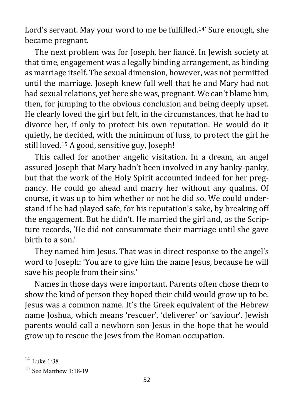Lord's servant. May your word to me be fulfilled.<sup>14'</sup> Sure enough, she became pregnant.

The next problem was for Joseph, her fiancé. In Jewish society at that time, engagement was a legally binding arrangement, as binding as marriage itself. The sexual dimension, however, was not permitted until the marriage. Joseph knew full well that he and Mary had not had sexual relations, yet here she was, pregnant. We can't blame him, then, for jumping to the obvious conclusion and being deeply upset. He clearly loved the girl but felt, in the circumstances, that he had to divorce her, if only to protect his own reputation. He would do it quietly, he decided, with the minimum of fuss, to protect the girl he still loved.<sup>15</sup> A good, sensitive guy, Joseph!

This called for another angelic visitation. In a dream, an angel assured Joseph that Mary hadn't been involved in any hanky-panky, but that the work of the Holy Spirit accounted indeed for her pregnancy. He could go ahead and marry her without any qualms. Of course, it was up to him whether or not he did so. We could understand if he had played safe, for his reputation's sake, by breaking off the engagement. But he didn't. He married the girl and, as the Scripture records, 'He did not consummate their marriage until she gave birth to a son.'

They named him Jesus. That was in direct response to the angel's word to Joseph: 'You are to give him the name Jesus, because he will save his people from their sins.'

Names in those days were important. Parents often chose them to show the kind of person they hoped their child would grow up to be. Jesus was a common name. It's the Greek equivalent of the Hebrew name Joshua, which means 'rescuer', 'deliverer' or 'saviour'. Jewish parents would call a newborn son Jesus in the hope that he would grow up to rescue the Jews from the Roman occupation.

<sup>14</sup> Luke 1:38

 $15$  See Matthew 1:18-19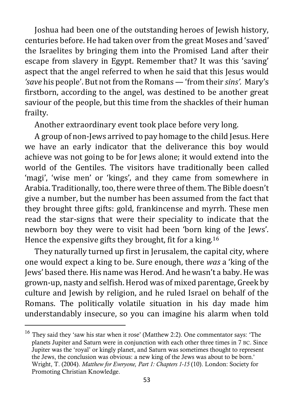Joshua had been one of the outstanding heroes of Jewish history, centuries before. He had taken over from the great Moses and 'saved' the Israelites by bringing them into the Promised Land after their escape from slavery in Egypt. Remember that? It was this 'saving' aspect that the angel referred to when he said that this Jesus would *'save* his people'. But not from the Romans — 'from their *sins'.* Mary's firstborn, according to the angel, was destined to be another great saviour of the people, but this time from the shackles of their human frailty.

Another extraordinary event took place before very long.

A group of non-Jews arrived to pay homage to the child Jesus. Here we have an early indicator that the deliverance this boy would achieve was not going to be for Jews alone; it would extend into the world of the Gentiles. The visitors have traditionally been called 'magi', 'wise men' or 'kings', and they came from somewhere in Arabia. Traditionally, too, there were three of them. The Bible doesn't give a number, but the number has been assumed from the fact that they brought three gifts: gold, frankincense and myrrh. These men read the star-signs that were their speciality to indicate that the newborn boy they were to visit had been 'born king of the Jews'. Hence the expensive gifts they brought, fit for a king.<sup>16</sup>

They naturally turned up first in Jerusalem, the capital city, where one would expect a king to be. Sure enough, there *was* a 'king of the Jews' based there. His name was Herod. And he wasn't a baby. He was grown-up, nasty and selfish. Herod was of mixed parentage, Greek by culture and Jewish by religion, and he ruled Israel on behalf of the Romans. The politically volatile situation in his day made him understandably insecure, so you can imagine his alarm when told

<sup>&</sup>lt;sup>16</sup> They said they 'saw his star when it rose' (Matthew 2:2). One commentator says: 'The planets Jupiter and Saturn were in conjunction with each other three times in 7 BC. Since Jupiter was the 'royal' or kingly planet, and Saturn was sometimes thought to represent the Jews, the conclusion was obvious: a new king of the Jews was about to be born.' Wright, T. (2004). *Matthew for Everyone, Part 1: Chapters 1-15* (10). London: Society for Promoting Christian Knowledge.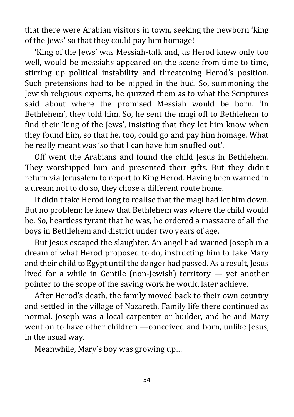that there were Arabian visitors in town, seeking the newborn 'king of the Jews' so that they could pay him homage!

'King of the Jews' was Messiah-talk and, as Herod knew only too well, would-be messiahs appeared on the scene from time to time, stirring up political instability and threatening Herod's position. Such pretensions had to be nipped in the bud. So, summoning the Jewish religious experts, he quizzed them as to what the Scriptures said about where the promised Messiah would be born. 'In Bethlehem', they told him. So, he sent the magi off to Bethlehem to find their 'king of the Jews', insisting that they let him know when they found him, so that he, too, could go and pay him homage. What he really meant was 'so that I can have him snuffed out'.

Off went the Arabians and found the child Jesus in Bethlehem. They worshipped him and presented their gifts. But they didn't return via Jerusalem to report to King Herod. Having been warned in a dream not to do so, they chose a different route home.

It didn't take Herod long to realise that the magi had let him down. But no problem: he knew that Bethlehem was where the child would be. So, heartless tyrant that he was, he ordered a massacre of all the boys in Bethlehem and district under two years of age.

But Jesus escaped the slaughter. An angel had warned Joseph in a dream of what Herod proposed to do, instructing him to take Mary and their child to Egypt until the danger had passed. As a result, Jesus lived for a while in Gentile (non-Jewish) territory — yet another pointer to the scope of the saving work he would later achieve.

After Herod's death, the family moved back to their own country and settled in the village of Nazareth. Family life there continued as normal. Joseph was a local carpenter or builder, and he and Mary went on to have other children —conceived and born, unlike Jesus, in the usual way.

Meanwhile, Mary's boy was growing up…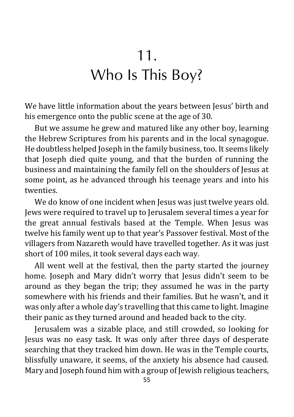# 11. Who Is This Boy?

We have little information about the years between Jesus' birth and his emergence onto the public scene at the age of 30.

But we assume he grew and matured like any other boy, learning the Hebrew Scriptures from his parents and in the local synagogue. He doubtless helped Joseph in the family business, too. It seems likely that Joseph died quite young, and that the burden of running the business and maintaining the family fell on the shoulders of Jesus at some point, as he advanced through his teenage years and into his twenties.

We do know of one incident when Jesus was just twelve years old. Jews were required to travel up to Jerusalem several times a year for the great annual festivals based at the Temple. When Jesus was twelve his family went up to that year's Passover festival. Most of the villagers from Nazareth would have travelled together. As it was just short of 100 miles, it took several days each way.

All went well at the festival, then the party started the journey home. Joseph and Mary didn't worry that Jesus didn't seem to be around as they began the trip; they assumed he was in the party somewhere with his friends and their families. But he wasn't, and it was only after a whole day's travelling that this came to light. Imagine their panic as they turned around and headed back to the city.

Jerusalem was a sizable place, and still crowded, so looking for Jesus was no easy task. It was only after three days of desperate searching that they tracked him down. He was in the Temple courts, blissfully unaware, it seems, of the anxiety his absence had caused. Mary and Joseph found him with a group of Jewish religious teachers,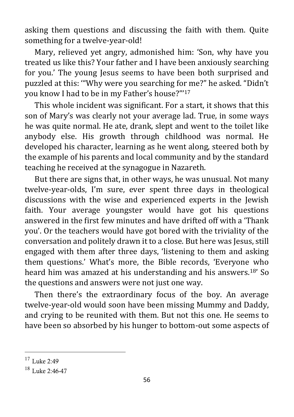asking them questions and discussing the faith with them. Quite something for a twelve-year-old!

Mary, relieved yet angry, admonished him: 'Son, why have you treated us like this? Your father and I have been anxiously searching for you.' The young Jesus seems to have been both surprised and puzzled at this: '"Why were you searching for me?" he asked. "Didn't you know I had to be in my Father's house?"'<sup>17</sup>

This whole incident was significant. For a start, it shows that this son of Mary's was clearly not your average lad. True, in some ways he was quite normal. He ate, drank, slept and went to the toilet like anybody else. His growth through childhood was normal. He developed his character, learning as he went along, steered both by the example of his parents and local community and by the standard teaching he received at the synagogue in Nazareth.

But there are signs that, in other ways, he was unusual. Not many twelve-year-olds, I'm sure, ever spent three days in theological discussions with the wise and experienced experts in the Jewish faith. Your average youngster would have got his questions answered in the first few minutes and have drifted off with a 'Thank you'. Or the teachers would have got bored with the triviality of the conversation and politely drawn it to a close. But here was Jesus, still engaged with them after three days, 'listening to them and asking them questions.' What's more, the Bible records, 'Everyone who heard him was amazed at his understanding and his answers.18' So the questions and answers were not just one way.

Then there's the extraordinary focus of the boy. An average twelve-year-old would soon have been missing Mummy and Daddy, and crying to be reunited with them. But not this one. He seems to have been so absorbed by his hunger to bottom-out some aspects of

<sup>17</sup> Luke 2:49

<sup>18</sup> Luke 2:46-47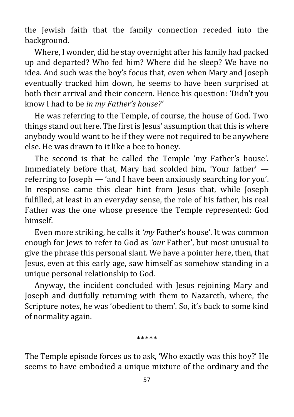the Jewish faith that the family connection receded into the background.

Where, I wonder, did he stay overnight after his family had packed up and departed? Who fed him? Where did he sleep? We have no idea. And such was the boy's focus that, even when Mary and Joseph eventually tracked him down, he seems to have been surprised at both their arrival and their concern. Hence his question: 'Didn't you know I had to be *in my Father's house?'*

He was referring to the Temple, of course, the house of God. Two things stand out here. The first is Jesus' assumption that this is where anybody would want to be if they were not required to be anywhere else. He was drawn to it like a bee to honey.

The second is that he called the Temple 'my Father's house'. Immediately before that, Mary had scolded him, 'Your father' referring to Joseph — 'and I have been anxiously searching for you'. In response came this clear hint from Jesus that, while Joseph fulfilled, at least in an everyday sense, the role of his father, his real Father was the one whose presence the Temple represented: God himself.

Even more striking, he calls it *'my* Father's house'. It was common enough for Jews to refer to God as *'our* Father', but most unusual to give the phrase this personal slant. We have a pointer here, then, that Jesus, even at this early age, saw himself as somehow standing in a unique personal relationship to God.

Anyway, the incident concluded with Jesus rejoining Mary and Joseph and dutifully returning with them to Nazareth, where, the Scripture notes, he was 'obedient to them'. So, it's back to some kind of normality again.

\*\*\*\*\*

The Temple episode forces us to ask, 'Who exactly was this boy?' He seems to have embodied a unique mixture of the ordinary and the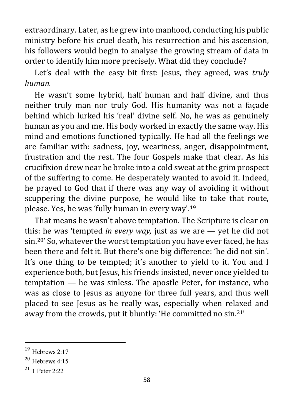extraordinary. Later, as he grew into manhood, conducting his public ministry before his cruel death, his resurrection and his ascension, his followers would begin to analyse the growing stream of data in order to identify him more precisely. What did they conclude?

Let's deal with the easy bit first: Jesus, they agreed, was *truly human.*

He wasn't some hybrid, half human and half divine, and thus neither truly man nor truly God. His humanity was not a façade behind which lurked his 'real' divine self. No, he was as genuinely human as you and me. His body worked in exactly the same way. His mind and emotions functioned typically. He had all the feelings we are familiar with: sadness, joy, weariness, anger, disappointment, frustration and the rest. The four Gospels make that clear. As his crucifixion drew near he broke into a cold sweat at the grim prospect of the suffering to come. He desperately wanted to avoid it. Indeed, he prayed to God that if there was any way of avoiding it without scuppering the divine purpose, he would like to take that route, please. Yes, he was 'fully human in every way'.<sup>19</sup>

That means he wasn't above temptation. The Scripture is clear on this: he was 'tempted *in every way,* just as we are — yet he did not sin.20' So, whatever the worst temptation you have ever faced, he has been there and felt it. But there's one big difference: 'he did not sin'. It's one thing to be tempted; it's another to yield to it. You and I experience both, but Jesus, his friends insisted, never once yielded to temptation — he was sinless. The apostle Peter, for instance, who was as close to Jesus as anyone for three full years, and thus well placed to see Jesus as he really was, especially when relaxed and away from the crowds, put it bluntly: 'He committed no sin.21'

 $19$  Hebrews 2:17

 $20$  Hebrews  $4.15$ 

 $21$  1 Peter 2:22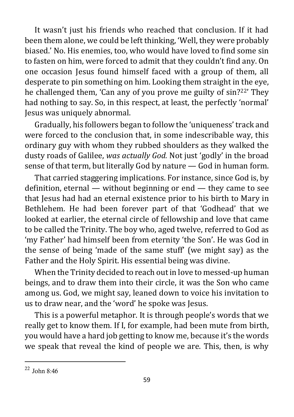It wasn't just his friends who reached that conclusion. If it had been them alone, we could be left thinking, 'Well, they were probably biased.' No. His enemies, too, who would have loved to find some sin to fasten on him, were forced to admit that they couldn't find any. On one occasion Jesus found himself faced with a group of them, all desperate to pin something on him. Looking them straight in the eye, he challenged them, 'Can any of you prove me guilty of sin?22' They had nothing to say. So, in this respect, at least, the perfectly 'normal' Jesus was uniquely abnormal.

Gradually, his followers began to follow the 'uniqueness' track and were forced to the conclusion that, in some indescribable way, this ordinary guy with whom they rubbed shoulders as they walked the dusty roads of Galilee, *was actually God.* Not just 'godly' in the broad sense of that term, but literally God by nature — God in human form.

That carried staggering implications. For instance, since God is, by definition, eternal — without beginning or end — they came to see that Jesus had had an eternal existence prior to his birth to Mary in Bethlehem. He had been forever part of that 'Godhead' that we looked at earlier, the eternal circle of fellowship and love that came to be called the Trinity. The boy who, aged twelve, referred to God as 'my Father' had himself been from eternity 'the Son'. He was God in the sense of being 'made of the same stuff' (we might say) as the Father and the Holy Spirit. His essential being was divine.

When the Trinity decided to reach out in love to messed-up human beings, and to draw them into their circle, it was the Son who came among us. God, we might say, leaned down to voice his invitation to us to draw near, and the 'word' he spoke was Jesus.

This is a powerful metaphor. It is through people's words that we really get to know them. If I, for example, had been mute from birth, you would have a hard job getting to know me, because it's the words we speak that reveal the kind of people we are. This, then, is why

 $22$  John 8:46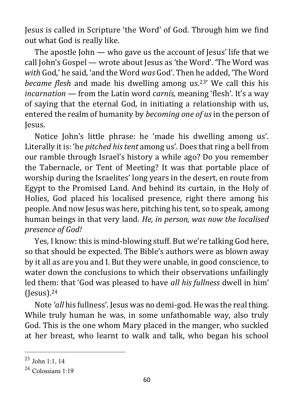Jesus is called in Scripture 'the Word' of God. Through him we find out what God is really like.

The apostle John — who gave us the account of Jesus' life that we call John's Gospel — wrote about Jesus as 'the Word'. 'The Word was *with* God,' he said, 'and the Word *was* God'. Then he added, 'The Word *became flesh* and made his dwelling among us.23' We call this his *incarnation* — from the Latin word *carnis,* meaning 'flesh'. It's a way of saying that the eternal God, in initiating a relationship with us, entered the realm of humanity by *becoming one of us* in the person of Jesus.

Notice John's little phrase: he 'made his dwelling among us'. Literally it is: 'he *pitched his tent* among us'. Does that ring a bell from our ramble through Israel's history a while ago? Do you remember the Tabernacle, or Tent of Meeting? It was that portable place of worship during the Israelites' long years in the desert, en route from Egypt to the Promised Land. And behind its curtain, in the Holy of Holies, God placed his localised presence, right there among his people. And now Jesus was here, pitching his tent, so to speak, among human beings in that very land. *He, in person, was now the localised presence of God!*

Yes, I know: this is mind-blowing stuff. But we're talking God here, so that should be expected. The Bible's authors were as blown away by it all as are you and I. But they were unable, in good conscience, to water down the conclusions to which their observations unfailingly led them: that 'God was pleased to have *all his fullness* dwell in him'  $(Iesus).<sup>24</sup>$ 

Note *'all* his fullness'. Jesus was no demi-god. He was the real thing. While truly human he was, in some unfathomable way, also truly God. This is the one whom Mary placed in the manger, who suckled at her breast, who learnt to walk and talk, who began his school

<sup>23</sup> John 1:1, 14

 $^{24}$  Colossians 1:19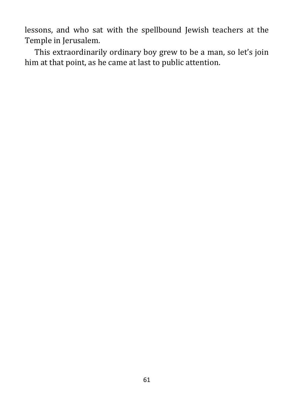lessons, and who sat with the spellbound Jewish teachers at the Temple in Jerusalem.

This extraordinarily ordinary boy grew to be a man, so let's join him at that point, as he came at last to public attention.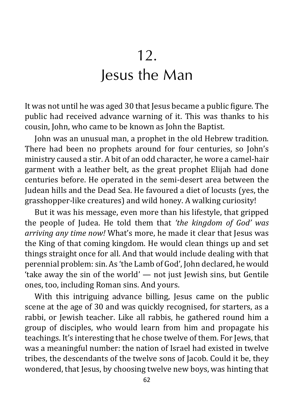## Jesus the Man

It was not until he was aged 30 that Jesus became a public figure. The public had received advance warning of it. This was thanks to his cousin, John, who came to be known as John the Baptist.

John was an unusual man, a prophet in the old Hebrew tradition. There had been no prophets around for four centuries, so John's ministry caused a stir. A bit of an odd character, he wore a camel-hair garment with a leather belt, as the great prophet Elijah had done centuries before. He operated in the semi-desert area between the Judean hills and the Dead Sea. He favoured a diet of locusts (yes, the grasshopper-like creatures) and wild honey. A walking curiosity!

But it was his message, even more than his lifestyle, that gripped the people of Judea. He told them that *'the kingdom of God' was arriving any time now!* What's more, he made it clear that Jesus was the King of that coming kingdom. He would clean things up and set things straight once for all. And that would include dealing with that perennial problem: sin. As 'the Lamb of God', John declared, he would 'take away the sin of the world' — not just Jewish sins, but Gentile ones, too, including Roman sins. And yours.

With this intriguing advance billing, Jesus came on the public scene at the age of 30 and was quickly recognised, for starters, as a rabbi, or Jewish teacher. Like all rabbis, he gathered round him a group of disciples, who would learn from him and propagate his teachings. It's interesting that he chose twelve of them. For Jews, that was a meaningful number: the nation of Israel had existed in twelve tribes, the descendants of the twelve sons of Jacob. Could it be, they wondered, that Jesus, by choosing twelve new boys, was hinting that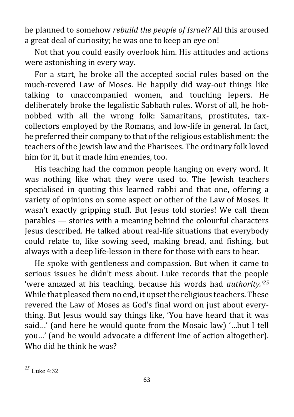he planned to somehow *rebuild the people of Israel?* All this aroused a great deal of curiosity; he was one to keep an eye on!

Not that you could easily overlook him. His attitudes and actions were astonishing in every way.

For a start, he broke all the accepted social rules based on the much-revered Law of Moses. He happily did way-out things like talking to unaccompanied women, and touching lepers. He deliberately broke the legalistic Sabbath rules. Worst of all, he hobnobbed with all the wrong folk: Samaritans, prostitutes, taxcollectors employed by the Romans, and low-life in general. In fact, he preferred their company to that of the religious establishment: the teachers of the Jewish law and the Pharisees. The ordinary folk loved him for it, but it made him enemies, too.

His teaching had the common people hanging on every word. It was nothing like what they were used to. The Jewish teachers specialised in quoting this learned rabbi and that one, offering a variety of opinions on some aspect or other of the Law of Moses. It wasn't exactly gripping stuff. But Jesus told stories! We call them parables — stories with a meaning behind the colourful characters Jesus described. He talked about real-life situations that everybody could relate to, like sowing seed, making bread, and fishing, but always with a deep life-lesson in there for those with ears to hear.

He spoke with gentleness and compassion. But when it came to serious issues he didn't mess about. Luke records that the people 'were amazed at his teaching, because his words had *authority.'<sup>25</sup>* While that pleased them no end, it upset the religious teachers. These revered the Law of Moses as God's final word on just about everything. But Jesus would say things like, 'You have heard that it was said…' (and here he would quote from the Mosaic law) '…but I tell you…' (and he would advocate a different line of action altogether). Who did he think he was?

*<sup>25</sup>* Luke 4:32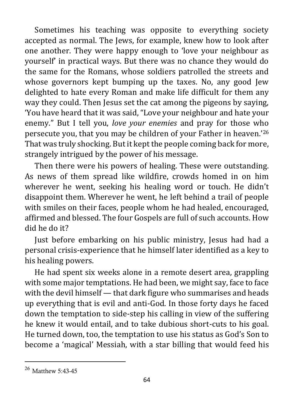Sometimes his teaching was opposite to everything society accepted as normal. The Jews, for example, knew how to look after one another. They were happy enough to 'love your neighbour as yourself' in practical ways. But there was no chance they would do the same for the Romans, whose soldiers patrolled the streets and whose governors kept bumping up the taxes. No, any good Jew delighted to hate every Roman and make life difficult for them any way they could. Then Jesus set the cat among the pigeons by saying, 'You have heard that it was said, "Love your neighbour and hate your enemy." But I tell you, *love your enemies* and pray for those who persecute you, that you may be children of your Father in heaven.'<sup>26</sup> That was truly shocking. But it kept the people coming back for more, strangely intrigued by the power of his message.

Then there were his powers of healing. These were outstanding. As news of them spread like wildfire, crowds homed in on him wherever he went, seeking his healing word or touch. He didn't disappoint them. Wherever he went, he left behind a trail of people with smiles on their faces, people whom he had healed, encouraged, affirmed and blessed. The four Gospels are full of such accounts. How did he do it?

Just before embarking on his public ministry, Jesus had had a personal crisis-experience that he himself later identified as a key to his healing powers.

He had spent six weeks alone in a remote desert area, grappling with some major temptations. He had been, we might say, face to face with the devil himself — that dark figure who summarises and heads up everything that is evil and anti-God. In those forty days he faced down the temptation to side-step his calling in view of the suffering he knew it would entail, and to take dubious short-cuts to his goal. He turned down, too, the temptation to use his status as God's Son to become a 'magical' Messiah, with a star billing that would feed his

<sup>26</sup> Matthew 5:43-45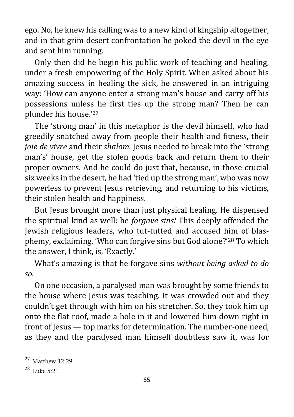ego. No, he knew his calling was to a new kind of kingship altogether, and in that grim desert confrontation he poked the devil in the eye and sent him running.

Only then did he begin his public work of teaching and healing, under a fresh empowering of the Holy Spirit. When asked about his amazing success in healing the sick, he answered in an intriguing way: 'How can anyone enter a strong man's house and carry off his possessions unless he first ties up the strong man? Then he can plunder his house.'<sup>27</sup>

The 'strong man' in this metaphor is the devil himself, who had greedily snatched away from people their health and fitness, their *joie de vivre* and their *shalom*. Jesus needed to break into the 'strong man's' house, get the stolen goods back and return them to their proper owners. And he could do just that, because, in those crucial six weeks in the desert, he had 'tied up the strong man', who was now powerless to prevent Jesus retrieving, and returning to his victims, their stolen health and happiness.

But Jesus brought more than just physical healing. He dispensed the spiritual kind as well: he *forgave sins!* This deeply offended the Jewish religious leaders, who tut-tutted and accused him of blasphemy, exclaiming, 'Who can forgive sins but God alone?'<sup>28</sup> To which the answer, I think, is, 'Exactly.'

What's amazing is that he forgave sins *without being asked to do so.*

On one occasion, a paralysed man was brought by some friends to the house where Jesus was teaching. It was crowded out and they couldn't get through with him on his stretcher. So, they took him up onto the flat roof, made a hole in it and lowered him down right in front of Jesus — top marks for determination. The number-one need, as they and the paralysed man himself doubtless saw it, was for

<sup>27</sup> Matthew 12:29

<sup>28</sup> Luke 5:21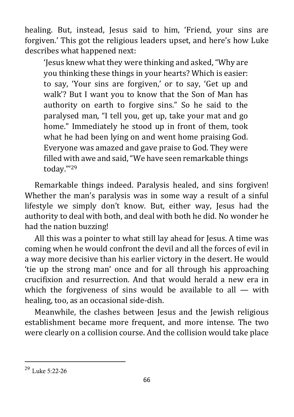healing. But, instead, Jesus said to him. 'Friend, your sins are forgiven.' This got the religious leaders upset, and here's how Luke describes what happened next:

'Jesus knew what they were thinking and asked, "Why are you thinking these things in your hearts? Which is easier: to say, 'Your sins are forgiven,' or to say, 'Get up and walk'? But I want you to know that the Son of Man has authority on earth to forgive sins." So he said to the paralysed man, "I tell you, get up, take your mat and go home." Immediately he stood up in front of them, took what he had been lying on and went home praising God. Everyone was amazed and gave praise to God. They were filled with awe and said, "We have seen remarkable things today."'<sup>29</sup>

Remarkable things indeed. Paralysis healed, and sins forgiven! Whether the man's paralysis was in some way a result of a sinful lifestyle we simply don't know. But, either way, Jesus had the authority to deal with both, and deal with both he did. No wonder he had the nation buzzing!

All this was a pointer to what still lay ahead for Jesus. A time was coming when he would confront the devil and all the forces of evil in a way more decisive than his earlier victory in the desert. He would 'tie up the strong man' once and for all through his approaching crucifixion and resurrection. And that would herald a new era in which the forgiveness of sins would be available to all  $-$  with healing, too, as an occasional side-dish.

Meanwhile, the clashes between Jesus and the Jewish religious establishment became more frequent, and more intense. The two were clearly on a collision course. And the collision would take place

<sup>29</sup> Luke 5:22-26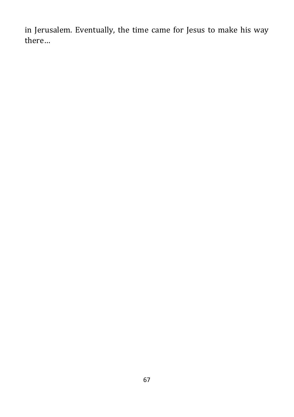in Jerusalem. Eventually, the time came for Jesus to make his way there…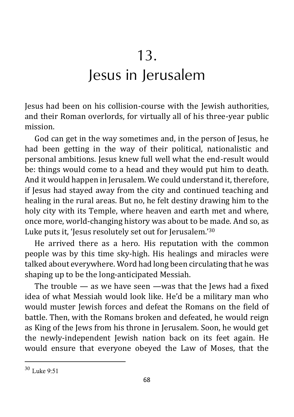## Jesus in Jerusalem

Jesus had been on his collision-course with the Jewish authorities, and their Roman overlords, for virtually all of his three-year public mission.

God can get in the way sometimes and, in the person of Jesus, he had been getting in the way of their political, nationalistic and personal ambitions. Jesus knew full well what the end-result would be: things would come to a head and they would put him to death. And it would happen in Jerusalem. We could understand it, therefore, if Jesus had stayed away from the city and continued teaching and healing in the rural areas. But no, he felt destiny drawing him to the holy city with its Temple, where heaven and earth met and where, once more, world-changing history was about to be made. And so, as Luke puts it, 'Jesus resolutely set out for Jerusalem.'<sup>30</sup>

He arrived there as a hero. His reputation with the common people was by this time sky-high. His healings and miracles were talked about everywhere. Word had long been circulating that he was shaping up to be the long-anticipated Messiah.

The trouble — as we have seen —was that the Jews had a fixed idea of what Messiah would look like. He'd be a military man who would muster Jewish forces and defeat the Romans on the field of battle. Then, with the Romans broken and defeated, he would reign as King of the Jews from his throne in Jerusalem. Soon, he would get the newly-independent Jewish nation back on its feet again. He would ensure that everyone obeyed the Law of Moses, that the

<sup>&</sup>lt;sup>30</sup> Luke 9:51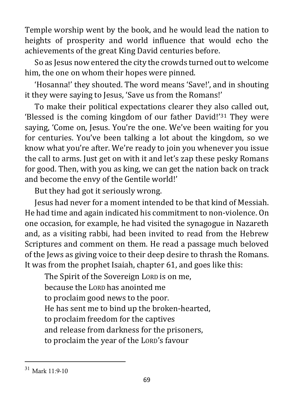Temple worship went by the book, and he would lead the nation to heights of prosperity and world influence that would echo the achievements of the great King David centuries before.

So as Jesus now entered the city the crowds turned out to welcome him, the one on whom their hopes were pinned.

'Hosanna!' they shouted. The word means 'Save!', and in shouting it they were saying to Jesus, 'Save us from the Romans!'

To make their political expectations clearer they also called out, 'Blessed is the coming kingdom of our father David!'<sup>31</sup> They were saying, 'Come on, Jesus. You're the one. We've been waiting for you for centuries. You've been talking a lot about the kingdom, so we know what you're after. We're ready to join you whenever you issue the call to arms. Just get on with it and let's zap these pesky Romans for good. Then, with you as king, we can get the nation back on track and become the envy of the Gentile world!'

But they had got it seriously wrong.

Jesus had never for a moment intended to be that kind of Messiah. He had time and again indicated his commitment to non-violence. On one occasion, for example, he had visited the synagogue in Nazareth and, as a visiting rabbi, had been invited to read from the Hebrew Scriptures and comment on them. He read a passage much beloved of the Jews as giving voice to their deep desire to thrash the Romans. It was from the prophet Isaiah, chapter 61, and goes like this:

The Spirit of the Sovereign LORD is on me, because the LORD has anointed me to proclaim good news to the poor. He has sent me to bind up the broken-hearted, to proclaim freedom for the captives and release from darkness for the prisoners, to proclaim the year of the LORD's favour

<sup>31</sup> Mark 11:9-10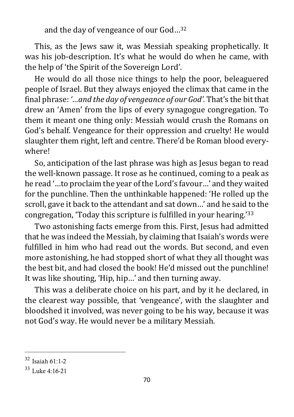and the day of vengeance of our God…<sup>32</sup>

This, as the Jews saw it, was Messiah speaking prophetically. It was his job-description. It's what he would do when he came, with the help of 'the Spirit of the Sovereign Lord'.

He would do all those nice things to help the poor, beleaguered people of Israel. But they always enjoyed the climax that came in the final phrase: *'…and the day of vengeance of our God'.* That's the bit that drew an 'Amen' from the lips of every synagogue congregation. To them it meant one thing only: Messiah would crush the Romans on God's behalf. Vengeance for their oppression and cruelty! He would slaughter them right, left and centre. There'd be Roman blood everywhere!

So, anticipation of the last phrase was high as Jesus began to read the well-known passage. It rose as he continued, coming to a peak as he read '…to proclaim the year of the Lord's favour…' and they waited for the punchline. Then the unthinkable happened: 'He rolled up the scroll, gave it back to the attendant and sat down…' and he said to the congregation, 'Today this scripture is fulfilled in your hearing.'<sup>33</sup>

Two astonishing facts emerge from this. First, Jesus had admitted that he was indeed the Messiah, by claiming that Isaiah's words were fulfilled in him who had read out the words. But second, and even more astonishing, he had stopped short of what they all thought was the best bit, and had closed the book! He'd missed out the punchline! It was like shouting, 'Hip, hip…' and then turning away.

This was a deliberate choice on his part, and by it he declared, in the clearest way possible, that 'vengeance', with the slaughter and bloodshed it involved, was never going to be his way, because it was not God's way. He would never be a military Messiah.

<sup>32</sup> Isaiah 61:1-2

<sup>33</sup> Luke 4:16-21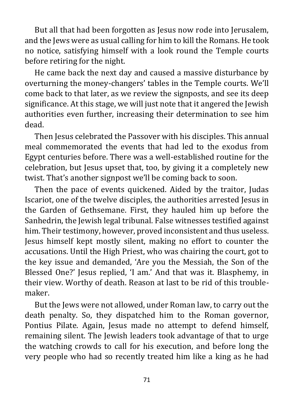But all that had been forgotten as Jesus now rode into Jerusalem, and the Jews were as usual calling for him to kill the Romans. He took no notice, satisfying himself with a look round the Temple courts before retiring for the night.

He came back the next day and caused a massive disturbance by overturning the money-changers' tables in the Temple courts. We'll come back to that later, as we review the signposts, and see its deep significance. At this stage, we will just note that it angered the Jewish authorities even further, increasing their determination to see him dead.

Then Jesus celebrated the Passover with his disciples. This annual meal commemorated the events that had led to the exodus from Egypt centuries before. There was a well-established routine for the celebration, but Jesus upset that, too, by giving it a completely new twist. That's another signpost we'll be coming back to soon.

Then the pace of events quickened. Aided by the traitor, Judas Iscariot, one of the twelve disciples, the authorities arrested Jesus in the Garden of Gethsemane. First, they hauled him up before the Sanhedrin, the Jewish legal tribunal. False witnesses testified against him. Their testimony, however, proved inconsistent and thus useless. Jesus himself kept mostly silent, making no effort to counter the accusations. Until the High Priest, who was chairing the court, got to the key issue and demanded, 'Are you the Messiah, the Son of the Blessed One?' Jesus replied, 'I am.' And that was it. Blasphemy, in their view. Worthy of death. Reason at last to be rid of this troublemaker.

But the Jews were not allowed, under Roman law, to carry out the death penalty. So, they dispatched him to the Roman governor, Pontius Pilate. Again, Jesus made no attempt to defend himself, remaining silent. The Jewish leaders took advantage of that to urge the watching crowds to call for his execution, and before long the very people who had so recently treated him like a king as he had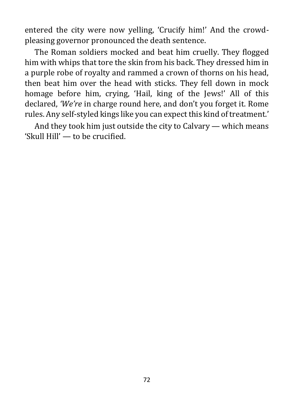entered the city were now yelling, 'Crucify him!' And the crowdpleasing governor pronounced the death sentence.

The Roman soldiers mocked and beat him cruelly. They flogged him with whips that tore the skin from his back. They dressed him in a purple robe of royalty and rammed a crown of thorns on his head, then beat him over the head with sticks. They fell down in mock homage before him, crying, 'Hail, king of the Jews!' All of this declared, *'We're* in charge round here, and don't you forget it. Rome rules. Any self-styled kings like you can expect this kind of treatment.'

And they took him just outside the city to Calvary — which means 'Skull Hill' — to be crucified.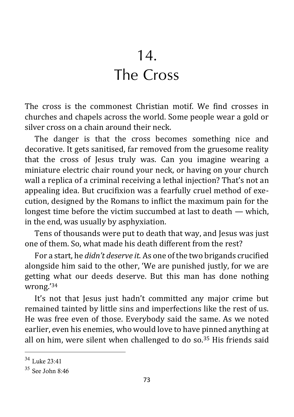## 14.

# The Cross

The cross is the commonest Christian motif. We find crosses in churches and chapels across the world. Some people wear a gold or silver cross on a chain around their neck.

The danger is that the cross becomes something nice and decorative. It gets sanitised, far removed from the gruesome reality that the cross of Jesus truly was. Can you imagine wearing a miniature electric chair round your neck, or having on your church wall a replica of a criminal receiving a lethal injection? That's not an appealing idea. But crucifixion was a fearfully cruel method of execution, designed by the Romans to inflict the maximum pain for the longest time before the victim succumbed at last to death — which, in the end, was usually by asphyxiation.

Tens of thousands were put to death that way, and Jesus was just one of them. So, what made his death different from the rest?

For a start, he *didn't deserve it.* As one of the two brigands crucified alongside him said to the other, 'We are punished justly, for we are getting what our deeds deserve. But this man has done nothing wrong.'<sup>34</sup>

It's not that Jesus just hadn't committed any major crime but remained tainted by little sins and imperfections like the rest of us. He was free even of those. Everybody said the same. As we noted earlier, even his enemies, who would love to have pinned anything at all on him, were silent when challenged to do so.<sup>35</sup> His friends said

<sup>34</sup> Luke 23:41

<sup>35</sup> See John 8:46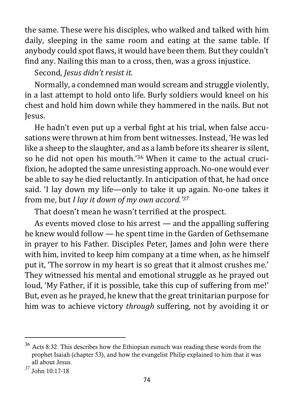the same. These were his disciples, who walked and talked with him daily, sleeping in the same room and eating at the same table. If anybody could spot flaws, it would have been them. But they couldn't find any. Nailing this man to a cross, then, was a gross injustice.

Second, *Jesus didn't resist it.*

Normally, a condemned man would scream and struggle violently, in a last attempt to hold onto life. Burly soldiers would kneel on his chest and hold him down while they hammered in the nails. But not Jesus.

He hadn't even put up a verbal fight at his trial, when false accusations were thrown at him from bent witnesses. Instead, 'He was led like a sheep to the slaughter, and as a lamb before its shearer is silent, so he did not open his mouth.'<sup>36</sup> When it came to the actual crucifixion, he adopted the same unresisting approach. No-one would ever be able to say he died reluctantly. In anticipation of that, he had once said. 'I lay down my life—only to take it up again. No-one takes it from me, but *I lay it down of my own accord.'<sup>37</sup>*

That doesn't mean he wasn't terrified at the prospect.

As events moved close to his arrest — and the appalling suffering he knew would follow — he spent time in the Garden of Gethsemane in prayer to his Father. Disciples Peter, James and John were there with him, invited to keep him company at a time when, as he himself put it, 'The sorrow in my heart is so great that it almost crushes me.' They witnessed his mental and emotional struggle as he prayed out loud, 'My Father, if it is possible, take this cup of suffering from me!' But, even as he prayed, he knew that the great trinitarian purpose for him was to achieve victory *through* suffering, not by avoiding it or

<sup>36</sup> Acts 8:32. This describes how the Ethiopian eunuch was reading these words from the prophet Isaiah (chapter 53), and how the evangelist Philip explained to him that it was all about Jesus.

*<sup>37</sup>* John 10:17-18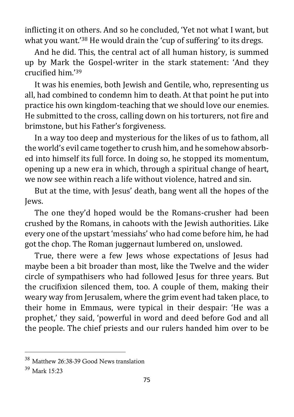inflicting it on others. And so he concluded, 'Yet not what I want, but what you want.<sup>'38</sup> He would drain the 'cup of suffering' to its dregs.

And he did. This, the central act of all human history, is summed up by Mark the Gospel-writer in the stark statement: 'And they crucified him.'<sup>39</sup>

It was his enemies, both Jewish and Gentile, who, representing us all, had combined to condemn him to death. At that point he put into practice his own kingdom-teaching that we should love our enemies. He submitted to the cross, calling down on his torturers, not fire and brimstone, but his Father's forgiveness.

In a way too deep and mysterious for the likes of us to fathom, all the world's evil came together to crush him, and he somehow absorbed into himself its full force. In doing so, he stopped its momentum, opening up a new era in which, through a spiritual change of heart, we now see within reach a life without violence, hatred and sin.

But at the time, with Jesus' death, bang went all the hopes of the Jews.

The one they'd hoped would be the Romans-crusher had been crushed by the Romans, in cahoots with the Jewish authorities. Like every one of the upstart 'messiahs' who had come before him, he had got the chop. The Roman juggernaut lumbered on, unslowed.

True, there were a few Jews whose expectations of Jesus had maybe been a bit broader than most, like the Twelve and the wider circle of sympathisers who had followed Jesus for three years. But the crucifixion silenced them, too. A couple of them, making their weary way from Jerusalem, where the grim event had taken place, to their home in Emmaus, were typical in their despair: 'He was a prophet,' they said, 'powerful in word and deed before God and all the people. The chief priests and our rulers handed him over to be

<sup>38</sup> Matthew 26:38-39 Good News translation

<sup>39</sup> Mark 15:23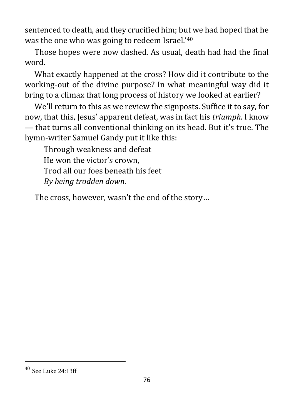sentenced to death, and they crucified him; but we had hoped that he was the one who was going to redeem Israel.'<sup>40</sup>

Those hopes were now dashed. As usual, death had had the final word.

What exactly happened at the cross? How did it contribute to the working-out of the divine purpose? In what meaningful way did it bring to a climax that long process of history we looked at earlier?

We'll return to this as we review the signposts. Suffice it to say, for now, that this, Jesus' apparent defeat, was in fact his *triumph.* I know — that turns all conventional thinking on its head. But it's true. The hymn-writer Samuel Gandy put it like this:

Through weakness and defeat He won the victor's crown, Trod all our foes beneath his feet *By being trodden down.*

The cross, however, wasn't the end of the story…

<sup>40</sup> See Luke 24:13ff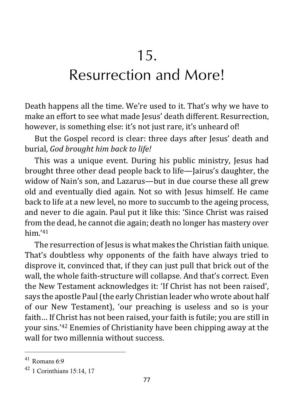15.

### Resurrection and More!

Death happens all the time. We're used to it. That's why we have to make an effort to see what made Jesus' death different. Resurrection, however, is something else: it's not just rare, it's unheard of!

But the Gospel record is clear: three days after Jesus' death and burial, *God brought him back to life!*

This was a unique event. During his public ministry, Jesus had brought three other dead people back to life—Jairus's daughter, the widow of Nain's son, and Lazarus—but in due course these all grew old and eventually died again. Not so with Jesus himself. He came back to life at a new level, no more to succumb to the ageing process, and never to die again. Paul put it like this: 'Since Christ was raised from the dead, he cannot die again; death no longer has mastery over him<sup>'41</sup>

The resurrection of Jesus is what makes the Christian faith unique. That's doubtless why opponents of the faith have always tried to disprove it, convinced that, if they can just pull that brick out of the wall, the whole faith-structure will collapse. And that's correct. Even the New Testament acknowledges it: 'If Christ has not been raised', says the apostle Paul (the early Christian leader who wrote about half of our New Testament), 'our preaching is useless and so is your faith… If Christ has not been raised, your faith is futile; you are still in your sins.'<sup>42</sup> Enemies of Christianity have been chipping away at the wall for two millennia without success.

 $41$  Romans 6:9

 $42$  1 Corinthians 15:14, 17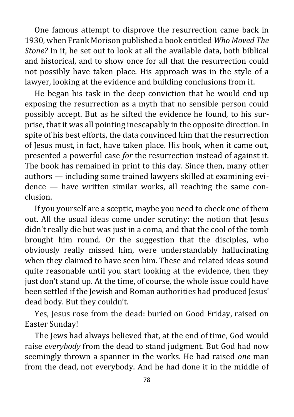One famous attempt to disprove the resurrection came back in 1930, when Frank Morison published a book entitled *Who Moved The Stone?* In it, he set out to look at all the available data, both biblical and historical, and to show once for all that the resurrection could not possibly have taken place. His approach was in the style of a lawyer, looking at the evidence and building conclusions from it.

He began his task in the deep conviction that he would end up exposing the resurrection as a myth that no sensible person could possibly accept. But as he sifted the evidence he found, to his surprise, that it was all pointing inescapably in the opposite direction. In spite of his best efforts, the data convinced him that the resurrection of Jesus must, in fact, have taken place. His book, when it came out, presented a powerful case *for* the resurrection instead of against it. The book has remained in print to this day. Since then, many other authors — including some trained lawyers skilled at examining evidence — have written similar works, all reaching the same conclusion.

If you yourself are a sceptic, maybe you need to check one of them out. All the usual ideas come under scrutiny: the notion that Jesus didn't really die but was just in a coma, and that the cool of the tomb brought him round. Or the suggestion that the disciples, who obviously really missed him, were understandably hallucinating when they claimed to have seen him. These and related ideas sound quite reasonable until you start looking at the evidence, then they just don't stand up. At the time, of course, the whole issue could have been settled if the Jewish and Roman authorities had produced Jesus' dead body. But they couldn't.

Yes, Jesus rose from the dead: buried on Good Friday, raised on Easter Sunday!

The Jews had always believed that, at the end of time, God would raise *everybody* from the dead to stand judgment. But God had now seemingly thrown a spanner in the works. He had raised *one* man from the dead, not everybody. And he had done it in the middle of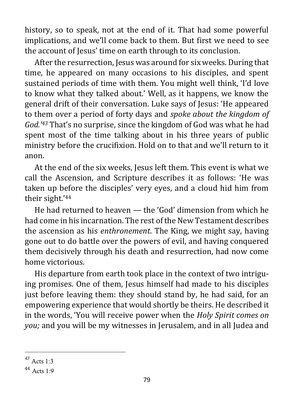history, so to speak, not at the end of it. That had some powerful implications, and we'll come back to them. But first we need to see the account of Jesus' time on earth through to its conclusion.

After the resurrection, Jesus was around for six weeks. During that time, he appeared on many occasions to his disciples, and spent sustained periods of time with them. You might well think, 'I'd love to know what they talked about.' Well, as it happens, we know the general drift of their conversation. Luke says of Jesus: 'He appeared to them over a period of forty days and *spoke about the kingdom of God.'<sup>43</sup>* That's no surprise, since the kingdom of God was what he had spent most of the time talking about in his three years of public ministry before the crucifixion. Hold on to that and we'll return to it anon.

At the end of the six weeks, Jesus left them. This event is what we call the Ascension, and Scripture describes it as follows: 'He was taken up before the disciples' very eyes, and a cloud hid him from their sight.'<sup>44</sup>

He had returned to heaven — the 'God' dimension from which he had come in his incarnation. The rest of the New Testament describes the ascension as his *enthronement*. The King, we might say, having gone out to do battle over the powers of evil, and having conquered them decisively through his death and resurrection, had now come home victorious.

His departure from earth took place in the context of two intriguing promises. One of them, Jesus himself had made to his disciples just before leaving them: they should stand by, he had said, for an empowering experience that would shortly be theirs. He described it in the words, 'You will receive power when the *Holy Spirit comes on you;* and you will be my witnesses in Jerusalem, and in all Judea and

*<sup>43</sup>* Acts 1:3

<sup>44</sup> Acts 1:9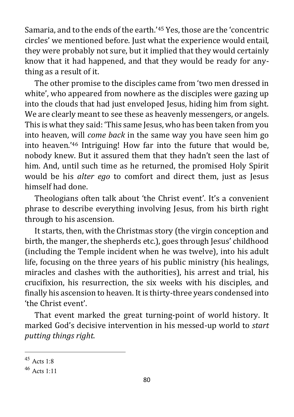Samaria, and to the ends of the earth.'<sup>45</sup> Yes, those are the 'concentric circles' we mentioned before. Just what the experience would entail, they were probably not sure, but it implied that they would certainly know that it had happened, and that they would be ready for anything as a result of it.

The other promise to the disciples came from 'two men dressed in white', who appeared from nowhere as the disciples were gazing up into the clouds that had just enveloped Jesus, hiding him from sight. We are clearly meant to see these as heavenly messengers, or angels. This is what they said: 'This same Jesus, who has been taken from you into heaven, will *come back* in the same way you have seen him go into heaven.'<sup>46</sup> Intriguing! How far into the future that would be, nobody knew. But it assured them that they hadn't seen the last of him. And, until such time as he returned, the promised Holy Spirit would be his *alter ego* to comfort and direct them, just as Jesus himself had done.

Theologians often talk about 'the Christ event'. It's a convenient phrase to describe everything involving Jesus, from his birth right through to his ascension.

It starts, then, with the Christmas story (the virgin conception and birth, the manger, the shepherds etc.), goes through Jesus' childhood (including the Temple incident when he was twelve), into his adult life, focusing on the three years of his public ministry (his healings, miracles and clashes with the authorities), his arrest and trial, his crucifixion, his resurrection, the six weeks with his disciples, and finally his ascension to heaven. It is thirty-three years condensed into 'the Christ event'.

That event marked the great turning-point of world history. It marked God's decisive intervention in his messed-up world to *start putting things right.*

<sup>45</sup> Acts 1:8

<sup>46</sup> Acts 1:11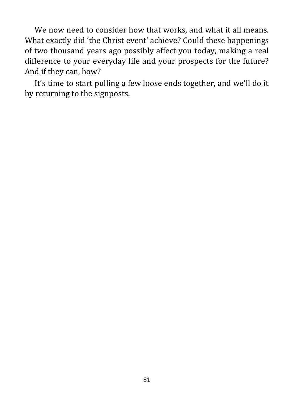We now need to consider how that works, and what it all means. What exactly did 'the Christ event' achieve? Could these happenings of two thousand years ago possibly affect you today, making a real difference to your everyday life and your prospects for the future? And if they can, how?

It's time to start pulling a few loose ends together, and we'll do it by returning to the signposts.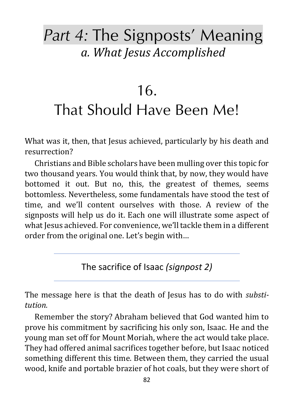### *Part 4:* The Signposts' Meaning *a. What Jesus Accomplished*

# 16. That Should Have Been Me!

What was it, then, that Jesus achieved, particularly by his death and resurrection?

Christians and Bible scholars have been mulling over this topic for two thousand years. You would think that, by now, they would have bottomed it out. But no, this, the greatest of themes, seems bottomless. Nevertheless, some fundamentals have stood the test of time, and we'll content ourselves with those. A review of the signposts will help us do it. Each one will illustrate some aspect of what Jesus achieved. For convenience, we'll tackle them in a different order from the original one. Let's begin with…

The sacrifice of Isaac *(signpost 2)*

The message here is that the death of Jesus has to do with *substitution.* 

Remember the story? Abraham believed that God wanted him to prove his commitment by sacrificing his only son, Isaac. He and the young man set off for Mount Moriah, where the act would take place. They had offered animal sacrifices together before, but Isaac noticed something different this time. Between them, they carried the usual wood, knife and portable brazier of hot coals, but they were short of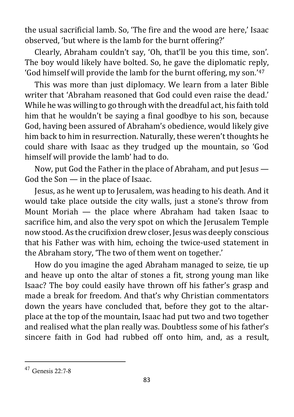the usual sacrificial lamb. So, 'The fire and the wood are here,' Isaac observed, 'but where is the lamb for the burnt offering?'

Clearly, Abraham couldn't say, 'Oh, that'll be you this time, son'. The boy would likely have bolted. So, he gave the diplomatic reply, 'God himself will provide the lamb for the burnt offering, my son.'<sup>47</sup>

This was more than just diplomacy. We learn from a later Bible writer that 'Abraham reasoned that God could even raise the dead.' While he was willing to go through with the dreadful act, his faith told him that he wouldn't be saying a final goodbye to his son, because God, having been assured of Abraham's obedience, would likely give him back to him in resurrection. Naturally, these weren't thoughts he could share with Isaac as they trudged up the mountain, so 'God himself will provide the lamb' had to do.

Now, put God the Father in the place of Abraham, and put Jesus — God the Son — in the place of Isaac.

Jesus, as he went up to Jerusalem, was heading to his death. And it would take place outside the city walls, just a stone's throw from Mount Moriah — the place where Abraham had taken Isaac to sacrifice him, and also the very spot on which the Jerusalem Temple now stood. As the crucifixion drew closer, Jesus was deeply conscious that his Father was with him, echoing the twice-used statement in the Abraham story, 'The two of them went on together.'

How do you imagine the aged Abraham managed to seize, tie up and heave up onto the altar of stones a fit, strong young man like Isaac? The boy could easily have thrown off his father's grasp and made a break for freedom. And that's why Christian commentators down the years have concluded that, before they got to the altarplace at the top of the mountain, Isaac had put two and two together and realised what the plan really was. Doubtless some of his father's sincere faith in God had rubbed off onto him, and, as a result,

<sup>47</sup> Genesis 22:7-8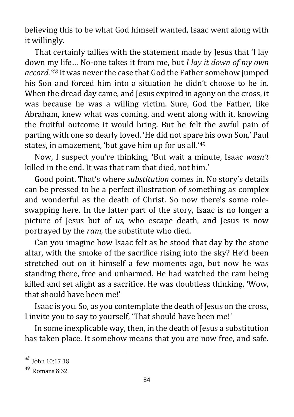believing this to be what God himself wanted, Isaac went along with it willingly.

That certainly tallies with the statement made by Jesus that 'I lay down my life… No-one takes it from me, but *I lay it down of my own accord.' <sup>48</sup>* It was never the case that God the Father somehow jumped his Son and forced him into a situation he didn't choose to be in. When the dread day came, and Jesus expired in agony on the cross, it was because he was a willing victim. Sure, God the Father, like Abraham, knew what was coming, and went along with it, knowing the fruitful outcome it would bring. But he felt the awful pain of parting with one so dearly loved. 'He did not spare his own Son,' Paul states, in amazement, 'but gave him up for us all.'<sup>49</sup>

Now, I suspect you're thinking, 'But wait a minute, Isaac *wasn't* killed in the end. It was that ram that died, not him.'

Good point. That's where *substitution* comes in. No story's details can be pressed to be a perfect illustration of something as complex and wonderful as the death of Christ. So now there's some roleswapping here. In the latter part of the story, Isaac is no longer a picture of Jesus but of *us,* who escape death, and Jesus is now portrayed by the *ram,* the substitute who died.

Can you imagine how Isaac felt as he stood that day by the stone altar, with the smoke of the sacrifice rising into the sky? He'd been stretched out on it himself a few moments ago, but now he was standing there, free and unharmed. He had watched the ram being killed and set alight as a sacrifice. He was doubtless thinking, 'Wow, that should have been me!'

Isaac is you. So, as you contemplate the death of Jesus on the cross, I invite you to say to yourself, 'That should have been me!'

In some inexplicable way, then, in the death of Jesus a substitution has taken place. It somehow means that you are now free, and safe.

*<sup>48</sup>* John 10:17-18

<sup>49</sup> Romans 8:32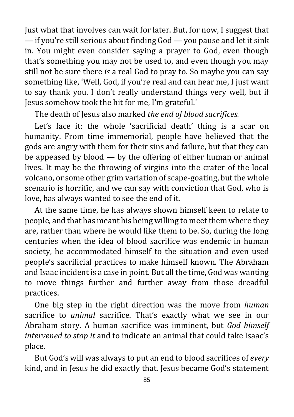Just what that involves can wait for later. But, for now, I suggest that — if you're still serious about finding God — you pause and let it sink in. You might even consider saying a prayer to God, even though that's something you may not be used to, and even though you may still not be sure there *is* a real God to pray to. So maybe you can say something like, 'Well, God, if you're real and can hear me, I just want to say thank you. I don't really understand things very well, but if Jesus somehow took the hit for me, I'm grateful.'

The death of Jesus also marked *the end of blood sacrifices.* 

Let's face it: the whole 'sacrificial death' thing is a scar on humanity. From time immemorial, people have believed that the gods are angry with them for their sins and failure, but that they can be appeased by blood — by the offering of either human or animal lives. It may be the throwing of virgins into the crater of the local volcano, or some other grim variation of scape-goating, but the whole scenario is horrific, and we can say with conviction that God, who is love, has always wanted to see the end of it.

At the same time, he has always shown himself keen to relate to people, and that has meant his being willing to meet them where they are, rather than where he would like them to be. So, during the long centuries when the idea of blood sacrifice was endemic in human society, he accommodated himself to the situation and even used people's sacrificial practices to make himself known. The Abraham and Isaac incident is a case in point. But all the time, God was wanting to move things further and further away from those dreadful practices.

One big step in the right direction was the move from *human* sacrifice to *animal* sacrifice. That's exactly what we see in our Abraham story. A human sacrifice was imminent, but *God himself intervened to stop it* and to indicate an animal that could take Isaac's place.

But God's will was always to put an end to blood sacrifices of *every* kind, and in Jesus he did exactly that. Jesus became God's statement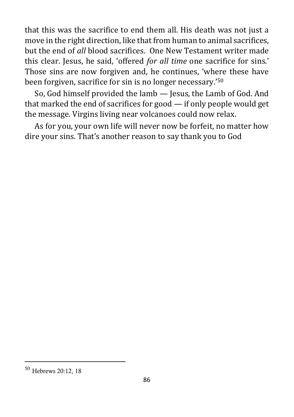that this was the sacrifice to end them all. His death was not just a move in the right direction, like that from human to animal sacrifices, but the end of *all* blood sacrifices. One New Testament writer made this clear. Jesus, he said, 'offered *for all time* one sacrifice for sins.' Those sins are now forgiven and, he continues, 'where these have been forgiven, sacrifice for sin is no longer necessary.'<sup>50</sup>

So, God himself provided the lamb — Jesus, the Lamb of God. And that marked the end of sacrifices for good — if only people would get the message. Virgins living near volcanoes could now relax.

As for you, your own life will never now be forfeit, no matter how dire your sins. That's another reason to say thank you to God

<sup>50</sup> Hebrews 20:12, 18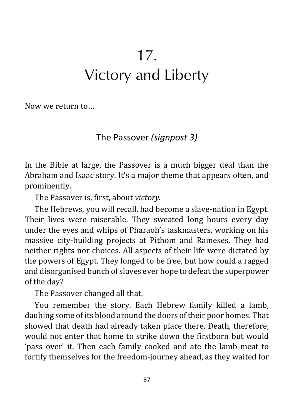# 17. Victory and Liberty

Now we return to…

The Passover *(signpost 3)*

In the Bible at large, the Passover is a much bigger deal than the Abraham and Isaac story. It's a major theme that appears often, and prominently.

The Passover is, first, about *victory.*

The Hebrews, you will recall, had become a slave-nation in Egypt. Their lives were miserable. They sweated long hours every day under the eyes and whips of Pharaoh's taskmasters, working on his massive city-building projects at Pithom and Rameses. They had neither rights nor choices. All aspects of their life were dictated by the powers of Egypt. They longed to be free, but how could a ragged and disorganised bunch of slaves ever hope to defeat the superpower of the day?

The Passover changed all that.

You remember the story. Each Hebrew family killed a lamb, daubing some of its blood around the doors of their poor homes. That showed that death had already taken place there. Death, therefore, would not enter that home to strike down the firstborn but would 'pass over' it. Then each family cooked and ate the lamb-meat to fortify themselves for the freedom-journey ahead, as they waited for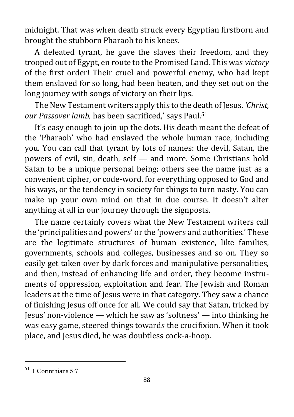midnight. That was when death struck every Egyptian firstborn and brought the stubborn Pharaoh to his knees.

A defeated tyrant, he gave the slaves their freedom, and they trooped out of Egypt, en route to the Promised Land. This was *victory* of the first order! Their cruel and powerful enemy, who had kept them enslaved for so long, had been beaten, and they set out on the long journey with songs of victory on their lips.

The New Testament writers apply this to the death of Jesus. *'Christ, our Passover lamb,* has been sacrificed,' says Paul.<sup>51</sup>

It's easy enough to join up the dots. His death meant the defeat of the 'Pharaoh' who had enslaved the whole human race, including you. You can call that tyrant by lots of names: the devil, Satan, the powers of evil, sin, death, self — and more. Some Christians hold Satan to be a unique personal being; others see the name just as a convenient cipher, or code-word, for everything opposed to God and his ways, or the tendency in society for things to turn nasty. You can make up your own mind on that in due course. It doesn't alter anything at all in our journey through the signposts.

The name certainly covers what the New Testament writers call the 'principalities and powers' or the 'powers and authorities.' These are the legitimate structures of human existence, like families, governments, schools and colleges, businesses and so on. They so easily get taken over by dark forces and manipulative personalities, and then, instead of enhancing life and order, they become instruments of oppression, exploitation and fear. The Jewish and Roman leaders at the time of Jesus were in that category. They saw a chance of finishing Jesus off once for all. We could say that Satan, tricked by Jesus' non-violence — which he saw as 'softness' — into thinking he was easy game, steered things towards the crucifixion. When it took place, and Jesus died, he was doubtless cock-a-hoop.

<sup>51</sup> 1 Corinthians 5:7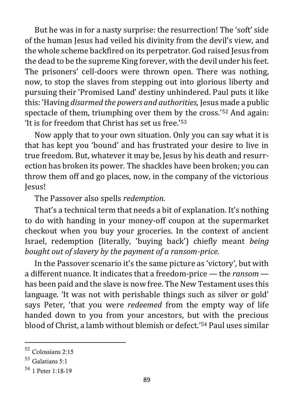But he was in for a nasty surprise: the resurrection! The 'soft' side of the human Jesus had veiled his divinity from the devil's view, and the whole scheme backfired on its perpetrator. God raised Jesus from the dead to be the supreme King forever, with the devil under his feet. The prisoners' cell-doors were thrown open. There was nothing, now, to stop the slaves from stepping out into glorious liberty and pursuing their 'Promised Land' destiny unhindered. Paul puts it like this: 'Having *disarmed the powers and authorities,* Jesus made a public spectacle of them, triumphing over them by the cross.'<sup>52</sup> And again: 'It is for freedom that Christ has set us free.'<sup>53</sup>

Now apply that to your own situation. Only you can say what it is that has kept you 'bound' and has frustrated your desire to live in true freedom. But, whatever it may be, Jesus by his death and resurrection has broken its power. The shackles have been broken; you can throw them off and go places, now, in the company of the victorious Jesus!

The Passover also spells *redemption.*

That's a technical term that needs a bit of explanation. It's nothing to do with handing in your money-off coupon at the supermarket checkout when you buy your groceries. In the context of ancient Israel, redemption (literally, 'buying back') chiefly meant *being bought out of slavery by the payment of a ransom-price.* 

In the Passover scenario it's the same picture as 'victory', but with a different nuance. It indicates that a freedom-price — the *ransom*  has been paid and the slave is now free. The New Testament uses this language. 'It was not with perishable things such as silver or gold' says Peter, 'that you were *redeemed* from the empty way of life handed down to you from your ancestors, but with the precious blood of Christ, a lamb without blemish or defect.'<sup>54</sup> Paul uses similar

<sup>52</sup> Colossians 2:15

<sup>53</sup> Galatians 5:1

<sup>54</sup> 1 Peter 1:18-19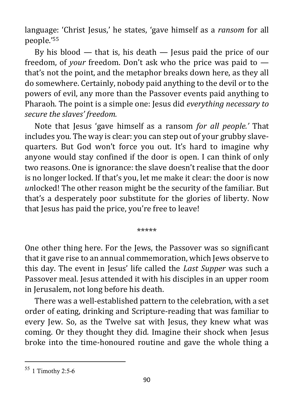language: 'Christ Jesus,' he states, 'gave himself as a *ransom* for all people.'<sup>55</sup>

By his blood  $-$  that is, his death  $-$  Jesus paid the price of our freedom, of *your* freedom. Don't ask who the price was paid to that's not the point, and the metaphor breaks down here, as they all do somewhere. Certainly, nobody paid anything to the devil or to the powers of evil, any more than the Passover events paid anything to Pharaoh. The point is a simple one: Jesus did *everything necessary to secure the slaves' freedom.*

Note that Jesus 'gave himself as a ransom *for all people.'* That includes you. The way is clear: you can step out of your grubby slavequarters. But God won't force you out. It's hard to imagine why anyone would stay confined if the door is open. I can think of only two reasons. One is ignorance: the slave doesn't realise that the door is no longer locked. If that's you, let me make it clear: the door is now *un*locked! The other reason might be the security of the familiar. But that's a desperately poor substitute for the glories of liberty. Now that Jesus has paid the price, you're free to leave!

\*\*\*\*\*

One other thing here. For the Jews, the Passover was so significant that it gave rise to an annual commemoration, which Jews observe to this day. The event in Jesus' life called the *Last Supper* was such a Passover meal. Jesus attended it with his disciples in an upper room in Jerusalem, not long before his death.

There was a well-established pattern to the celebration, with a set order of eating, drinking and Scripture-reading that was familiar to every Jew. So, as the Twelve sat with Jesus, they knew what was coming. Or they thought they did. Imagine their shock when Jesus broke into the time-honoured routine and gave the whole thing a

<sup>55</sup> 1 Timothy 2:5-6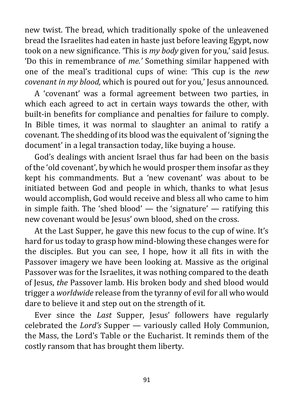new twist. The bread, which traditionally spoke of the unleavened bread the Israelites had eaten in haste just before leaving Egypt, now took on a new significance. 'This is *my body* given for you,' said Jesus. 'Do this in remembrance of *me.'* Something similar happened with one of the meal's traditional cups of wine: 'This cup is the *new covenant in my blood,* which is poured out for you,' Jesus announced.

A 'covenant' was a formal agreement between two parties, in which each agreed to act in certain ways towards the other, with built-in benefits for compliance and penalties for failure to comply. In Bible times, it was normal to slaughter an animal to ratify a covenant. The shedding of its blood was the equivalent of 'signing the document' in a legal transaction today, like buying a house.

God's dealings with ancient Israel thus far had been on the basis of the 'old covenant', by which he would prosper them insofar as they kept his commandments. But a 'new covenant' was about to be initiated between God and people in which, thanks to what Jesus would accomplish, God would receive and bless all who came to him in simple faith. The 'shed blood'  $-$  the 'signature'  $-$  ratifying this new covenant would be Jesus' own blood, shed on the cross.

At the Last Supper, he gave this new focus to the cup of wine. It's hard for us today to grasp how mind-blowing these changes were for the disciples. But you can see, I hope, how it all fits in with the Passover imagery we have been looking at. Massive as the original Passover was for the Israelites, it was nothing compared to the death of Jesus, *the* Passover lamb. His broken body and shed blood would trigger a *worldwide* release from the tyranny of evil for all who would dare to believe it and step out on the strength of it.

Ever since the *Last* Supper, Jesus' followers have regularly celebrated the *Lord's* Supper — variously called Holy Communion, the Mass, the Lord's Table or the Eucharist. It reminds them of the costly ransom that has brought them liberty.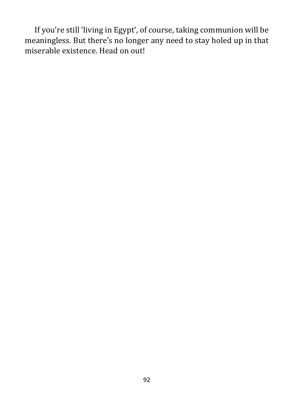If you're still 'living in Egypt', of course, taking communion will be meaningless. But there's no longer any need to stay holed up in that miserable existence. Head on out!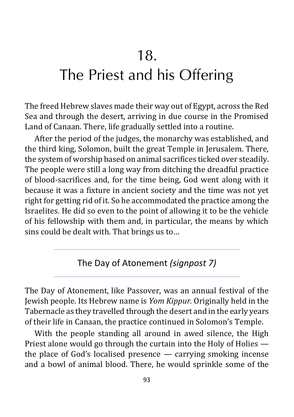18.

### The Priest and his Offering

The freed Hebrew slaves made their way out of Egypt, across the Red Sea and through the desert, arriving in due course in the Promised Land of Canaan. There, life gradually settled into a routine.

After the period of the judges, the monarchy was established, and the third king, Solomon, built the great Temple in Jerusalem. There, the system of worship based on animal sacrifices ticked over steadily. The people were still a long way from ditching the dreadful practice of blood-sacrifices and, for the time being, God went along with it because it was a fixture in ancient society and the time was not yet right for getting rid of it. So he accommodated the practice among the Israelites. He did so even to the point of allowing it to be the vehicle of his fellowship with them and, in particular, the means by which sins could be dealt with. That brings us to…

#### The Day of Atonement *(signpost 7)*

The Day of Atonement, like Passover, was an annual festival of the Jewish people. Its Hebrew name is *Yom Kippur.* Originally held in the Tabernacle as they travelled through the desert and in the early years of their life in Canaan, the practice continued in Solomon's Temple.

With the people standing all around in awed silence, the High Priest alone would go through the curtain into the Holy of Holies the place of God's localised presence — carrying smoking incense and a bowl of animal blood. There, he would sprinkle some of the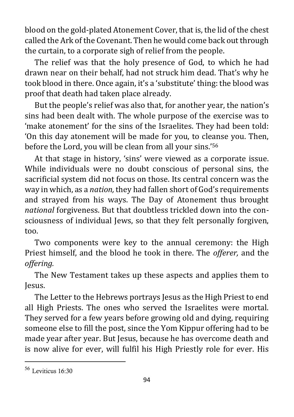blood on the gold-plated Atonement Cover, that is, the lid of the chest called the Ark of the Covenant. Then he would come back out through the curtain, to a corporate sigh of relief from the people.

The relief was that the holy presence of God, to which he had drawn near on their behalf, had not struck him dead. That's why he took blood in there. Once again, it's a 'substitute' thing: the blood was proof that death had taken place already.

But the people's relief was also that, for another year, the nation's sins had been dealt with. The whole purpose of the exercise was to 'make atonement' for the sins of the Israelites. They had been told: 'On this day atonement will be made for you, to cleanse you. Then, before the Lord, you will be clean from all your sins.'<sup>56</sup>

At that stage in history, 'sins' were viewed as a corporate issue. While individuals were no doubt conscious of personal sins, the sacrificial system did not focus on those. Its central concern was the way in which, as a *nation,* they had fallen short of God's requirements and strayed from his ways. The Day of Atonement thus brought *national* forgiveness. But that doubtless trickled down into the consciousness of individual Jews, so that they felt personally forgiven, too.

Two components were key to the annual ceremony: the High Priest himself, and the blood he took in there. The *offerer,* and the *offering.*

The New Testament takes up these aspects and applies them to Jesus.

The Letter to the Hebrews portrays Jesus as the High Priest to end all High Priests. The ones who served the Israelites were mortal. They served for a few years before growing old and dying, requiring someone else to fill the post, since the Yom Kippur offering had to be made year after year. But Jesus, because he has overcome death and is now alive for ever, will fulfil his High Priestly role for ever. His

<sup>56</sup> Leviticus 16:30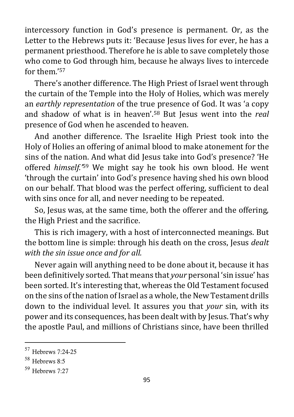intercessory function in God's presence is permanent. Or, as the Letter to the Hebrews puts it: 'Because Jesus lives for ever, he has a permanent priesthood. Therefore he is able to save completely those who come to God through him, because he always lives to intercede for them<sup>'57</sup>

There's another difference. The High Priest of Israel went through the curtain of the Temple into the Holy of Holies, which was merely an *earthly representation* of the true presence of God. It was 'a copy and shadow of what is in heaven'.<sup>58</sup> But Jesus went into the *real*  presence of God when he ascended to heaven.

And another difference. The Israelite High Priest took into the Holy of Holies an offering of animal blood to make atonement for the sins of the nation. And what did Jesus take into God's presence? 'He offered *himself.'*<sup>59</sup> We might say he took his own blood. He went 'through the curtain' into God's presence having shed his own blood on our behalf. That blood was the perfect offering, sufficient to deal with sins once for all, and never needing to be repeated.

So, Jesus was, at the same time, both the offerer and the offering, the High Priest and the sacrifice.

This is rich imagery, with a host of interconnected meanings. But the bottom line is simple: through his death on the cross, Jesus *dealt with the sin issue once and for all.*

Never again will anything need to be done about it, because it has been definitively sorted. That means that *your* personal 'sin issue' has been sorted. It's interesting that, whereas the Old Testament focused on the sins of the nation of Israel as a whole, the New Testament drills down to the individual level. It assures you that *your* sin, with its power and its consequences, has been dealt with by Jesus. That's why the apostle Paul, and millions of Christians since, have been thrilled

<sup>57</sup> Hebrews 7:24-25

 $58$  Hebrews  $8.5$ 

 $59$  Hebrews  $7:27$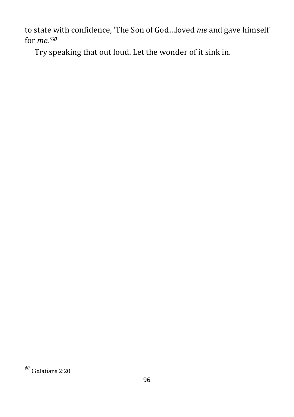to state with confidence, 'The Son of God…loved *me* and gave himself for *me.'<sup>60</sup>*

Try speaking that out loud. Let the wonder of it sink in.

*<sup>60</sup>* Galatians 2:20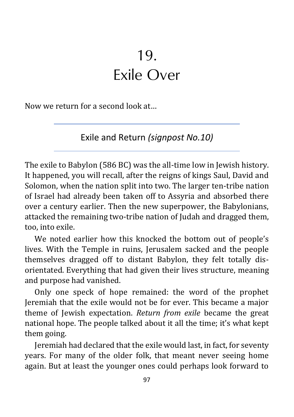## 19. Exile Over

Now we return for a second look at…

#### Exile and Return *(signpost No.10)*

The exile to Babylon (586 BC) was the all-time low in Jewish history. It happened, you will recall, after the reigns of kings Saul, David and Solomon, when the nation split into two. The larger ten-tribe nation of Israel had already been taken off to Assyria and absorbed there over a century earlier. Then the new superpower, the Babylonians, attacked the remaining two-tribe nation of Judah and dragged them, too, into exile.

We noted earlier how this knocked the bottom out of people's lives. With the Temple in ruins, Jerusalem sacked and the people themselves dragged off to distant Babylon, they felt totally disorientated. Everything that had given their lives structure, meaning and purpose had vanished.

Only one speck of hope remained: the word of the prophet Jeremiah that the exile would not be for ever. This became a major theme of Jewish expectation. *Return from exile* became the great national hope. The people talked about it all the time; it's what kept them going.

Jeremiah had declared that the exile would last, in fact, for seventy years. For many of the older folk, that meant never seeing home again. But at least the younger ones could perhaps look forward to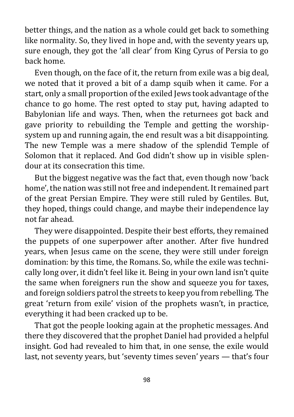better things, and the nation as a whole could get back to something like normality. So, they lived in hope and, with the seventy years up, sure enough, they got the 'all clear' from King Cyrus of Persia to go back home.

Even though, on the face of it, the return from exile was a big deal, we noted that it proved a bit of a damp squib when it came. For a start, only a small proportion of the exiled Jews took advantage of the chance to go home. The rest opted to stay put, having adapted to Babylonian life and ways. Then, when the returnees got back and gave priority to rebuilding the Temple and getting the worshipsystem up and running again, the end result was a bit disappointing. The new Temple was a mere shadow of the splendid Temple of Solomon that it replaced. And God didn't show up in visible splendour at its consecration this time.

But the biggest negative was the fact that, even though now 'back home', the nation was still not free and independent. It remained part of the great Persian Empire. They were still ruled by Gentiles. But, they hoped, things could change, and maybe their independence lay not far ahead.

They were disappointed. Despite their best efforts, they remained the puppets of one superpower after another. After five hundred years, when Jesus came on the scene, they were still under foreign domination: by this time, the Romans. So, while the exile was technically long over, it didn't feel like it. Being in your own land isn't quite the same when foreigners run the show and squeeze you for taxes, and foreign soldiers patrol the streets to keep you from rebelling. The great 'return from exile' vision of the prophets wasn't, in practice, everything it had been cracked up to be.

That got the people looking again at the prophetic messages. And there they discovered that the prophet Daniel had provided a helpful insight. God had revealed to him that, in one sense, the exile would last, not seventy years, but 'seventy times seven' years — that's four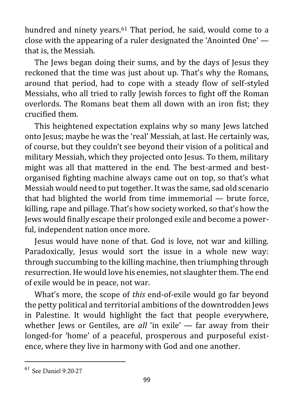hundred and ninety years.<sup>61</sup> That period, he said, would come to a close with the appearing of a ruler designated the 'Anointed One' that is, the Messiah.

The Jews began doing their sums, and by the days of Jesus they reckoned that the time was just about up. That's why the Romans, around that period, had to cope with a steady flow of self-styled Messiahs, who all tried to rally Jewish forces to fight off the Roman overlords. The Romans beat them all down with an iron fist; they crucified them.

This heightened expectation explains why so many Jews latched onto Jesus; maybe he was the 'real' Messiah, at last. He certainly was, of course, but they couldn't see beyond their vision of a political and military Messiah, which they projected onto Jesus. To them, military might was all that mattered in the end. The best-armed and bestorganised fighting machine always came out on top, so that's what Messiah would need to put together. It was the same, sad old scenario that had blighted the world from time immemorial — brute force, killing, rape and pillage. That's how society worked, so that's how the Jews would finally escape their prolonged exile and become a powerful, independent nation once more.

Jesus would have none of that. God is love, not war and killing. Paradoxically, Jesus would sort the issue in a whole new way: through succumbing to the killing machine, then triumphing through resurrection. He would love his enemies, not slaughter them. The end of exile would be in peace, not war.

What's more, the scope of *this* end-of-exile would go far beyond the petty political and territorial ambitions of the downtrodden Jews in Palestine. It would highlight the fact that people everywhere, whether Jews or Gentiles, are *all* 'in exile' — far away from their longed-for 'home' of a peaceful, prosperous and purposeful existence, where they live in harmony with God and one another.

<sup>61</sup> See Daniel 9:20-27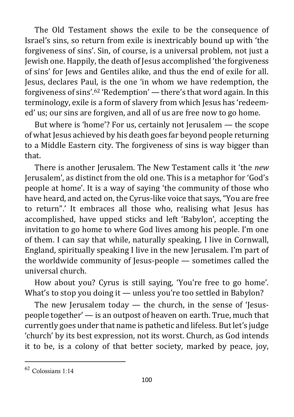The Old Testament shows the exile to be the consequence of Israel's sins, so return from exile is inextricably bound up with 'the forgiveness of sins'. Sin, of course, is a universal problem, not just a Jewish one. Happily, the death of Jesus accomplished 'the forgiveness of sins' for Jews and Gentiles alike, and thus the end of exile for all. Jesus, declares Paul, is the one 'in whom we have redemption, the forgiveness of sins'.<sup>62</sup> 'Redemption' — there's that word again. In this terminology, exile is a form of slavery from which Jesus has 'redeemed' us; our sins are forgiven, and all of us are free now to go home.

But where is 'home'? For us, certainly not Jerusalem — the scope of what Jesus achieved by his death goes far beyond people returning to a Middle Eastern city. The forgiveness of sins is way bigger than that.

There is another Jerusalem. The New Testament calls it 'the *new* Jerusalem', as distinct from the old one. This is a metaphor for 'God's people at home'. It is a way of saying 'the community of those who have heard, and acted on, the Cyrus-like voice that says, "You are free to return".' It embraces all those who, realising what Jesus has accomplished, have upped sticks and left 'Babylon', accepting the invitation to go home to where God lives among his people. I'm one of them. I can say that while, naturally speaking, I live in Cornwall, England, spiritually speaking I live in the new Jerusalem. I'm part of the worldwide community of Jesus-people — sometimes called the universal church.

How about you? Cyrus is still saying, 'You're free to go home'. What's to stop you doing it — unless you're too settled in Babylon?

The new Jerusalem today — the church, in the sense of 'Jesuspeople together' — is an outpost of heaven on earth. True, much that currently goes under that name is pathetic and lifeless. But let's judge 'church' by its best expression, not its worst. Church, as God intends it to be, is a colony of that better society, marked by peace, joy,

<sup>62</sup> Colossians 1:14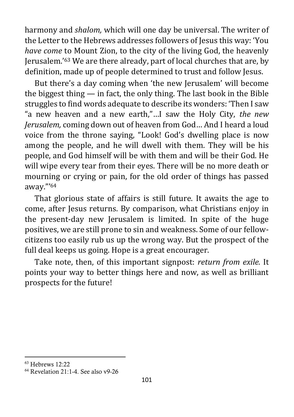harmony and *shalom,* which will one day be universal. The writer of the Letter to the Hebrews addresses followers of Jesus this way: 'You *have come* to Mount Zion, to the city of the living God, the heavenly Jerusalem.'<sup>63</sup> We are there already, part of local churches that are, by definition, made up of people determined to trust and follow Jesus.

But there's a day coming when 'the new Jerusalem' will become the biggest thing — in fact, the only thing. The last book in the Bible struggles to find words adequate to describe its wonders: 'Then I saw "a new heaven and a new earth,"…I saw the Holy City, *the new Jerusalem,* coming down out of heaven from God… And I heard a loud voice from the throne saying, "Look! God's dwelling place is now among the people, and he will dwell with them. They will be his people, and God himself will be with them and will be their God. He will wipe every tear from their eyes. There will be no more death or mourning or crying or pain, for the old order of things has passed away."'<sup>64</sup>

That glorious state of affairs is still future. It awaits the age to come, after Jesus returns. By comparison, what Christians enjoy in the present-day new Jerusalem is limited. In spite of the huge positives, we are still prone to sin and weakness. Some of our fellowcitizens too easily rub us up the wrong way. But the prospect of the full deal keeps us going. Hope is a great encourager.

Take note, then, of this important signpost: *return from exile.* It points your way to better things here and now, as well as brilliant prospects for the future!

<sup>63</sup> Hebrews 12:22

 $64$  Revelation 21:1-4. See also v9-26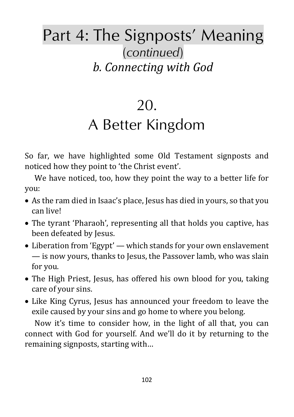### Part 4: The Signposts' Meaning (*continued*) *b. Connecting with God*

# 20. A Better Kingdom

So far, we have highlighted some Old Testament signposts and noticed how they point to 'the Christ event'.

We have noticed, too, how they point the way to a better life for you:

- As the ram died in Isaac's place, Jesus has died in yours, so that you can live!
- The tyrant 'Pharaoh', representing all that holds you captive, has been defeated by Jesus.
- Liberation from 'Egypt' which stands for your own enslavement — is now yours, thanks to Jesus, the Passover lamb, who was slain for you.
- The High Priest, Jesus, has offered his own blood for you, taking care of your sins.
- Like King Cyrus, Jesus has announced your freedom to leave the exile caused by your sins and go home to where you belong.

Now it's time to consider how, in the light of all that, you can connect with God for yourself. And we'll do it by returning to the remaining signposts, starting with…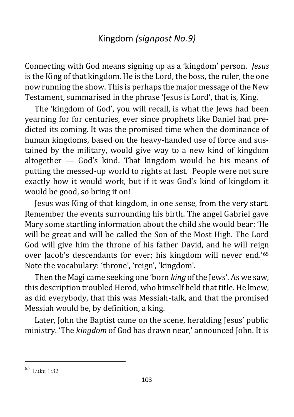#### Kingdom *(signpost No.9)*

Connecting with God means signing up as a 'kingdom' person. *Jesus* is the King of that kingdom. He is the Lord, the boss, the ruler, the one now running the show. This is perhaps the major message of the New Testament, summarised in the phrase 'Jesus is Lord', that is, King.

The 'kingdom of God', you will recall, is what the Jews had been yearning for for centuries, ever since prophets like Daniel had predicted its coming. It was the promised time when the dominance of human kingdoms, based on the heavy-handed use of force and sustained by the military, would give way to a new kind of kingdom altogether — God's kind. That kingdom would be his means of putting the messed-up world to rights at last. People were not sure exactly how it would work, but if it was God's kind of kingdom it would be good, so bring it on!

Jesus was King of that kingdom, in one sense, from the very start. Remember the events surrounding his birth. The angel Gabriel gave Mary some startling information about the child she would bear: 'He will be great and will be called the Son of the Most High. The Lord God will give him the throne of his father David, and he will reign over Jacob's descendants for ever; his kingdom will never end.'<sup>65</sup> Note the vocabulary: 'throne', 'reign', 'kingdom'.

Then the Magi came seeking one 'born *king* of the Jews'. As we saw, this description troubled Herod, who himself held that title. He knew, as did everybody, that this was Messiah-talk, and that the promised Messiah would be, by definition, a king.

Later, John the Baptist came on the scene, heralding Jesus' public ministry. 'The *kingdom* of God has drawn near,' announced John. It is

<sup>65</sup> Luke 1:32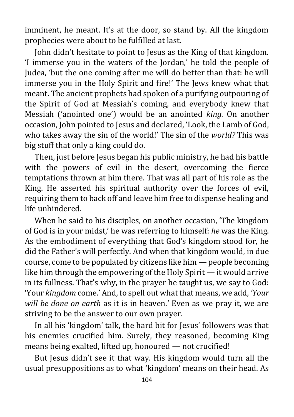imminent, he meant. It's at the door, so stand by. All the kingdom prophecies were about to be fulfilled at last.

John didn't hesitate to point to Jesus as the King of that kingdom. 'I immerse you in the waters of the Jordan,' he told the people of Judea, 'but the one coming after me will do better than that: he will immerse you in the Holy Spirit and fire!' The Jews knew what that meant. The ancient prophets had spoken of a purifying outpouring of the Spirit of God at Messiah's coming, and everybody knew that Messiah ('anointed one') would be an anointed *king.* On another occasion, John pointed to Jesus and declared, 'Look, the Lamb of God, who takes away the sin of the world!' The sin of the *world?* This was big stuff that only a king could do.

Then, just before Jesus began his public ministry, he had his battle with the powers of evil in the desert, overcoming the fierce temptations thrown at him there. That was all part of his role as the King. He asserted his spiritual authority over the forces of evil, requiring them to back off and leave him free to dispense healing and life unhindered.

When he said to his disciples, on another occasion, 'The kingdom of God is in your midst,' he was referring to himself: *he* was the King. As the embodiment of everything that God's kingdom stood for, he did the Father's will perfectly. And when that kingdom would, in due course, come to be populated by citizens like him — people becoming like him through the empowering of the Holy Spirit — it would arrive in its fullness. That's why, in the prayer he taught us, we say to God: 'Your *kingdom* come.' And, to spell out what that means, we add, *'Your will be done on earth* as it is in heaven.' Even as we pray it, we are striving to be the answer to our own prayer.

In all his 'kingdom' talk, the hard bit for Jesus' followers was that his enemies crucified him. Surely, they reasoned, becoming King means being exalted, lifted up, honoured — not crucified!

But Jesus didn't see it that way. His kingdom would turn all the usual presuppositions as to what 'kingdom' means on their head. As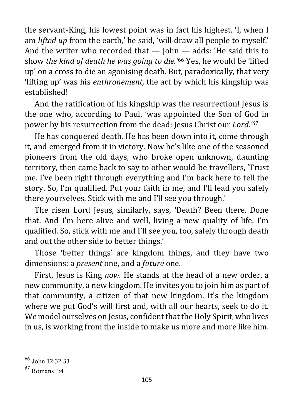the servant-King, his lowest point was in fact his highest. 'I, when I am *lifted up* from the earth,' he said, 'will draw all people to myself.' And the writer who recorded that — John — adds: 'He said this to show *the kind of death he was going to die.'*<sup>66</sup> Yes, he would be 'lifted up' on a cross to die an agonising death. But, paradoxically, that very 'lifting up' was his *enthronement,* the act by which his kingship was established!

And the ratification of his kingship was the resurrection! Jesus is the one who, according to Paul, 'was appointed the Son of God in power by his resurrection from the dead: Jesus Christ our *Lord.'<sup>67</sup>*

He has conquered death. He has been down into it, come through it, and emerged from it in victory. Now he's like one of the seasoned pioneers from the old days, who broke open unknown, daunting territory, then came back to say to other would-be travellers, 'Trust me. I've been right through everything and I'm back here to tell the story. So, I'm qualified. Put your faith in me, and I'll lead you safely there yourselves. Stick with me and I'll see you through.'

The risen Lord Jesus, similarly, says, 'Death? Been there. Done that. And I'm here alive and well, living a new quality of life. I'm qualified. So, stick with me and I'll see you, too, safely through death and out the other side to better things.'

Those 'better things' are kingdom things, and they have two dimensions: a *present* one, and a *future* one.

First, Jesus is King *now.* He stands at the head of a new order, a new community, a new kingdom. He invites you to join him as part of that community, a citizen of that new kingdom. It's the kingdom where we put God's will first and, with all our hearts, seek to do it. We model ourselves on Jesus, confident that the Holy Spirit, who lives in us, is working from the inside to make us more and more like him.

<sup>66</sup> John 12:32-33

*<sup>67</sup>* Romans 1:4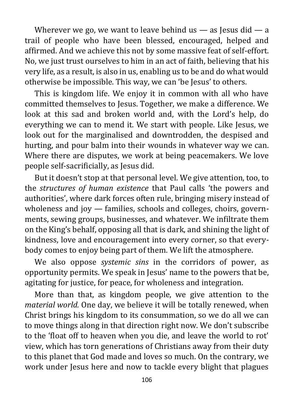Wherever we go, we want to leave behind us  $-$  as Jesus did  $-$  a trail of people who have been blessed, encouraged, helped and affirmed. And we achieve this not by some massive feat of self-effort. No, we just trust ourselves to him in an act of faith, believing that his very life, as a result, is also in us, enabling us to be and do what would otherwise be impossible. This way, we can 'be Jesus' to others.

This is kingdom life. We enjoy it in common with all who have committed themselves to Jesus. Together, we make a difference. We look at this sad and broken world and, with the Lord's help, do everything we can to mend it. We start with people. Like Jesus, we look out for the marginalised and downtrodden, the despised and hurting, and pour balm into their wounds in whatever way we can. Where there are disputes, we work at being peacemakers. We love people self-sacrificially, as Jesus did.

But it doesn't stop at that personal level. We give attention, too, to the *structures of human existence* that Paul calls 'the powers and authorities', where dark forces often rule, bringing misery instead of wholeness and joy — families, schools and colleges, choirs, governments, sewing groups, businesses, and whatever. We infiltrate them on the King's behalf, opposing all that is dark, and shining the light of kindness, love and encouragement into every corner, so that everybody comes to enjoy being part of them. We lift the atmosphere.

We also oppose *systemic sins* in the corridors of power, as opportunity permits. We speak in Jesus' name to the powers that be, agitating for justice, for peace, for wholeness and integration.

More than that, as kingdom people, we give attention to the *material world.* One day, we believe it will be totally renewed, when Christ brings his kingdom to its consummation, so we do all we can to move things along in that direction right now. We don't subscribe to the 'float off to heaven when you die, and leave the world to rot' view, which has torn generations of Christians away from their duty to this planet that God made and loves so much. On the contrary, we work under Jesus here and now to tackle every blight that plagues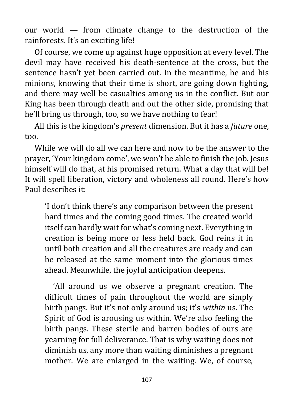our world — from climate change to the destruction of the rainforests. It's an exciting life!

Of course, we come up against huge opposition at every level. The devil may have received his death-sentence at the cross, but the sentence hasn't yet been carried out. In the meantime, he and his minions, knowing that their time is short, are going down fighting, and there may well be casualties among us in the conflict. But our King has been through death and out the other side, promising that he'll bring us through, too, so we have nothing to fear!

All this is the kingdom's *present* dimension. But it has a *future* one, too.

While we will do all we can here and now to be the answer to the prayer, 'Your kingdom come', we won't be able to finish the job. Jesus himself will do that, at his promised return. What a day that will be! It will spell liberation, victory and wholeness all round. Here's how Paul describes it:

'I don't think there's any comparison between the present hard times and the coming good times. The created world itself can hardly wait for what's coming next. Everything in creation is being more or less held back. God reins it in until both creation and all the creatures are ready and can be released at the same moment into the glorious times ahead. Meanwhile, the joyful anticipation deepens.

 'All around us we observe a pregnant creation. The difficult times of pain throughout the world are simply birth pangs. But it's not only around us; it's *within* us. The Spirit of God is arousing us within. We're also feeling the birth pangs. These sterile and barren bodies of ours are yearning for full deliverance. That is why waiting does not diminish us, any more than waiting diminishes a pregnant mother. We are enlarged in the waiting. We, of course,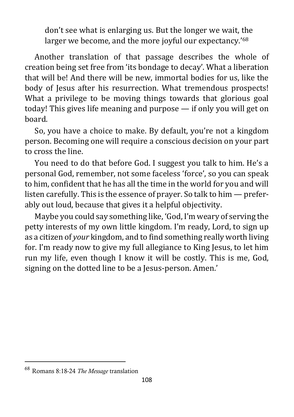don't see what is enlarging us. But the longer we wait, the larger we become, and the more joyful our expectancy.'<sup>68</sup>

Another translation of that passage describes the whole of creation being set free from 'its bondage to decay'. What a liberation that will be! And there will be new, immortal bodies for us, like the body of Jesus after his resurrection. What tremendous prospects! What a privilege to be moving things towards that glorious goal today! This gives life meaning and purpose — if only you will get on board.

So, you have a choice to make. By default, you're not a kingdom person. Becoming one will require a conscious decision on your part to cross the line.

You need to do that before God. I suggest you talk to him. He's a personal God, remember, not some faceless 'force', so you can speak to him, confident that he has all the time in the world for you and will listen carefully. This is the essence of prayer. So talk to him — preferably out loud, because that gives it a helpful objectivity.

Maybe you could say something like, 'God, I'm weary of serving the petty interests of my own little kingdom. I'm ready, Lord, to sign up as a citizen of *your* kingdom, and to find something really worth living for. I'm ready now to give my full allegiance to King Jesus, to let him run my life, even though I know it will be costly. This is me, God, signing on the dotted line to be a Jesus-person. Amen.'

<sup>68</sup> Romans 8:18-24 *The Message* translation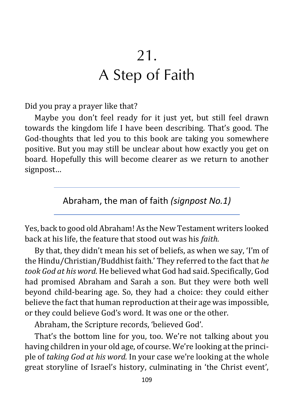## 21. A Step of Faith

Did you pray a prayer like that?

Maybe you don't feel ready for it just yet, but still feel drawn towards the kingdom life I have been describing. That's good. The God-thoughts that led you to this book are taking you somewhere positive. But you may still be unclear about how exactly you get on board. Hopefully this will become clearer as we return to another signpost…

Abraham, the man of faith *(signpost No.1)*

Yes, back to good old Abraham! As the New Testament writers looked back at his life, the feature that stood out was his *faith.*

By that, they didn't mean his set of beliefs, as when we say, 'I'm of the Hindu/Christian/Buddhist faith.' They referred to the fact that *he took God at his word.* He believed what God had said. Specifically, God had promised Abraham and Sarah a son. But they were both well beyond child-bearing age. So, they had a choice: they could either believe the fact that human reproduction at their age was impossible, or they could believe God's word. It was one or the other.

Abraham, the Scripture records, 'believed God'.

That's the bottom line for you, too. We're not talking about you having children in your old age, of course. We're looking at the principle of *taking God at his word.* In your case we're looking at the whole great storyline of Israel's history, culminating in 'the Christ event',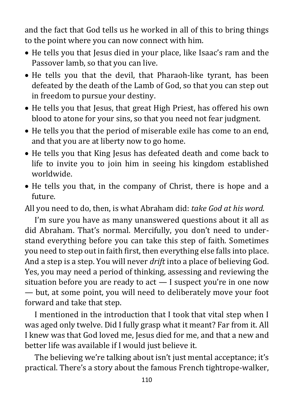and the fact that God tells us he worked in all of this to bring things to the point where you can now connect with him.

- He tells you that Jesus died in your place, like Isaac's ram and the Passover lamb, so that you can live.
- He tells you that the devil, that Pharaoh-like tyrant, has been defeated by the death of the Lamb of God, so that you can step out in freedom to pursue your destiny.
- He tells you that Jesus, that great High Priest, has offered his own blood to atone for your sins, so that you need not fear judgment.
- He tells you that the period of miserable exile has come to an end, and that you are at liberty now to go home.
- He tells you that King Jesus has defeated death and come back to life to invite you to join him in seeing his kingdom established worldwide.
- He tells you that, in the company of Christ, there is hope and a future.

All you need to do, then, is what Abraham did: *take God at his word.* 

I'm sure you have as many unanswered questions about it all as did Abraham. That's normal. Mercifully, you don't need to understand everything before you can take this step of faith. Sometimes you need to step out in faith first, then everything else falls into place. And a step is a step. You will never *drift* into a place of believing God. Yes, you may need a period of thinking, assessing and reviewing the situation before you are ready to act — I suspect you're in one now — but, at some point, you will need to deliberately move your foot forward and take that step.

I mentioned in the introduction that I took that vital step when I was aged only twelve. Did I fully grasp what it meant? Far from it. All I knew was that God loved me, Jesus died for me, and that a new and better life was available if I would just believe it.

The believing we're talking about isn't just mental acceptance; it's practical. There's a story about the famous French tightrope-walker,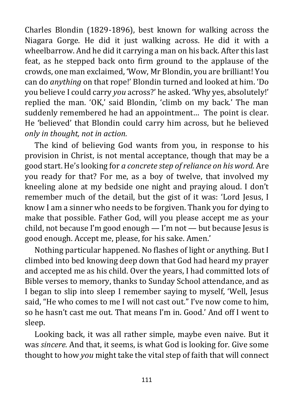Charles Blondin (1829-1896), best known for walking across the Niagara Gorge. He did it just walking across. He did it with a wheelbarrow. And he did it carrying a man on his back. After this last feat, as he stepped back onto firm ground to the applause of the crowds, one man exclaimed, 'Wow, Mr Blondin, you are brilliant! You can do *anything* on that rope!' Blondin turned and looked at him. 'Do you believe I could carry *you* across?' he asked. 'Why yes, absolutely!' replied the man. 'OK,' said Blondin, 'climb on my back.' The man suddenly remembered he had an appointment… The point is clear. He 'believed' that Blondin could carry him across, but he believed *only in thought, not in action.*

The kind of believing God wants from you, in response to his provision in Christ, is not mental acceptance, though that may be a good start. He's looking for *a concrete step of reliance on his word.* Are you ready for that? For me, as a boy of twelve, that involved my kneeling alone at my bedside one night and praying aloud. I don't remember much of the detail, but the gist of it was: 'Lord Jesus, I know I am a sinner who needs to be forgiven. Thank you for dying to make that possible. Father God, will you please accept me as your child, not because I'm good enough — I'm not — but because Jesus is good enough. Accept me, please, for his sake. Amen.'

Nothing particular happened. No flashes of light or anything. But I climbed into bed knowing deep down that God had heard my prayer and accepted me as his child. Over the years, I had committed lots of Bible verses to memory, thanks to Sunday School attendance, and as I began to slip into sleep I remember saying to myself, 'Well, Jesus said, "He who comes to me I will not cast out." I've now come to him, so he hasn't cast me out. That means I'm in. Good.' And off I went to sleep.

Looking back, it was all rather simple, maybe even naive. But it was *sincere.* And that, it seems, is what God is looking for. Give some thought to how *you* might take the vital step of faith that will connect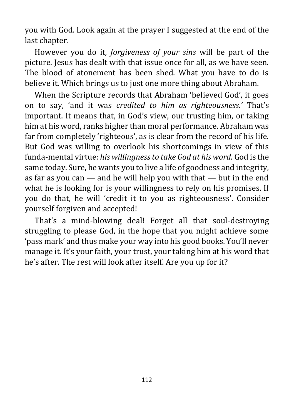you with God. Look again at the prayer I suggested at the end of the last chapter.

However you do it, *forgiveness of your sins* will be part of the picture. Jesus has dealt with that issue once for all, as we have seen. The blood of atonement has been shed. What you have to do is believe it. Which brings us to just one more thing about Abraham.

When the Scripture records that Abraham 'believed God', it goes on to say, 'and it was *credited to him as righteousness.'* That's important. It means that, in God's view, our trusting him, or taking him at his word, ranks higher than moral performance. Abraham was far from completely 'righteous', as is clear from the record of his life. But God was willing to overlook his shortcomings in view of this funda-mental virtue: *his willingness to take God at his word.* God is the same today. Sure, he wants you to live a life of goodness and integrity, as far as you can  $-$  and he will help you with that  $-$  but in the end what he is looking for is your willingness to rely on his promises. If you do that, he will 'credit it to you as righteousness'. Consider yourself forgiven and accepted!

That's a mind-blowing deal! Forget all that soul-destroying struggling to please God, in the hope that you might achieve some 'pass mark' and thus make your way into his good books. You'll never manage it. It's your faith, your trust, your taking him at his word that he's after. The rest will look after itself. Are you up for it?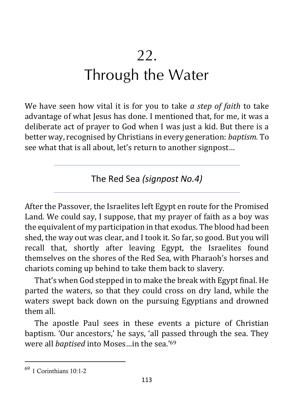## Through the Water

We have seen how vital it is for you to take *a step of faith* to take advantage of what Jesus has done. I mentioned that, for me, it was a deliberate act of prayer to God when I was just a kid. But there is a better way, recognised by Christians in every generation: *baptism.* To see what that is all about, let's return to another signpost…

The Red Sea *(signpost No.4)*

After the Passover, the Israelites left Egypt en route for the Promised Land. We could say, I suppose, that my prayer of faith as a boy was the equivalent of my participation in that exodus. The blood had been shed, the way out was clear, and I took it. So far, so good. But you will recall that, shortly after leaving Egypt, the Israelites found themselves on the shores of the Red Sea, with Pharaoh's horses and chariots coming up behind to take them back to slavery.

That's when God stepped in to make the break with Egypt final. He parted the waters, so that they could cross on dry land, while the waters swept back down on the pursuing Egyptians and drowned them all.

The apostle Paul sees in these events a picture of Christian baptism. 'Our ancestors,' he says, 'all passed through the sea. They were all *baptised* into Moses…in the sea.'<sup>69</sup>

<sup>69</sup> 1 Corinthians 10:1-2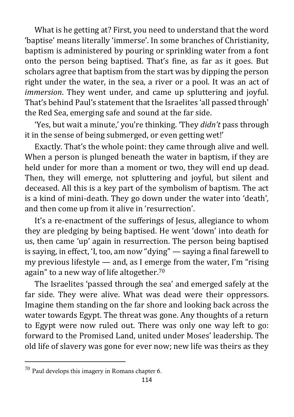What is he getting at? First, you need to understand that the word 'baptise' means literally 'immerse'. In some branches of Christianity, baptism is administered by pouring or sprinkling water from a font onto the person being baptised. That's fine, as far as it goes. But scholars agree that baptism from the start was by dipping the person right under the water, in the sea, a river or a pool. It was an act of *immersion*. They went under, and came up spluttering and joyful. That's behind Paul's statement that the Israelites 'all passed through' the Red Sea, emerging safe and sound at the far side.

'Yes, but wait a minute,' you're thinking. 'They *didn't* pass through it in the sense of being submerged, or even getting wet!'

Exactly. That's the whole point: they came through alive and well. When a person is plunged beneath the water in baptism, if they are held under for more than a moment or two, they will end up dead. Then, they will emerge, not spluttering and joyful, but silent and deceased. All this is a key part of the symbolism of baptism. The act is a kind of mini-death. They go down under the water into 'death', and then come up from it alive in 'resurrection'.

It's a re-enactment of the sufferings of Jesus, allegiance to whom they are pledging by being baptised. He went 'down' into death for us, then came 'up' again in resurrection. The person being baptised is saying, in effect, 'I, too, am now "dying" — saying a final farewell to my previous lifestyle — and, as I emerge from the water, I'm "rising again" to a new way of life altogether.<sup>70</sup>

The Israelites 'passed through the sea' and emerged safely at the far side. They were alive. What was dead were their oppressors. Imagine them standing on the far shore and looking back across the water towards Egypt. The threat was gone. Any thoughts of a return to Egypt were now ruled out. There was only one way left to go: forward to the Promised Land, united under Moses' leadership. The old life of slavery was gone for ever now; new life was theirs as they

<sup>70</sup> Paul develops this imagery in Romans chapter 6.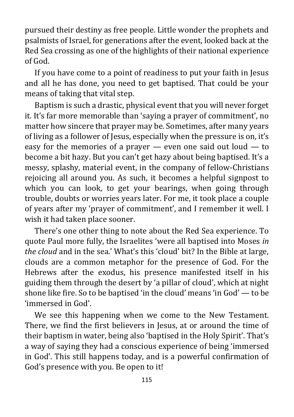pursued their destiny as free people. Little wonder the prophets and psalmists of Israel, for generations after the event, looked back at the Red Sea crossing as one of the highlights of their national experience of God.

If you have come to a point of readiness to put your faith in Jesus and all he has done, you need to get baptised. That could be your means of taking that vital step.

Baptism is such a drastic, physical event that you will never forget it. It's far more memorable than 'saying a prayer of commitment', no matter how sincere that prayer may be. Sometimes, after many years of living as a follower of Jesus, especially when the pressure is on, it's easy for the memories of a prayer — even one said out loud — to become a bit hazy. But you can't get hazy about being baptised. It's a messy, splashy, material event, in the company of fellow-Christians rejoicing all around you. As such, it becomes a helpful signpost to which you can look, to get your bearings, when going through trouble, doubts or worries years later. For me, it took place a couple of years after my 'prayer of commitment', and I remember it well. I wish it had taken place sooner.

There's one other thing to note about the Red Sea experience. To quote Paul more fully, the Israelites 'were all baptised into Moses *in the cloud* and in the sea.' What's this 'cloud' bit? In the Bible at large, clouds are a common metaphor for the presence of God. For the Hebrews after the exodus, his presence manifested itself in his guiding them through the desert by 'a pillar of cloud', which at night shone like fire. So to be baptised 'in the cloud' means 'in God' — to be 'immersed in God'.

We see this happening when we come to the New Testament. There, we find the first believers in Jesus, at or around the time of their baptism in water, being also 'baptised in the Holy Spirit'. That's a way of saying they had a conscious experience of being 'immersed in God'. This still happens today, and is a powerful confirmation of God's presence with you. Be open to it!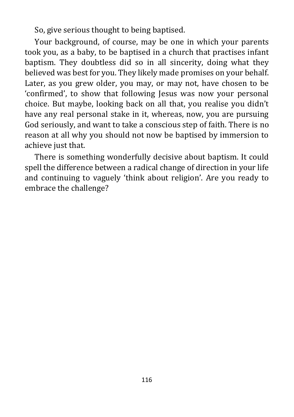So, give serious thought to being baptised.

Your background, of course, may be one in which your parents took you, as a baby, to be baptised in a church that practises infant baptism. They doubtless did so in all sincerity, doing what they believed was best for you. They likely made promises on your behalf. Later, as you grew older, you may, or may not, have chosen to be 'confirmed', to show that following Jesus was now your personal choice. But maybe, looking back on all that, you realise you didn't have any real personal stake in it, whereas, now, you are pursuing God seriously, and want to take a conscious step of faith. There is no reason at all why you should not now be baptised by immersion to achieve just that.

There is something wonderfully decisive about baptism. It could spell the difference between a radical change of direction in your life and continuing to vaguely 'think about religion'. Are you ready to embrace the challenge?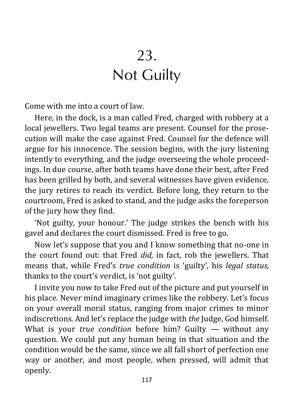## 23.

## Not Guilty

Come with me into a court of law.

Here, in the dock, is a man called Fred, charged with robbery at a local jewellers. Two legal teams are present. Counsel for the prosecution will make the case against Fred. Counsel for the defence will argue for his innocence. The session begins, with the jury listening intently to everything, and the judge overseeing the whole proceedings. In due course, after both teams have done their best, after Fred has been grilled by both, and several witnesses have given evidence, the jury retires to reach its verdict. Before long, they return to the courtroom, Fred is asked to stand, and the judge asks the foreperson of the jury how they find.

'Not guilty, your honour.' The judge strikes the bench with his gavel and declares the court dismissed. Fred is free to go.

Now let's suppose that you and I know something that no-one in the court found out: that Fred *did,* in fact, rob the jewellers. That means that, while Fred's *true condition* is 'guilty', his *legal status,* thanks to the court's verdict, is 'not guilty'.

I invite you now to take Fred out of the picture and put yourself in his place. Never mind imaginary crimes like the robbery. Let's focus on your overall moral status, ranging from major crimes to minor indiscretions. And let's replace the judge with *the* Judge, God himself. What is your *true condition* before him? Guilty — without any question. We could put any human being in that situation and the condition would be the same, since we all fall short of perfection one way or another, and most people, when pressed, will admit that openly.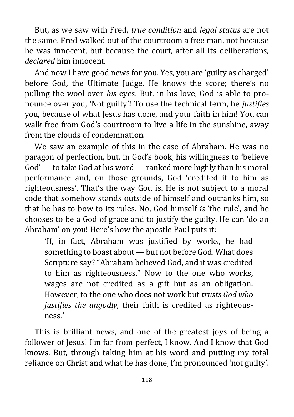But, as we saw with Fred, *true condition* and *legal status* are not the same. Fred walked out of the courtroom a free man, not because he was innocent, but because the court, after all its deliberations, *declared* him innocent.

And now I have good news for you. Yes, you are 'guilty as charged' before God, the Ultimate Judge. He knows the score; there's no pulling the wool over *his* eyes. But, in his love, God is able to pronounce over you, 'Not guilty'! To use the technical term, he *justifies*  you, because of what Jesus has done, and your faith in him! You can walk free from God's courtroom to live a life in the sunshine, away from the clouds of condemnation.

We saw an example of this in the case of Abraham. He was no paragon of perfection, but, in God's book, his willingness to 'believe God' — to take God at his word — ranked more highly than his moral performance and, on those grounds, God 'credited it to him as righteousness'. That's the way God is. He is not subject to a moral code that somehow stands outside of himself and outranks him, so that he has to bow to its rules. No, God himself *is* 'the rule', and he chooses to be a God of grace and to justify the guilty. He can 'do an Abraham' on you! Here's how the apostle Paul puts it:

'If, in fact, Abraham was justified by works, he had something to boast about — but not before God. What does Scripture say? "Abraham believed God, and it was credited to him as righteousness." Now to the one who works, wages are not credited as a gift but as an obligation. However, to the one who does not work but *trusts God who justifies the ungodly,* their faith is credited as righteousness.'

This is brilliant news, and one of the greatest joys of being a follower of Jesus! I'm far from perfect, I know. And I know that God knows. But, through taking him at his word and putting my total reliance on Christ and what he has done, I'm pronounced 'not guilty'.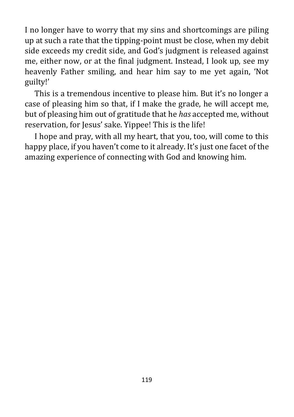I no longer have to worry that my sins and shortcomings are piling up at such a rate that the tipping-point must be close, when my debit side exceeds my credit side, and God's judgment is released against me, either now, or at the final judgment. Instead, I look up, see my heavenly Father smiling, and hear him say to me yet again, 'Not guilty!'

This is a tremendous incentive to please him. But it's no longer a case of pleasing him so that, if I make the grade, he will accept me, but of pleasing him out of gratitude that he *has* accepted me, without reservation, for Jesus' sake. Yippee! This is the life!

I hope and pray, with all my heart, that you, too, will come to this happy place, if you haven't come to it already. It's just one facet of the amazing experience of connecting with God and knowing him.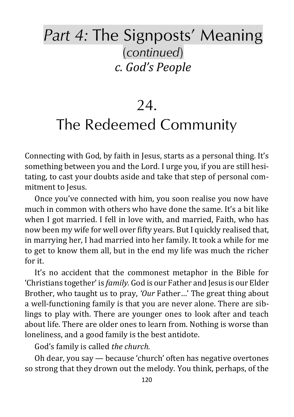## *Part 4:* The Signposts' Meaning (*continued*) *c. God's People*

## 24. The Redeemed Community

Connecting with God, by faith in Jesus, starts as a personal thing. It's something between you and the Lord. I urge you, if you are still hesitating, to cast your doubts aside and take that step of personal commitment to Jesus.

Once you've connected with him, you soon realise you now have much in common with others who have done the same. It's a bit like when I got married. I fell in love with, and married, Faith, who has now been my wife for well over fifty years. But I quickly realised that, in marrying her, I had married into her family. It took a while for me to get to know them all, but in the end my life was much the richer for it.

It's no accident that the commonest metaphor in the Bible for 'Christians together' is *family.* God is our Father and Jesus is our Elder Brother, who taught us to pray, *'Our* Father…' The great thing about a well-functioning family is that you are never alone. There are siblings to play with. There are younger ones to look after and teach about life. There are older ones to learn from. Nothing is worse than loneliness, and a good family is the best antidote.

God's family is called *the church.* 

Oh dear, you say — because 'church' often has negative overtones so strong that they drown out the melody. You think, perhaps, of the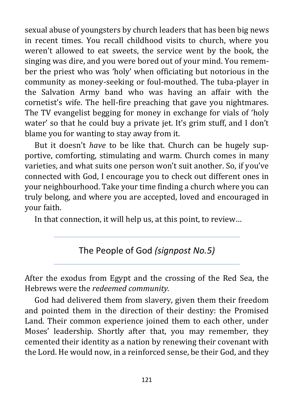sexual abuse of youngsters by church leaders that has been big news in recent times. You recall childhood visits to church, where you weren't allowed to eat sweets, the service went by the book, the singing was dire, and you were bored out of your mind. You remember the priest who was 'holy' when officiating but notorious in the community as money-seeking or foul-mouthed. The tuba-player in the Salvation Army band who was having an affair with the cornetist's wife. The hell-fire preaching that gave you nightmares. The TV evangelist begging for money in exchange for vials of 'holy water' so that he could buy a private jet. It's grim stuff, and I don't blame you for wanting to stay away from it.

But it doesn't *have* to be like that. Church can be hugely supportive, comforting, stimulating and warm. Church comes in many varieties, and what suits one person won't suit another. So, if you've connected with God, I encourage you to check out different ones in your neighbourhood. Take your time finding a church where you can truly belong, and where you are accepted, loved and encouraged in your faith.

In that connection, it will help us, at this point, to review…

#### The People of God *(signpost No.5)*

After the exodus from Egypt and the crossing of the Red Sea, the Hebrews were the *redeemed community.*

God had delivered them from slavery, given them their freedom and pointed them in the direction of their destiny: the Promised Land. Their common experience joined them to each other, under Moses' leadership. Shortly after that, you may remember, they cemented their identity as a nation by renewing their covenant with the Lord. He would now, in a reinforced sense, be their God, and they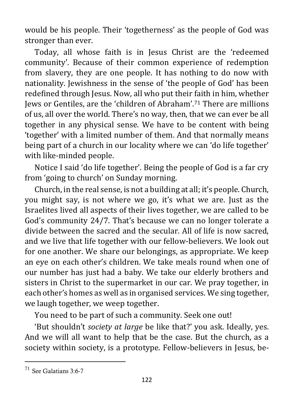would be his people. Their 'togetherness' as the people of God was stronger than ever.

Today, all whose faith is in Jesus Christ are the 'redeemed community'. Because of their common experience of redemption from slavery, they are one people. It has nothing to do now with nationality. Jewishness in the sense of 'the people of God' has been redefined through Jesus. Now, all who put their faith in him, whether Jews or Gentiles, are the 'children of Abraham'.<sup>71</sup> There are millions of us, all over the world. There's no way, then, that we can ever be all together in any physical sense. We have to be content with being 'together' with a limited number of them. And that normally means being part of a church in our locality where we can 'do life together' with like-minded people.

Notice I said 'do life together'. Being the people of God is a far cry from 'going to church' on Sunday morning.

Church, in the real sense, is not a building at all; it's people. Church, you might say, is not where we go, it's what we are. Just as the Israelites lived all aspects of their lives together, we are called to be God's community 24/7. That's because we can no longer tolerate a divide between the sacred and the secular. All of life is now sacred, and we live that life together with our fellow-believers. We look out for one another. We share our belongings, as appropriate. We keep an eye on each other's children. We take meals round when one of our number has just had a baby. We take our elderly brothers and sisters in Christ to the supermarket in our car. We pray together, in each other's homes as well as in organised services. We sing together, we laugh together, we weep together.

You need to be part of such a community. Seek one out!

'But shouldn't *society at large* be like that?' you ask. Ideally, yes. And we will all want to help that be the case. But the church, as a society within society, is a prototype. Fellow-believers in Jesus, be-

<sup>71</sup> See Galatians 3:6-7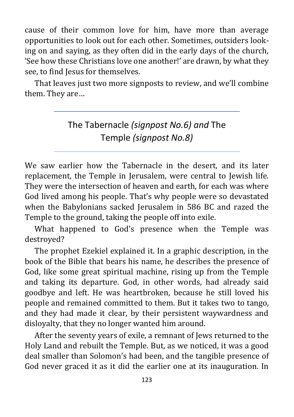cause of their common love for him, have more than average opportunities to look out for each other. Sometimes, outsiders looking on and saying, as they often did in the early days of the church, 'See how these Christians love one another!' are drawn, by what they see, to find Jesus for themselves.

That leaves just two more signposts to review, and we'll combine them. They are…

### The Tabernacle *(signpost No.6) and* The Temple *(signpost No.8)*

We saw earlier how the Tabernacle in the desert, and its later replacement, the Temple in Jerusalem, were central to Jewish life. They were the intersection of heaven and earth, for each was where God lived among his people. That's why people were so devastated when the Babylonians sacked Jerusalem in 586 BC and razed the Temple to the ground, taking the people off into exile.

What happened to God's presence when the Temple was destroyed?

The prophet Ezekiel explained it. In a graphic description, in the book of the Bible that bears his name, he describes the presence of God, like some great spiritual machine, rising up from the Temple and taking its departure. God, in other words, had already said goodbye and left. He was heartbroken, because he still loved his people and remained committed to them. But it takes two to tango, and they had made it clear, by their persistent waywardness and disloyalty, that they no longer wanted him around.

After the seventy years of exile, a remnant of Jews returned to the Holy Land and rebuilt the Temple. But, as we noticed, it was a good deal smaller than Solomon's had been, and the tangible presence of God never graced it as it did the earlier one at its inauguration. In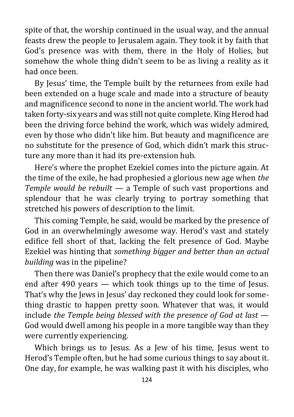spite of that, the worship continued in the usual way, and the annual feasts drew the people to Jerusalem again. They took it by faith that God's presence was with them, there in the Holy of Holies, but somehow the whole thing didn't seem to be as living a reality as it had once been.

By Jesus' time, the Temple built by the returnees from exile had been extended on a huge scale and made into a structure of beauty and magnificence second to none in the ancient world. The work had taken forty-six years and was still not quite complete. King Herod had been the driving force behind the work, which was widely admired, even by those who didn't like him. But beauty and magnificence are no substitute for the presence of God, which didn't mark this structure any more than it had its pre-extension hub.

Here's where the prophet Ezekiel comes into the picture again. At the time of the exile, he had prophesied a glorious new age when *the Temple would be rebuilt* — a Temple of such vast proportions and splendour that he was clearly trying to portray something that stretched his powers of description to the limit.

This coming Temple, he said, would be marked by the presence of God in an overwhelmingly awesome way. Herod's vast and stately edifice fell short of that, lacking the felt presence of God. Maybe Ezekiel was hinting that *something bigger and better than an actual building* was in the pipeline?

Then there was Daniel's prophecy that the exile would come to an end after 490 years — which took things up to the time of Jesus. That's why the Jews in Jesus' day reckoned they could look for something drastic to happen pretty soon. Whatever that was, it would include *the Temple being blessed with the presence of God at last* — God would dwell among his people in a more tangible way than they were currently experiencing.

Which brings us to Jesus. As a Jew of his time, Jesus went to Herod's Temple often, but he had some curious things to say about it. One day, for example, he was walking past it with his disciples, who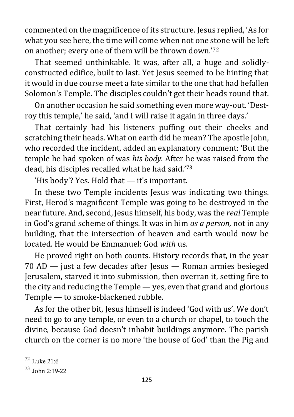commented on the magnificence of its structure. Jesus replied, 'As for what you see here, the time will come when not one stone will be left on another; every one of them will be thrown down.'<sup>72</sup>

That seemed unthinkable. It was, after all, a huge and solidlyconstructed edifice, built to last. Yet Jesus seemed to be hinting that it would in due course meet a fate similar to the one that had befallen Solomon's Temple. The disciples couldn't get their heads round that.

On another occasion he said something even more way-out. 'Destroy this temple,' he said, 'and I will raise it again in three days.'

That certainly had his listeners puffing out their cheeks and scratching their heads. What on earth did he mean? The apostle John, who recorded the incident, added an explanatory comment: 'But the temple he had spoken of was *his body.* After he was raised from the dead, his disciples recalled what he had said.'<sup>73</sup>

'His body'? Yes. Hold that — it's important.

In these two Temple incidents Jesus was indicating two things. First, Herod's magnificent Temple was going to be destroyed in the near future. And, second, Jesus himself, his body, was the *real* Temple in God's grand scheme of things. It was in him *as a person,* not in any building, that the intersection of heaven and earth would now be located. He would be Emmanuel: God *with* us.

He proved right on both counts. History records that, in the year 70 AD — just a few decades after Jesus — Roman armies besieged Jerusalem, starved it into submission, then overran it, setting fire to the city and reducing the Temple — yes, even that grand and glorious Temple — to smoke-blackened rubble.

As for the other bit, Jesus himself is indeed 'God with us'. We don't need to go to any temple, or even to a church or chapel, to touch the divine, because God doesn't inhabit buildings anymore. The parish church on the corner is no more 'the house of God' than the Pig and

<sup>72</sup> Luke 21:6

<sup>73</sup> John 2:19-22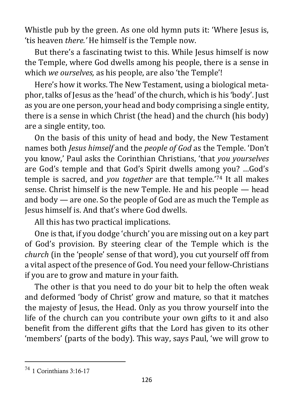Whistle pub by the green. As one old hymn puts it: 'Where Jesus is, 'tis heaven *there.'* He himself is the Temple now.

But there's a fascinating twist to this. While Jesus himself is now the Temple, where God dwells among his people, there is a sense in which *we ourselves,* as his people, are also 'the Temple'!

Here's how it works. The New Testament, using a biological metaphor, talks of Jesus as the 'head' of the church, which is his 'body'. Just as you are one person, your head and body comprising a single entity, there is a sense in which Christ (the head) and the church (his body) are a single entity, too.

On the basis of this unity of head and body, the New Testament names both *Jesus himself* and the *people of God* as the Temple. 'Don't you know,' Paul asks the Corinthian Christians, 'that *you yourselves* are God's temple and that God's Spirit dwells among you? …God's temple is sacred, and *you together* are that temple.'<sup>74</sup> It all makes sense. Christ himself is the new Temple. He and his people — head and body — are one. So the people of God are as much the Temple as Jesus himself is. And that's where God dwells.

All this has two practical implications.

One is that, if you dodge 'church' you are missing out on a key part of God's provision. By steering clear of the Temple which is the *church* (in the 'people' sense of that word), you cut yourself off from a vital aspect of the presence of God. You need your fellow-Christians if you are to grow and mature in your faith.

The other is that you need to do your bit to help the often weak and deformed 'body of Christ' grow and mature, so that it matches the majesty of Jesus, the Head. Only as you throw yourself into the life of the church can you contribute your own gifts to it and also benefit from the different gifts that the Lord has given to its other 'members' (parts of the body). This way, says Paul, 'we will grow to

 $^{74}$  1 Corinthians 3:16-17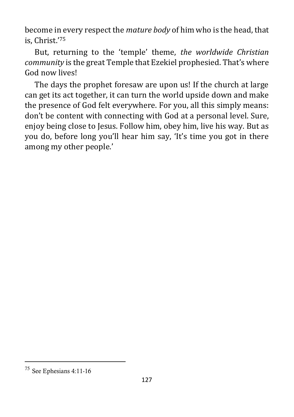become in every respect the *mature body* of him who is the head, that is, Christ.'<sup>75</sup>

But, returning to the 'temple' theme, *the worldwide Christian community* is the great Temple that Ezekiel prophesied. That's where God now lives!

The days the prophet foresaw are upon us! If the church at large can get its act together, it can turn the world upside down and make the presence of God felt everywhere. For you, all this simply means: don't be content with connecting with God at a personal level. Sure, enjoy being close to Jesus. Follow him, obey him, live his way. But as you do, before long you'll hear him say, 'It's time you got in there among my other people.'

<sup>75</sup> See Ephesians 4:11-16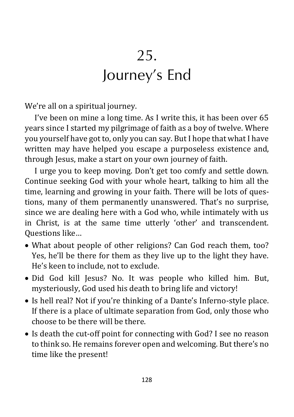# 25.

## Journey's End

We're all on a spiritual journey.

I've been on mine a long time. As I write this, it has been over 65 years since I started my pilgrimage of faith as a boy of twelve. Where you yourself have got to, only you can say. But I hope that what I have written may have helped you escape a purposeless existence and, through Jesus, make a start on your own journey of faith.

I urge you to keep moving. Don't get too comfy and settle down. Continue seeking God with your whole heart, talking to him all the time, learning and growing in your faith. There will be lots of questions, many of them permanently unanswered. That's no surprise, since we are dealing here with a God who, while intimately with us in Christ, is at the same time utterly 'other' and transcendent. Questions like…

- What about people of other religions? Can God reach them, too? Yes, he'll be there for them as they live up to the light they have. He's keen to include, not to exclude.
- Did God kill Jesus? No. It was people who killed him. But, mysteriously, God used his death to bring life and victory!
- Is hell real? Not if you're thinking of a Dante's Inferno-style place. If there is a place of ultimate separation from God, only those who choose to be there will be there.
- Is death the cut-off point for connecting with God? I see no reason to think so. He remains forever open and welcoming. But there's no time like the present!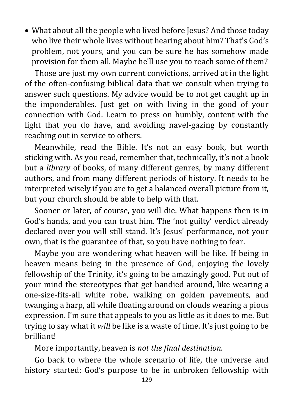• What about all the people who lived before Jesus? And those today who live their whole lives without hearing about him? That's God's problem, not yours, and you can be sure he has somehow made provision for them all. Maybe he'll use you to reach some of them?

Those are just my own current convictions, arrived at in the light of the often-confusing biblical data that we consult when trying to answer such questions. My advice would be to not get caught up in the imponderables. Just get on with living in the good of your connection with God. Learn to press on humbly, content with the light that you do have, and avoiding navel-gazing by constantly reaching out in service to others.

Meanwhile, read the Bible. It's not an easy book, but worth sticking with. As you read, remember that, technically, it's not a book but a *library* of books, of many different genres, by many different authors, and from many different periods of history. It needs to be interpreted wisely if you are to get a balanced overall picture from it, but your church should be able to help with that.

Sooner or later, of course, you will die. What happens then is in God's hands, and you can trust him. The 'not guilty' verdict already declared over you will still stand. It's Jesus' performance, not your own, that is the guarantee of that, so you have nothing to fear.

Maybe you are wondering what heaven will be like. If being in heaven means being in the presence of God, enjoying the lovely fellowship of the Trinity, it's going to be amazingly good. Put out of your mind the stereotypes that get bandied around, like wearing a one-size-fits-all white robe, walking on golden pavements, and twanging a harp, all while floating around on clouds wearing a pious expression. I'm sure that appeals to you as little as it does to me. But trying to say what it *will* be like is a waste of time. It's just going to be brilliant!

More importantly, heaven is *not the final destination.*

Go back to where the whole scenario of life, the universe and history started: God's purpose to be in unbroken fellowship with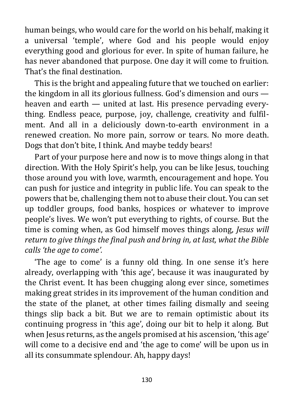human beings, who would care for the world on his behalf, making it a universal 'temple', where God and his people would enjoy everything good and glorious for ever. In spite of human failure, he has never abandoned that purpose. One day it will come to fruition. That's the final destination.

This is the bright and appealing future that we touched on earlier: the kingdom in all its glorious fullness. God's dimension and ours heaven and earth — united at last. His presence pervading everything. Endless peace, purpose, joy, challenge, creativity and fulfilment. And all in a deliciously down-to-earth environment in a renewed creation. No more pain, sorrow or tears. No more death. Dogs that don't bite, I think. And maybe teddy bears!

Part of your purpose here and now is to move things along in that direction. With the Holy Spirit's help, you can be like Jesus, touching those around you with love, warmth, encouragement and hope. You can push for justice and integrity in public life. You can speak to the powers that be, challenging them not to abuse their clout. You can set up toddler groups, food banks, hospices or whatever to improve people's lives. We won't put everything to rights, of course. But the time is coming when, as God himself moves things along, *Jesus will return to give things the final push and bring in, at last, what the Bible calls 'the age to come'.*

'The age to come' is a funny old thing. In one sense it's here already, overlapping with 'this age', because it was inaugurated by the Christ event. It has been chugging along ever since, sometimes making great strides in its improvement of the human condition and the state of the planet, at other times failing dismally and seeing things slip back a bit. But we are to remain optimistic about its continuing progress in 'this age', doing our bit to help it along. But when Jesus returns, as the angels promised at his ascension, 'this age' will come to a decisive end and 'the age to come' will be upon us in all its consummate splendour. Ah, happy days!